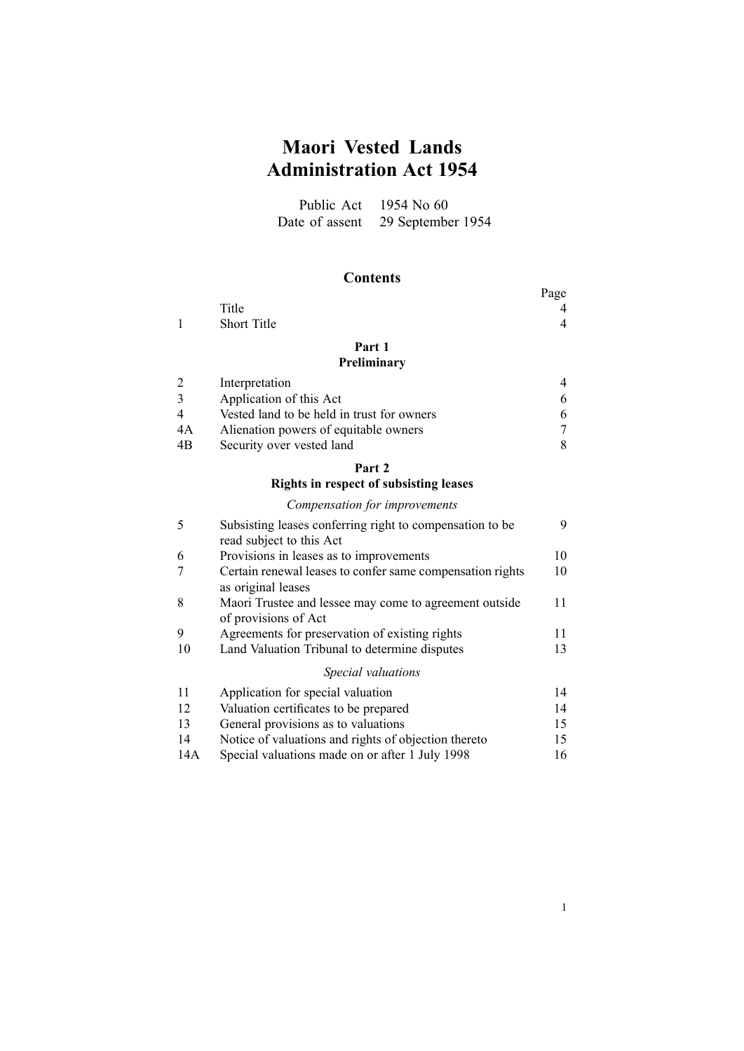# **Maori Vested Lands Administration Act 1954**

Public Act 1954 No 60 Date of assent 29 September 1954

### **Contents**

|              |             | Page |
|--------------|-------------|------|
|              | Title       | 4    |
| $\mathbf{1}$ | Short Title | 4    |
|              | Part 1      |      |

### **[Preliminary](#page-3-0)**

|    | Interpretation                             |   |
|----|--------------------------------------------|---|
|    | Application of this Act                    | 6 |
|    | Vested land to be held in trust for owners | 6 |
| 4A | Alienation powers of equitable owners      |   |
| 4B | Security over vested land                  | 8 |

### **[Part](#page-8-0) [2](#page-8-0)**

#### **Rights in respect of [subsisting](#page-8-0) leases**

### *[Compensation](#page-8-0) for improvements*

| 5   | Subsisting leases conferring right to compensation to be                        | 9  |
|-----|---------------------------------------------------------------------------------|----|
|     | read subject to this Act                                                        |    |
| 6   | Provisions in leases as to improvements                                         | 10 |
|     | Certain renewal leases to confer same compensation rights<br>as original leases | 10 |
| 8   | Maori Trustee and lessee may come to agreement outside<br>of provisions of Act  | 11 |
| 9   | Agreements for preservation of existing rights                                  | 11 |
| 10  | Land Valuation Tribunal to determine disputes                                   | 13 |
|     | Special valuations                                                              |    |
| 11  | Application for special valuation                                               | 14 |
| 12  | Valuation certificates to be prepared                                           | 14 |
| 13  | General provisions as to valuations                                             | 15 |
| 14  | Notice of valuations and rights of objection thereto                            | 15 |
| 14A | Special valuations made on or after 1 July 1998                                 | 16 |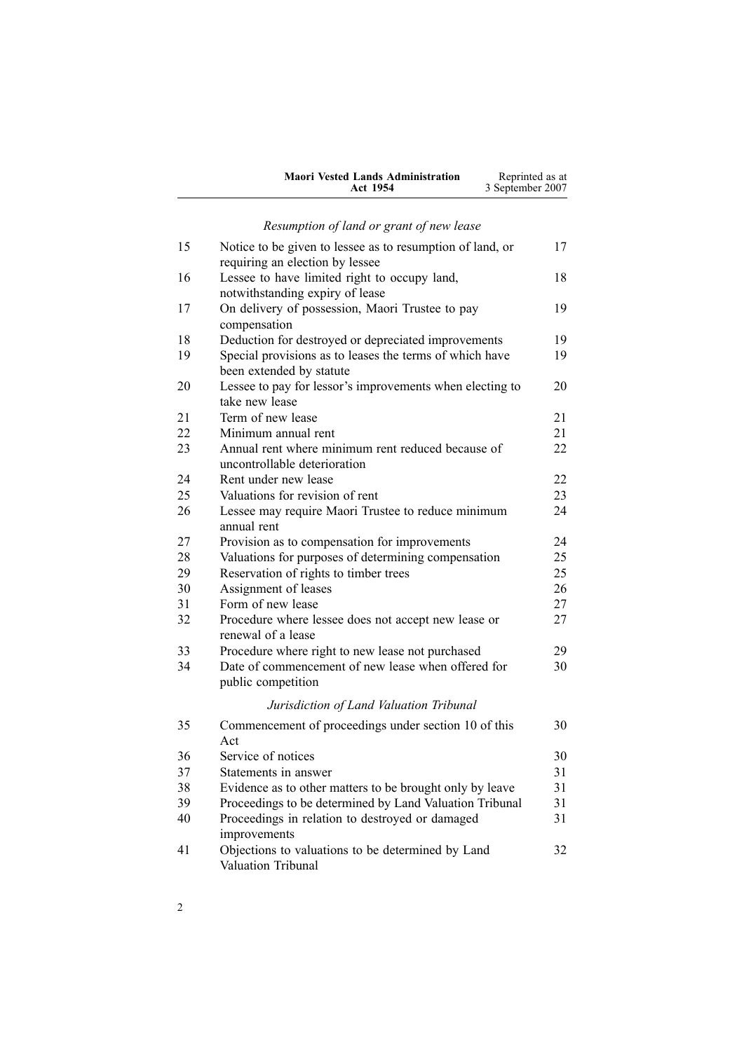| <b>Maori Vested Lands Administration</b> | Reprinted as at  |
|------------------------------------------|------------------|
| Act 1954                                 | 3 September 2007 |

# *[Resumption](#page-16-0) of land or gran<sup>t</sup> of new lease*

| 15 | Notice to be given to lessee as to resumption of land, or<br>requiring an election by lessee | 17 |
|----|----------------------------------------------------------------------------------------------|----|
| 16 | Lessee to have limited right to occupy land,<br>notwithstanding expiry of lease              | 18 |
| 17 | On delivery of possession, Maori Trustee to pay<br>compensation                              | 19 |
| 18 | Deduction for destroyed or depreciated improvements                                          | 19 |
| 19 | Special provisions as to leases the terms of which have                                      | 19 |
|    | been extended by statute                                                                     |    |
| 20 | Lessee to pay for lessor's improvements when electing to                                     | 20 |
|    | take new lease                                                                               |    |
| 21 | Term of new lease                                                                            | 21 |
| 22 | Minimum annual rent                                                                          | 21 |
| 23 | Annual rent where minimum rent reduced because of<br>uncontrollable deterioration            | 22 |
| 24 | Rent under new lease                                                                         | 22 |
| 25 | Valuations for revision of rent                                                              | 23 |
| 26 | Lessee may require Maori Trustee to reduce minimum                                           | 24 |
| 27 | annual rent<br>Provision as to compensation for improvements                                 | 24 |
| 28 | Valuations for purposes of determining compensation                                          | 25 |
| 29 |                                                                                              | 25 |
| 30 | Reservation of rights to timber trees<br>Assignment of leases                                | 26 |
| 31 | Form of new lease                                                                            | 27 |
| 32 |                                                                                              | 27 |
|    | Procedure where lessee does not accept new lease or<br>renewal of a lease                    |    |
| 33 | Procedure where right to new lease not purchased                                             | 29 |
| 34 | Date of commencement of new lease when offered for<br>public competition                     | 30 |
|    | Jurisdiction of Land Valuation Tribunal                                                      |    |
| 35 | Commencement of proceedings under section 10 of this<br>Act                                  | 30 |
| 36 | Service of notices                                                                           | 30 |
| 37 | Statements in answer                                                                         | 31 |
| 38 | Evidence as to other matters to be brought only by leave                                     | 31 |
| 39 | Proceedings to be determined by Land Valuation Tribunal                                      | 31 |
| 40 | Proceedings in relation to destroyed or damaged                                              | 31 |
|    | improvements                                                                                 |    |
| 41 | Objections to valuations to be determined by Land<br>Valuation Tribunal                      | 32 |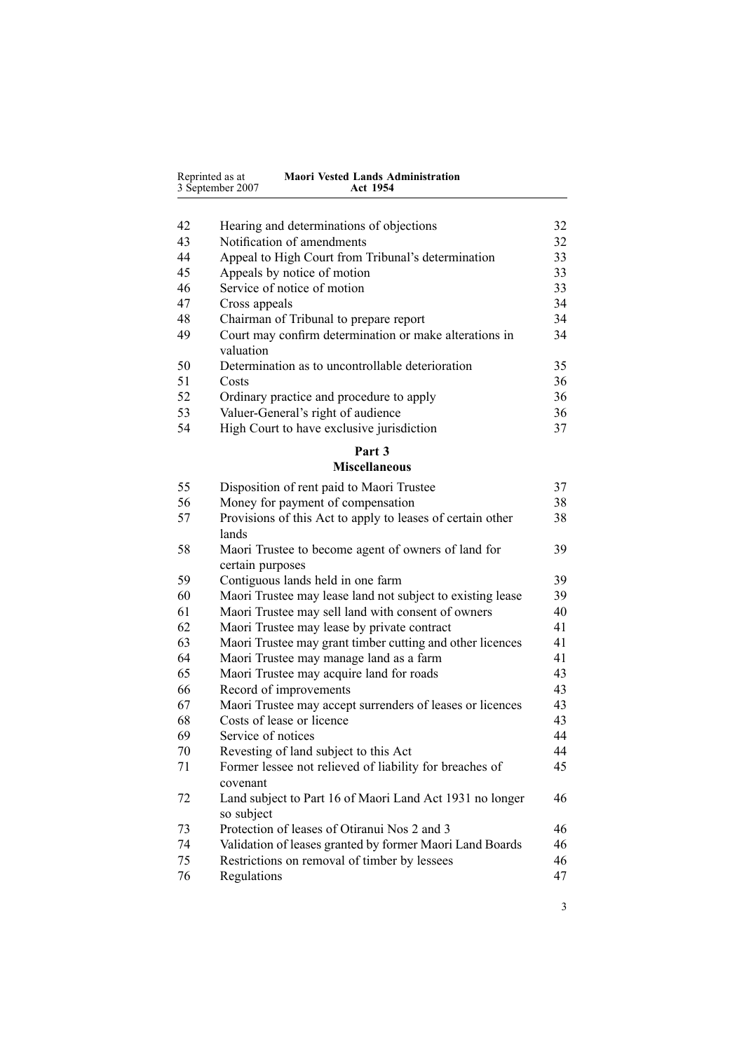|    | 3 September 2007<br><b>Act 1954</b>                                 |    |
|----|---------------------------------------------------------------------|----|
|    |                                                                     |    |
| 42 | Hearing and determinations of objections                            | 32 |
| 43 | Notification of amendments                                          | 32 |
| 44 | Appeal to High Court from Tribunal's determination                  | 33 |
| 45 | Appeals by notice of motion                                         | 33 |
| 46 | Service of notice of motion                                         | 33 |
| 47 | Cross appeals                                                       | 34 |
| 48 | Chairman of Tribunal to prepare report                              | 34 |
| 49 | Court may confirm determination or make alterations in<br>valuation | 34 |
| 50 | Determination as to uncontrollable deterioration                    | 35 |
| 51 | Costs                                                               | 36 |
| 52 | Ordinary practice and procedure to apply                            | 36 |
| 53 | Valuer-General's right of audience                                  | 36 |
| 54 | High Court to have exclusive jurisdiction                           | 37 |

**Maori Vested Lands Administration**

Reprinted as at

# **[Part](#page-36-0) [3](#page-36-0)**

#### **[Miscellaneous](#page-36-0)**

| 55 | Disposition of rent paid to Maori Trustee                               | 37 |
|----|-------------------------------------------------------------------------|----|
| 56 | Money for payment of compensation                                       | 38 |
| 57 | Provisions of this Act to apply to leases of certain other<br>lands     | 38 |
| 58 | Maori Trustee to become agent of owners of land for<br>certain purposes | 39 |
| 59 | Contiguous lands held in one farm                                       | 39 |
| 60 | Maori Trustee may lease land not subject to existing lease              | 39 |
| 61 | Maori Trustee may sell land with consent of owners                      | 40 |
| 62 | Maori Trustee may lease by private contract                             | 41 |
| 63 | Maori Trustee may grant timber cutting and other licences               | 41 |
| 64 | Maori Trustee may manage land as a farm                                 | 41 |
| 65 | Maori Trustee may acquire land for roads                                | 43 |
| 66 | Record of improvements                                                  | 43 |
| 67 | Maori Trustee may accept surrenders of leases or licences               | 43 |
| 68 | Costs of lease or licence                                               | 43 |
| 69 | Service of notices                                                      | 44 |
| 70 | Revesting of land subject to this Act                                   | 44 |
| 71 | Former lessee not relieved of liability for breaches of<br>covenant     | 45 |
| 72 | Land subject to Part 16 of Maori Land Act 1931 no longer<br>so subject  | 46 |
| 73 | Protection of leases of Otiranui Nos 2 and 3                            | 46 |
| 74 | Validation of leases granted by former Maori Land Boards                | 46 |
| 75 | Restrictions on removal of timber by lessees                            | 46 |
| 76 | Regulations                                                             | 47 |
|    |                                                                         |    |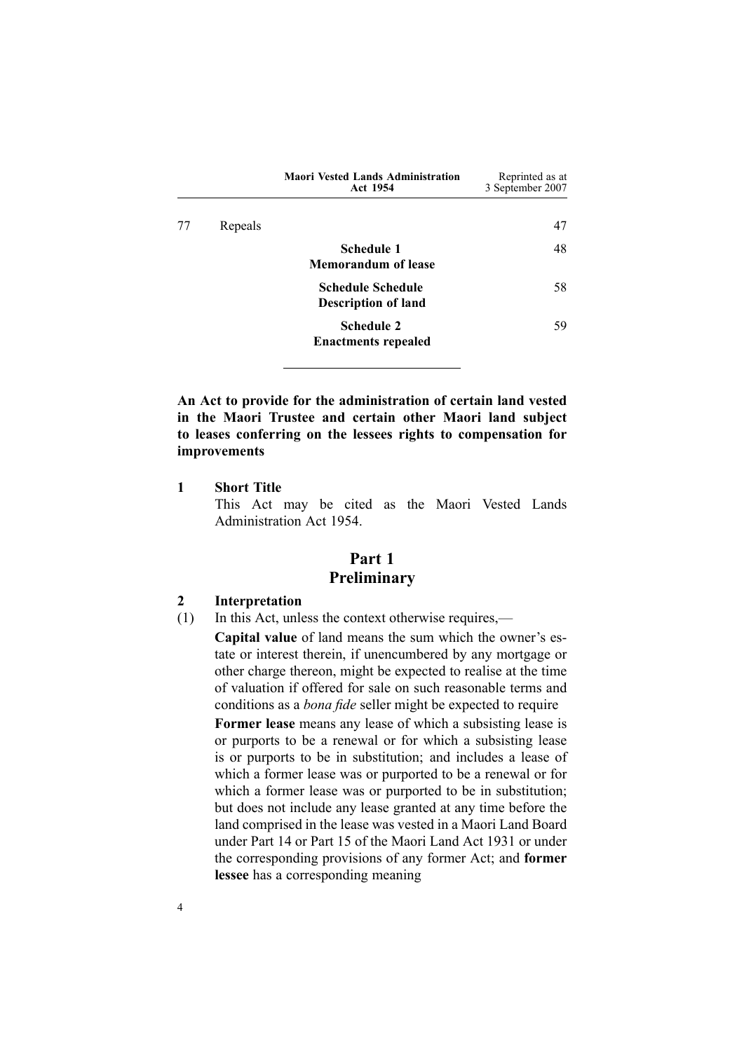<span id="page-3-0"></span>

|    |         | <b>Maori Vested Lands Administration</b><br>Act 1954   | Reprinted as at<br>3 September 2007 |
|----|---------|--------------------------------------------------------|-------------------------------------|
| 77 | Repeals |                                                        | 47                                  |
|    |         | Schedule 1<br><b>Memorandum of lease</b>               | 48                                  |
|    |         | <b>Schedule Schedule</b><br><b>Description of land</b> | 58                                  |
|    |         | <b>Schedule 2</b><br><b>Enactments repealed</b>        | 59                                  |

**An Act to provide for the administration of certain land vested in the Maori Trustee and certain other Maori land subject to leases conferring on the lessees rights to compensation for improvements**

**1 Short Title**

This Act may be cited as the Maori Vested Lands Administration Act 1954.

### **Part 1 Preliminary**

#### **2 Interpretation**

(1) In this Act, unless the context otherwise requires,—

**Capital value** of land means the sum which the owner's estate or interest therein, if unencumbered by any mortgage or other charge thereon, might be expected to realise at the time of valuation if offered for sale on such reasonable terms and conditions as <sup>a</sup> *bona fide* seller might be expected to require **Former lease** means any lease of which <sup>a</sup> subsisting lease is or purports to be <sup>a</sup> renewal or for which <sup>a</sup> subsisting lease is or purports to be in substitution; and includes <sup>a</sup> lease of which <sup>a</sup> former lease was or purported to be <sup>a</sup> renewal or for which <sup>a</sup> former lease was or purported to be in substitution; but does not include any lease granted at any time before the land comprised in the lease was vested in <sup>a</sup> Maori Land Board under Part 14 or Part 15 of the Maori Land Act 1931 or under the corresponding provisions of any former Act; and **former lessee** has <sup>a</sup> corresponding meaning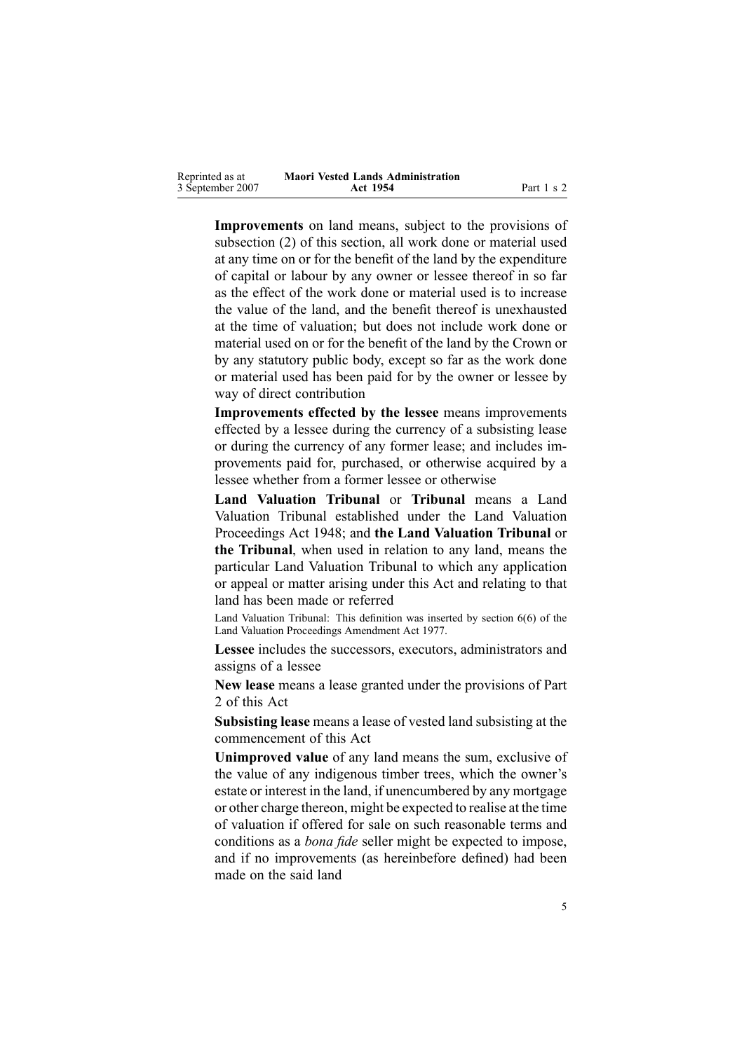| Reprinted as at  | <b>Maori Vested Lands Administration</b> |            |
|------------------|------------------------------------------|------------|
| 3 September 2007 | Act 1954                                 | Part 1 s 2 |

**Improvements** on land means, subject to the provisions of subsection [\(2\)](#page-3-0) of this section, all work done or material used at any time on or for the benefit of the land by the expenditure of capital or labour by any owner or lessee thereof in so far as the effect of the work done or material used is to increase the value of the land, and the benefit thereof is unexhausted at the time of valuation; but does not include work done or material used on or for the benefit of the land by the Crown or by any statutory public body, excep<sup>t</sup> so far as the work done or material used has been paid for by the owner or lessee by way of direct contribution

**Improvements effected by the lessee** means improvements effected by <sup>a</sup> lessee during the currency of <sup>a</sup> subsisting lease or during the currency of any former lease; and includes improvements paid for, purchased, or otherwise acquired by <sup>a</sup> lessee whether from <sup>a</sup> former lessee or otherwise

**Land Valuation Tribunal** or **Tribunal** means <sup>a</sup> Land Valuation Tribunal established under the Land [Valuation](http://www.legislation.govt.nz/pdfLink.aspx?id=DLM249212) [Proceedings](http://www.legislation.govt.nz/pdfLink.aspx?id=DLM249212) Act 1948; and **the Land Valuation Tribunal** or **the Tribunal**, when used in relation to any land, means the particular Land Valuation Tribunal to which any application or appeal or matter arising under this Act and relating to that land has been made or referred

Land Valuation Tribunal: This definition was inserted by section [6\(6\)](http://www.legislation.govt.nz/pdfLink.aspx?id=DLM442575) of the Land Valuation Proceedings Amendment Act 1977.

**Lessee** includes the successors, executors, administrators and assigns of <sup>a</sup> lessee

**New lease** means <sup>a</sup> lease granted under the provisions of Part [2](#page-8-0) of this Act

**Subsisting lease** means <sup>a</sup> lease of vested land subsisting at the commencement of this Act

**Unimproved value** of any land means the sum, exclusive of the value of any indigenous timber trees, which the owner's estate or interest in the land, if unencumbered by any mortgage or other charge thereon, might be expected to realise at the time of valuation if offered for sale on such reasonable terms and conditions as <sup>a</sup> *bona fide* seller might be expected to impose, and if no improvements (as hereinbefore defined) had been made on the said land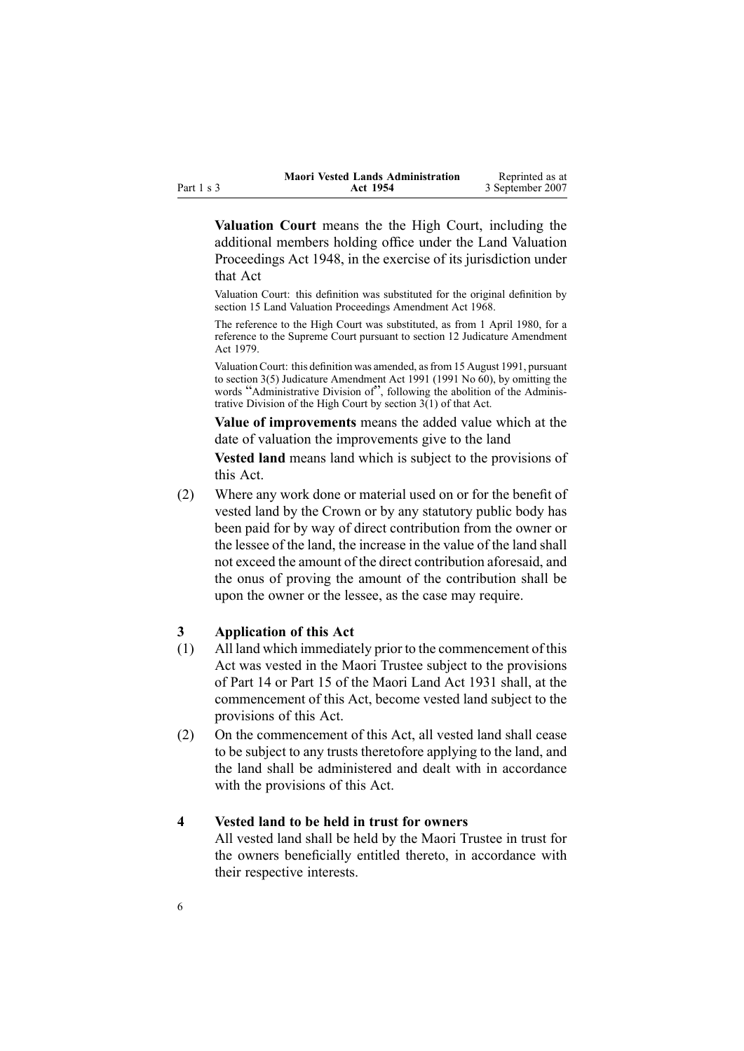<span id="page-5-0"></span>

|            | <b>Maori Vested Lands Administration</b> | Reprinted as at  |
|------------|------------------------------------------|------------------|
| Part 1 s 3 | <b>Act 1954</b>                          | 3 September 2007 |

**Valuation Court** means the the High Court, including the additional members holding office under the Land [Valuation](http://www.legislation.govt.nz/pdfLink.aspx?id=DLM249212) [Proceedings](http://www.legislation.govt.nz/pdfLink.aspx?id=DLM249212) Act 1948, in the exercise of its jurisdiction under that Act

Valuation Court: this definition was substituted for the original definition by section [15](http://www.legislation.govt.nz/pdfLink.aspx?id=DLM388248) Land Valuation Proceedings Amendment Act 1968.

The reference to the High Court was substituted, as from 1 April 1980, for <sup>a</sup> reference to the Supreme Court pursuan<sup>t</sup> to section [12](http://www.legislation.govt.nz/pdfLink.aspx?id=DLM35049) Judicature Amendment Act 1979.

Valuation Court: this definition was amended, asfrom 15 August 1991, pursuan<sup>t</sup> to section [3\(5\)](http://www.legislation.govt.nz/pdfLink.aspx?id=DLM230219) Judicature Amendment Act 1991 (1991 No 60), by omitting the words "Administrative Division of", following the abolition of the Administrative Division of the High Court by section [3\(1\)](http://www.legislation.govt.nz/pdfLink.aspx?id=DLM230219) of that Act.

**Value of improvements** means the added value which at the date of valuation the improvements give to the land

**Vested land** means land which is subject to the provisions of this Act.

(2) Where any work done or material used on or for the benefit of vested land by the Crown or by any statutory public body has been paid for by way of direct contribution from the owner or the lessee of the land, the increase in the value of the land shall not exceed the amount of the direct contribution aforesaid, and the onus of proving the amount of the contribution shall be upon the owner or the lessee, as the case may require.

#### **3 Application of this Act**

- (1) All land which immediately prior to the commencement of this Act was vested in the Maori Trustee subject to the provisions of Part 14 or Part 15 of the Maori Land Act 1931 shall, at the commencement of this Act, become vested land subject to the provisions of this Act.
- (2) On the commencement of this Act, all vested land shall cease to be subject to any trusts theretofore applying to the land, and the land shall be administered and dealt with in accordance with the provisions of this Act.

### **4 Vested land to be held in trust for owners**

All vested land shall be held by the Maori Trustee in trust for the owners beneficially entitled thereto, in accordance with their respective interests.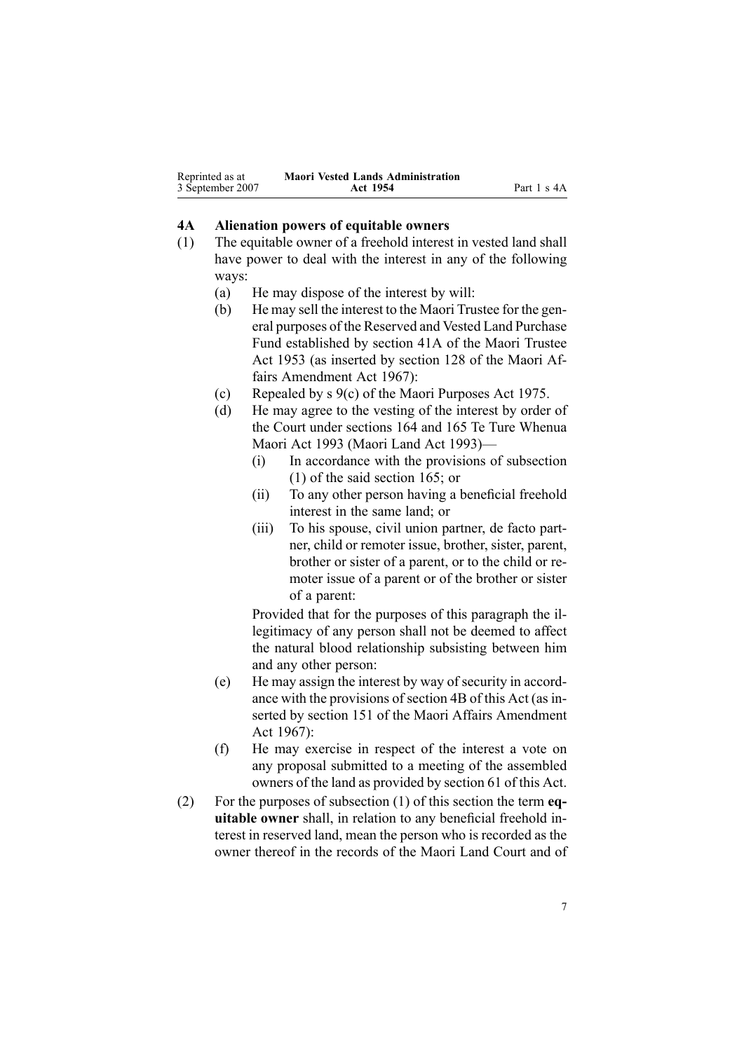<span id="page-6-0"></span>

| Reprinted as at  | <b>Maori Vested Lands Administration</b> |             |
|------------------|------------------------------------------|-------------|
| 3 September 2007 | Act 1954                                 | Part 1 s 4A |

#### **4A Alienation powers of equitable owners**

- (1) The equitable owner of <sup>a</sup> freehold interest in vested land shall have power to deal with the interest in any of the following ways:
	- (a) He may dispose of the interest by will:
	- (b) He may sell the interest to the Maori Trustee for the general purposes of the Reserved and Vested Land Purchase Fund established by section [41A](http://www.legislation.govt.nz/pdfLink.aspx?id=DLM282917) of the Maori [Trustee](http://www.legislation.govt.nz/pdfLink.aspx?id=DLM282037) Act [1953](http://www.legislation.govt.nz/pdfLink.aspx?id=DLM282037) (as inserted by section 128 of the Maori Affairs Amendment Act 1967):
	- (c) Repealed by <sup>s</sup> [9\(c\)](http://www.legislation.govt.nz/pdfLink.aspx?id=DLM437759) of the Maori [Purposes](http://www.legislation.govt.nz/pdfLink.aspx?id=DLM437743) Act 1975.
	- (d) He may agree to the vesting of the interest by order of the Court under sections [164](http://www.legislation.govt.nz/pdfLink.aspx?id=DLM291580) and [165](http://www.legislation.govt.nz/pdfLink.aspx?id=DLM291582) Te Ture [Whenua](http://www.legislation.govt.nz/pdfLink.aspx?id=DLM289881) [Maori](http://www.legislation.govt.nz/pdfLink.aspx?id=DLM289881) Act 1993 (Maori Land Act 1993)—
		- (i) In accordance with the provisions of subsection [\(1\)](http://www.legislation.govt.nz/pdfLink.aspx?id=DLM291582) of the said section 165; or
		- (ii) To any other person having <sup>a</sup> beneficial freehold interest in the same land; or
		- (iii) To his spouse, civil union partner, de facto partner, child or remoter issue, brother, sister, parent, brother or sister of <sup>a</sup> parent, or to the child or remoter issue of <sup>a</sup> paren<sup>t</sup> or of the brother or sister of <sup>a</sup> parent:

Provided that for the purposes of this paragraph the illegitimacy of any person shall not be deemed to affect the natural blood relationship subsisting between him and any other person:

- (e) He may assign the interest by way of security in accordance with the provisions of section [4B](#page-7-0) of this Act (as inserted by section 151 of the Maori Affairs Amendment Act 1967):
- (f) He may exercise in respec<sup>t</sup> of the interest <sup>a</sup> vote on any proposal submitted to <sup>a</sup> meeting of the assembled owners of the land as provided by section [61](#page-39-0) of this Act.
- (2) For the purposes of subsection (1) of this section the term **equitable owner** shall, in relation to any beneficial freehold interest in reserved land, mean the person who is recorded as the owner thereof in the records of the Maori Land Court and of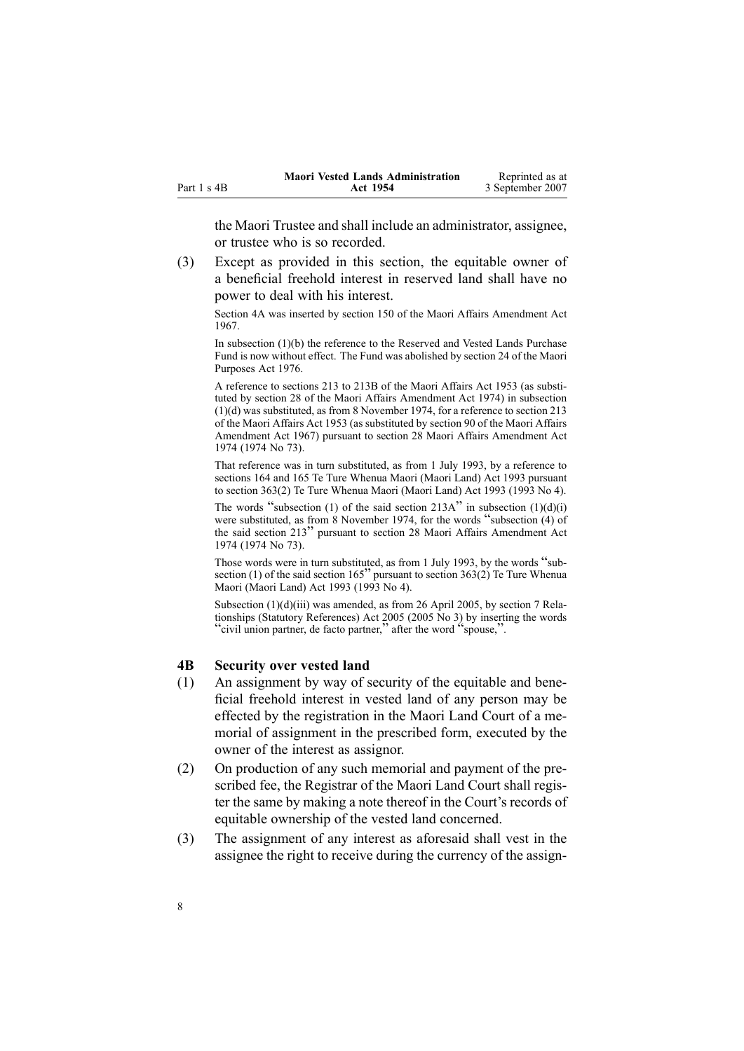<span id="page-7-0"></span>

|             | <b>Maori Vested Lands Administration</b> | Reprinted as at  |
|-------------|------------------------------------------|------------------|
| Part 1 s 4B | Act 1954                                 | 3 September 2007 |

the Maori Trustee and shall include an administrator, assignee, or trustee who is so recorded.

(3) Except as provided in this section, the equitable owner of <sup>a</sup> beneficial freehold interest in reserved land shall have no power to deal with his interest.

Section 4A was inserted by section 150 of the Maori Affairs Amendment Act 1967.

In subsection (1)(b) the reference to the Reserved and Vested Lands Purchase Fund is now without effect. The Fund was abolished by section [24](http://www.legislation.govt.nz/pdfLink.aspx?id=DLM440503) of the Maori Purposes Act 1976.

A reference to sections 213 to 213B of the Maori Affairs Act 1953 (as substituted by section 28 of the Maori Affairs Amendment Act 1974) in subsection (1)(d) was substituted, as from 8 November 1974, for <sup>a</sup> reference to section 213 of the Maori Affairs Act 1953 (as substituted by section 90 of the Maori Affairs Amendment Act 1967) pursuan<sup>t</sup> to section 28 Maori Affairs Amendment Act 1974 (1974 No 73).

That reference was in turn substituted, as from 1 July 1993, by <sup>a</sup> reference to sections 164 and 165 Te Ture Whenua Maori (Maori Land) Act 1993 pursuan<sup>t</sup> to section [363\(2\)](http://www.legislation.govt.nz/pdfLink.aspx?id=DLM293026) Te Ture Whenua Maori (Maori Land) Act 1993 (1993 No 4).

The words "subsection (1) of the said section  $213A$ " in subsection  $(1)(d)(i)$ were substituted, as from <sup>8</sup> November 1974, for the words "subsection (4) of the said section <sup>213</sup>" pursuan<sup>t</sup> to section <sup>28</sup> Maori Affairs Amendment Act 1974 (1974 No 73).

Those words were in turn substituted, as from <sup>1</sup> July 1993, by the words "sub-section (1) of the said section 165" pursuant to section [363\(2\)](http://www.legislation.govt.nz/pdfLink.aspx?id=DLM293026) Te Ture Whenua Maori (Maori Land) Act 1993 (1993 No 4).

Subsection (1)(d)(iii) was amended, as from 26 April 2005, by section [7](http://www.legislation.govt.nz/pdfLink.aspx?id=DLM333795) Relationships (Statutory References) Act 2005 (2005 No 3) by inserting the words "civil union partner, de facto partner," after the word "spouse,".

#### **4B Security over vested land**

- (1) An assignment by way of security of the equitable and beneficial freehold interest in vested land of any person may be effected by the registration in the Maori Land Court of <sup>a</sup> memorial of assignment in the prescribed form, executed by the owner of the interest as assignor.
- (2) On production of any such memorial and paymen<sup>t</sup> of the prescribed fee, the Registrar of the Maori Land Court shall register the same by making <sup>a</sup> note thereof in the Court's records of equitable ownership of the vested land concerned.
- (3) The assignment of any interest as aforesaid shall vest in the assignee the right to receive during the currency of the assign-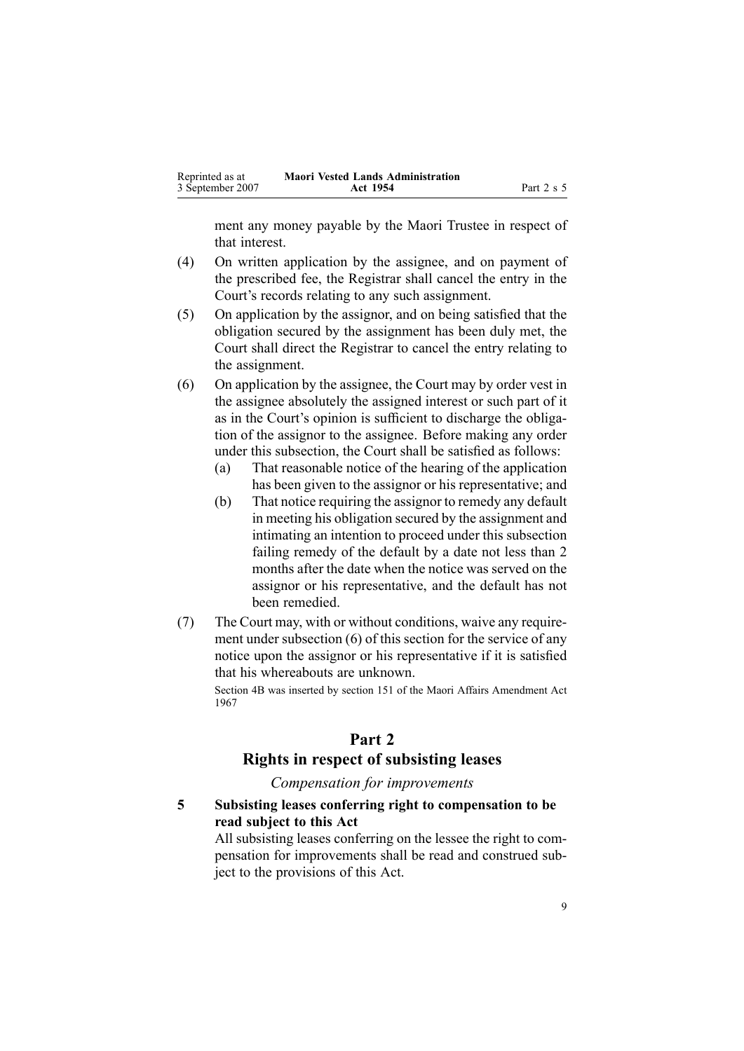<span id="page-8-0"></span>

| Reprinted as at  | <b>Maori Vested Lands Administration</b> |            |
|------------------|------------------------------------------|------------|
| 3 September 2007 | Act 1954                                 | Part 2 s 5 |

ment any money payable by the Maori Trustee in respec<sup>t</sup> of that interest.

- (4) On written application by the assignee, and on paymen<sup>t</sup> of the prescribed fee, the Registrar shall cancel the entry in the Court's records relating to any such assignment.
- (5) On application by the assignor, and on being satisfied that the obligation secured by the assignment has been duly met, the Court shall direct the Registrar to cancel the entry relating to the assignment.
- (6) On application by the assignee, the Court may by order vest in the assignee absolutely the assigned interest or such par<sup>t</sup> of it as in the Court's opinion is sufficient to discharge the obligation of the assignor to the assignee. Before making any order under this subsection, the Court shall be satisfied as follows:
	- (a) That reasonable notice of the hearing of the application has been given to the assignor or his representative; and
	- (b) That notice requiring the assignor to remedy any default in meeting his obligation secured by the assignment and intimating an intention to proceed under this subsection failing remedy of the default by <sup>a</sup> date not less than 2 months after the date when the notice was served on the assignor or his representative, and the default has not been remedied.
- (7) The Court may, with or without conditions, waive any requirement under subsection [\(6\)](#page-7-0) of this section for the service of any notice upon the assignor or his representative if it is satisfied that his whereabouts are unknown.

Section 4B was inserted by section 151 of the Maori Affairs Amendment Act 1967

### **Part 2**

### **Rights in respect of subsisting leases**

*Compensation for improvements*

**5 Subsisting leases conferring right to compensation to be read subject to this Act**

All subsisting leases conferring on the lessee the right to compensation for improvements shall be read and construed subject to the provisions of this Act.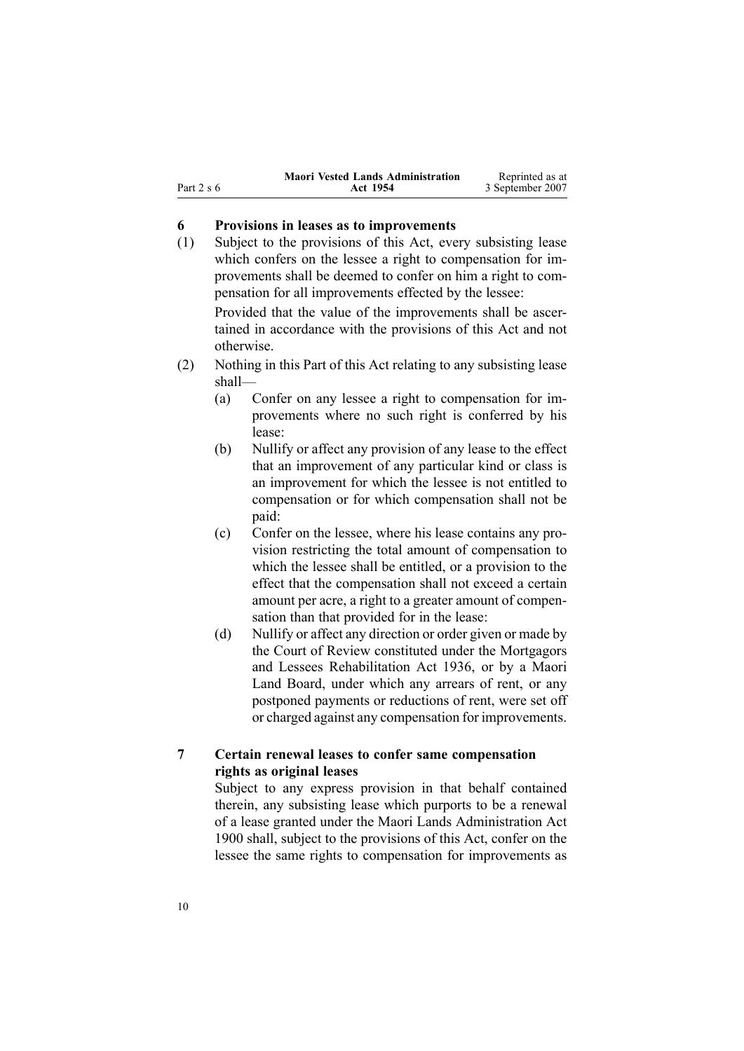<span id="page-9-0"></span>

|            | <b>Maori Vested Lands Administration</b> | Reprinted as at  |
|------------|------------------------------------------|------------------|
| Part 2 s 6 | Act 1954                                 | 3 September 2007 |

#### **6 Provisions in leases as to improvements**

(1) Subject to the provisions of this Act, every subsisting lease which confers on the lessee <sup>a</sup> right to compensation for improvements shall be deemed to confer on him <sup>a</sup> right to compensation for all improvements effected by the lessee:

Provided that the value of the improvements shall be ascertained in accordance with the provisions of this Act and not otherwise.

- (2) Nothing in this Part of this Act relating to any subsisting lease shall—
	- (a) Confer on any lessee <sup>a</sup> right to compensation for improvements where no such right is conferred by his lease:
	- (b) Nullify or affect any provision of any lease to the effect that an improvement of any particular kind or class is an improvement for which the lessee is not entitled to compensation or for which compensation shall not be paid:
	- (c) Confer on the lessee, where his lease contains any provision restricting the total amount of compensation to which the lessee shall be entitled, or <sup>a</sup> provision to the effect that the compensation shall not exceed <sup>a</sup> certain amount per acre, <sup>a</sup> right to <sup>a</sup> greater amount of compensation than that provided for in the lease:
	- (d) Nullify or affect any direction or order given or made by the Court of Review constituted under the [Mortgagors](http://www.legislation.govt.nz/pdfLink.aspx?id=DLM219821) and Lessees [Rehabilitation](http://www.legislation.govt.nz/pdfLink.aspx?id=DLM219821) Act 1936, or by <sup>a</sup> Maori Land Board, under which any arrears of rent, or any postponed payments or reductions of rent, were set off or charged against any compensation for improvements.

### **7 Certain renewal leases to confer same compensation rights as original leases**

Subject to any express provision in that behalf contained therein, any subsisting lease which purports to be <sup>a</sup> renewal of <sup>a</sup> lease granted under the Maori Lands Administration Act 1900 shall, subject to the provisions of this Act, confer on the lessee the same rights to compensation for improvements as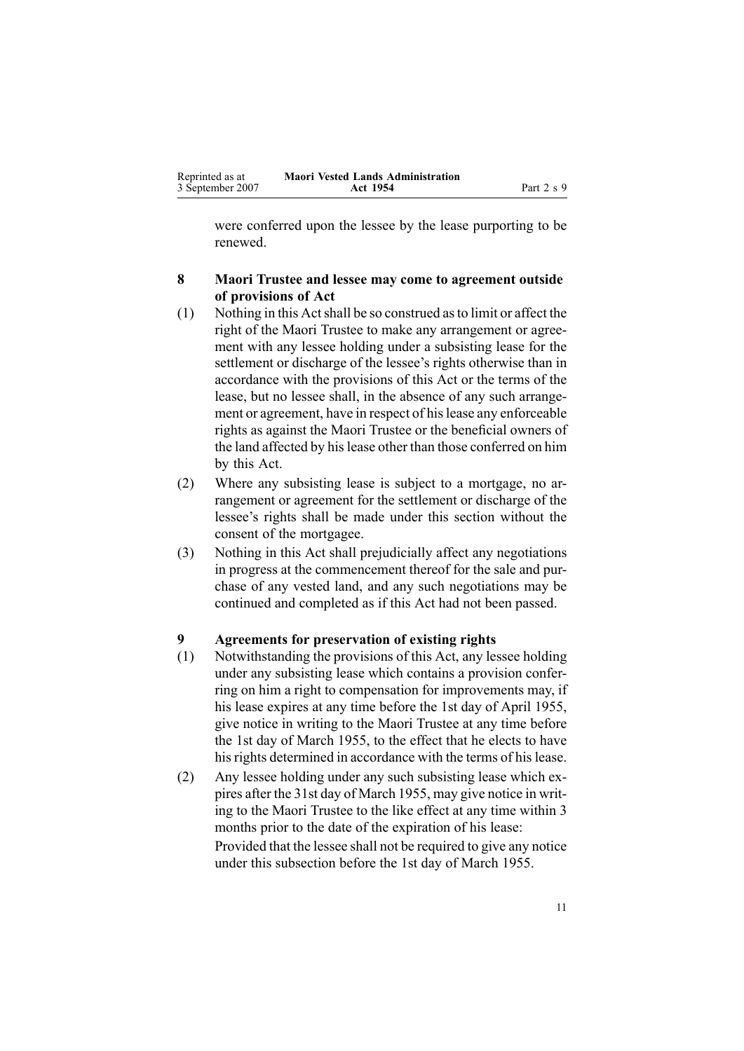<span id="page-10-0"></span>were conferred upon the lessee by the lease purporting to be renewed.

### **8 Maori Trustee and lessee may come to agreement outside of provisions of Act**

- (1) Nothing in this Actshall be so construed asto limit or affect the right of the Maori Trustee to make any arrangemen<sup>t</sup> or agreement with any lessee holding under <sup>a</sup> subsisting lease for the settlement or discharge of the lessee's rights otherwise than in accordance with the provisions of this Act or the terms of the lease, but no lessee shall, in the absence of any such arrangement or agreement, have in respect of his lease any enforceable rights as against the Maori Trustee or the beneficial owners of the land affected by hislease other than those conferred on him by this Act.
- (2) Where any subsisting lease is subject to <sup>a</sup> mortgage, no arrangemen<sup>t</sup> or agreemen<sup>t</sup> for the settlement or discharge of the lessee's rights shall be made under this section without the consent of the mortgagee.
- (3) Nothing in this Act shall prejudicially affect any negotiations in progress at the commencement thereof for the sale and purchase of any vested land, and any such negotiations may be continued and completed as if this Act had not been passed.

#### **9 Agreements for preservation of existing rights**

- (1) Notwithstanding the provisions of this Act, any lessee holding under any subsisting lease which contains <sup>a</sup> provision conferring on him <sup>a</sup> right to compensation for improvements may, if his lease expires at any time before the 1st day of April 1955, give notice in writing to the Maori Trustee at any time before the 1st day of March 1955, to the effect that he elects to have his rights determined in accordance with the terms of his lease.
- (2) Any lessee holding under any such subsisting lease which expires after the 31st day of March 1955, may give notice in writing to the Maori Trustee to the like effect at any time within 3 months prior to the date of the expiration of his lease: Provided that the lessee shall not be required to give any notice under this subsection before the 1st day of March 1955.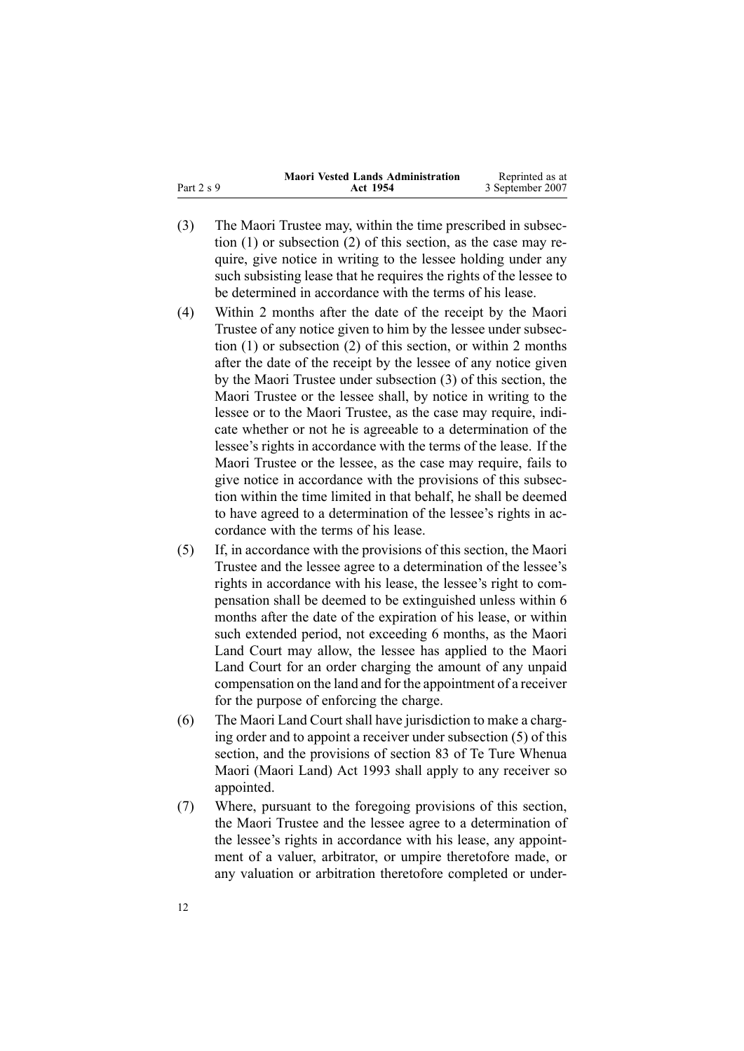|              | <b>Maori Vested Lands Administration</b> | Reprinted as at  |
|--------------|------------------------------------------|------------------|
| Part $2 s 9$ | Act 1954                                 | 3 September 2007 |

- (3) The Maori Trustee may, within the time prescribed in subsection [\(1\)](#page-10-0) or subsection [\(2\)](#page-10-0) of this section, as the case may require, give notice in writing to the lessee holding under any such subsisting lease that he requires the rights of the lessee to be determined in accordance with the terms of his lease.
- (4) Within 2 months after the date of the receipt by the Maori Trustee of any notice given to him by the lessee under subsection [\(1\)](#page-10-0) or subsection [\(2\)](#page-10-0) of this section, or within 2 months after the date of the receipt by the lessee of any notice given by the Maori Trustee under subsection [\(3\)](#page-10-0) of this section, the Maori Trustee or the lessee shall, by notice in writing to the lessee or to the Maori Trustee, as the case may require, indicate whether or not he is agreeable to <sup>a</sup> determination of the lessee's rights in accordance with the terms of the lease. If the Maori Trustee or the lessee, as the case may require, fails to give notice in accordance with the provisions of this subsection within the time limited in that behalf, he shall be deemed to have agreed to <sup>a</sup> determination of the lessee's rights in accordance with the terms of his lease.
- (5) If, in accordance with the provisions of this section, the Maori Trustee and the lessee agree to <sup>a</sup> determination of the lessee's rights in accordance with his lease, the lessee's right to compensation shall be deemed to be extinguished unless within 6 months after the date of the expiration of his lease, or within such extended period, not exceeding 6 months, as the Maori Land Court may allow, the lessee has applied to the Maori Land Court for an order charging the amount of any unpaid compensation on the land and for the appointment of <sup>a</sup> receiver for the purpose of enforcing the charge.
- (6) The Maori Land Court shall have jurisdiction to make <sup>a</sup> charging order and to appoint <sup>a</sup> receiver under subsection [\(5\)](#page-10-0) of this section, and the provisions of section [83](http://www.legislation.govt.nz/pdfLink.aspx?id=DLM290978) of Te Ture [Whenua](http://www.legislation.govt.nz/pdfLink.aspx?id=DLM289881) Maori [\(Maori](http://www.legislation.govt.nz/pdfLink.aspx?id=DLM289881) Land) Act 1993 shall apply to any receiver so appointed.
- (7) Where, pursuan<sup>t</sup> to the foregoing provisions of this section, the Maori Trustee and the lessee agree to <sup>a</sup> determination of the lessee's rights in accordance with his lease, any appointment of <sup>a</sup> valuer, arbitrator, or umpire theretofore made, or any valuation or arbitration theretofore completed or under-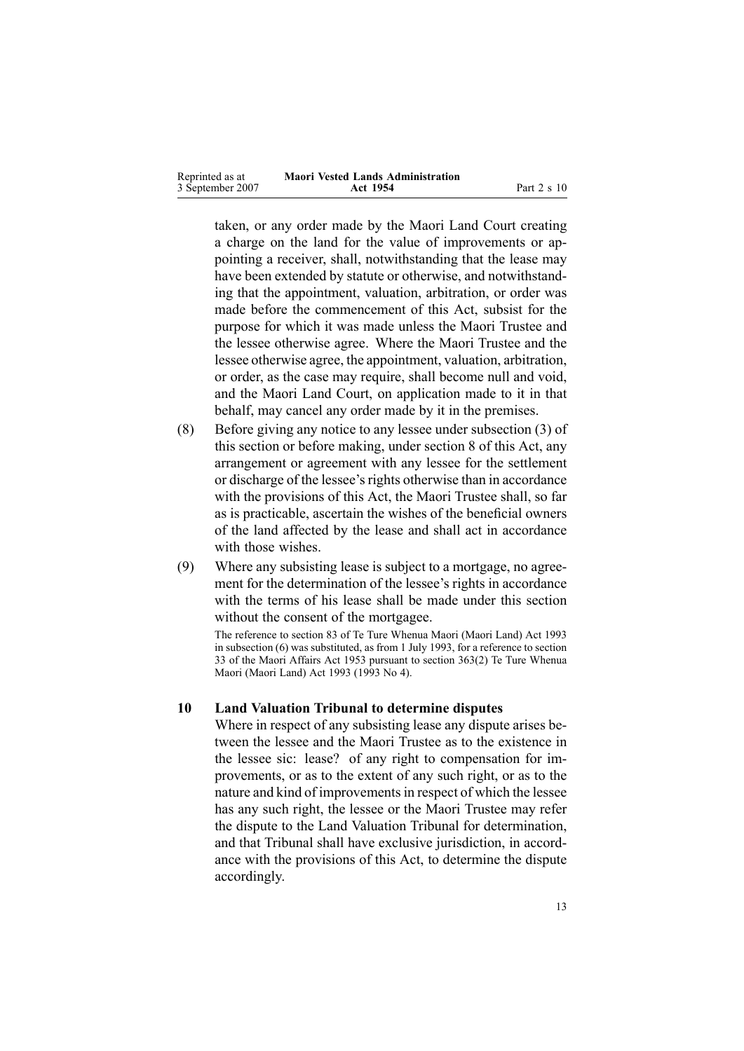<span id="page-12-0"></span>

| Reprinted as at  | <b>Maori Vested Lands Administration</b> |             |
|------------------|------------------------------------------|-------------|
| 3 September 2007 | Act 1954                                 | Part 2 s 10 |

taken, or any order made by the Maori Land Court creating <sup>a</sup> charge on the land for the value of improvements or appointing <sup>a</sup> receiver, shall, notwithstanding that the lease may have been extended by statute or otherwise, and notwithstanding that the appointment, valuation, arbitration, or order was made before the commencement of this Act, subsist for the purpose for which it was made unless the Maori Trustee and the lessee otherwise agree. Where the Maori Trustee and the lessee otherwise agree, the appointment, valuation, arbitration, or order, as the case may require, shall become null and void, and the Maori Land Court, on application made to it in that behalf, may cancel any order made by it in the premises.

- (8) Before giving any notice to any lessee under subsection [\(3\)](#page-10-0) of this section or before making, under section [8](#page-10-0) of this Act, any arrangemen<sup>t</sup> or agreemen<sup>t</sup> with any lessee for the settlement or discharge of the lessee's rights otherwise than in accordance with the provisions of this Act, the Maori Trustee shall, so far as is practicable, ascertain the wishes of the beneficial owners of the land affected by the lease and shall act in accordance with those wishes.
- (9) Where any subsisting lease is subject to <sup>a</sup> mortgage, no agreement for the determination of the lessee's rights in accordance with the terms of his lease shall be made under this section without the consent of the mortgagee.

The reference to section 83 of Te Ture Whenua Maori (Maori Land) Act 1993 in subsection (6) was substituted, as from 1 July 1993, for <sup>a</sup> reference to section 33 of the Maori Affairs Act 1953 pursuan<sup>t</sup> to section [363\(2\)](http://www.legislation.govt.nz/pdfLink.aspx?id=DLM293026) Te Ture Whenua Maori (Maori Land) Act 1993 (1993 No 4).

#### **10 Land Valuation Tribunal to determine disputes**

Where in respec<sup>t</sup> of any subsisting lease any dispute arises between the lessee and the Maori Trustee as to the existence in the lessee sic: lease? of any right to compensation for improvements, or as to the extent of any such right, or as to the nature and kind of improvements in respect of which the lessee has any such right, the lessee or the Maori Trustee may refer the dispute to the Land Valuation Tribunal for determination, and that Tribunal shall have exclusive jurisdiction, in accordance with the provisions of this Act, to determine the dispute accordingly.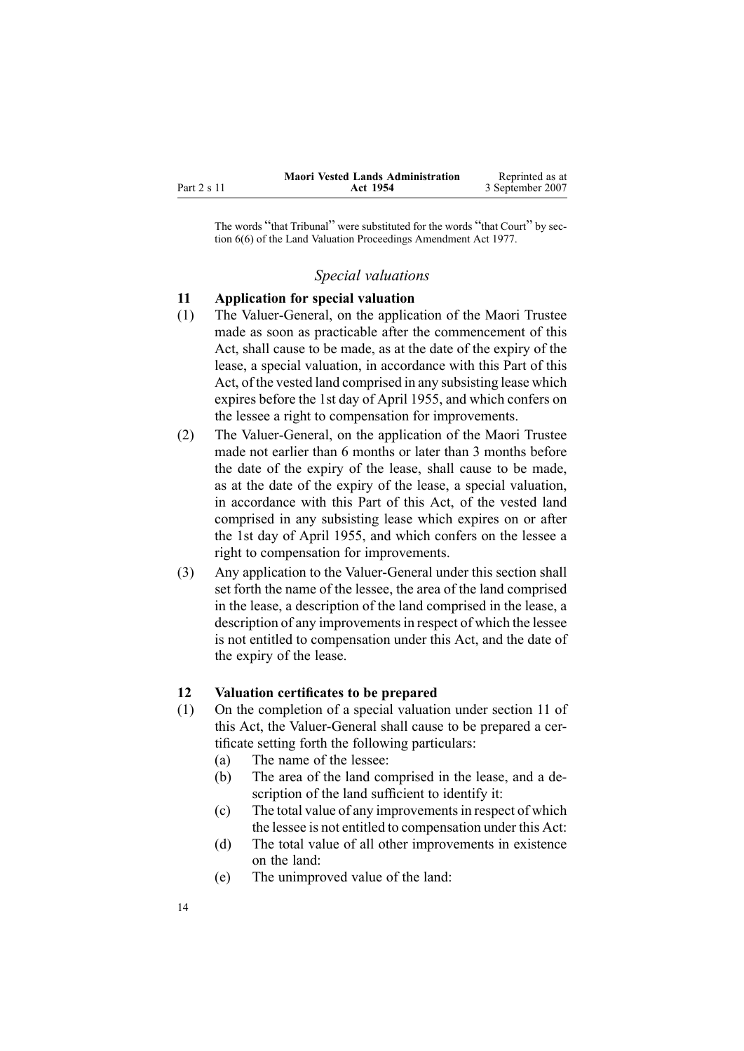<span id="page-13-0"></span>

|             | <b>Maori Vested Lands Administration</b> | Reprinted as at  |
|-------------|------------------------------------------|------------------|
| Part 2 s 11 | Act 1954                                 | 3 September 2007 |

The words "that Tribunal" were substituted for the words "that Court" by section [6\(6\)](http://www.legislation.govt.nz/pdfLink.aspx?id=DLM442575) of the Land Valuation Proceedings Amendment Act 1977.

#### *Special valuations*

#### **11 Application for special valuation**

- (1) The Valuer-General, on the application of the Maori Trustee made as soon as practicable after the commencement of this Act, shall cause to be made, as at the date of the expiry of the lease, <sup>a</sup> special valuation, in accordance with this Part of this Act, of the vested land comprised in any subsisting lease which expires before the 1st day of April 1955, and which confers on the lessee <sup>a</sup> right to compensation for improvements.
- (2) The Valuer-General, on the application of the Maori Trustee made not earlier than 6 months or later than 3 months before the date of the expiry of the lease, shall cause to be made, as at the date of the expiry of the lease, <sup>a</sup> special valuation, in accordance with this Part of this Act, of the vested land comprised in any subsisting lease which expires on or after the 1st day of April 1955, and which confers on the lessee <sup>a</sup> right to compensation for improvements.
- (3) Any application to the Valuer-General under this section shall set forth the name of the lessee, the area of the land comprised in the lease, <sup>a</sup> description of the land comprised in the lease, <sup>a</sup> description of any improvements in respect of which the lessee is not entitled to compensation under this Act, and the date of the expiry of the lease.

#### **12 Valuation certificates to be prepared**

- (1) On the completion of <sup>a</sup> special valuation under section 11 of this Act, the Valuer-General shall cause to be prepared a certificate setting forth the following particulars:
	- (a) The name of the lessee:
	- (b) The area of the land comprised in the lease, and <sup>a</sup> description of the land sufficient to identify it:
	- (c) The total value of any improvementsin respec<sup>t</sup> of which the lessee is not entitled to compensation under this Act:
	- (d) The total value of all other improvements in existence on the land:
	- (e) The unimproved value of the land: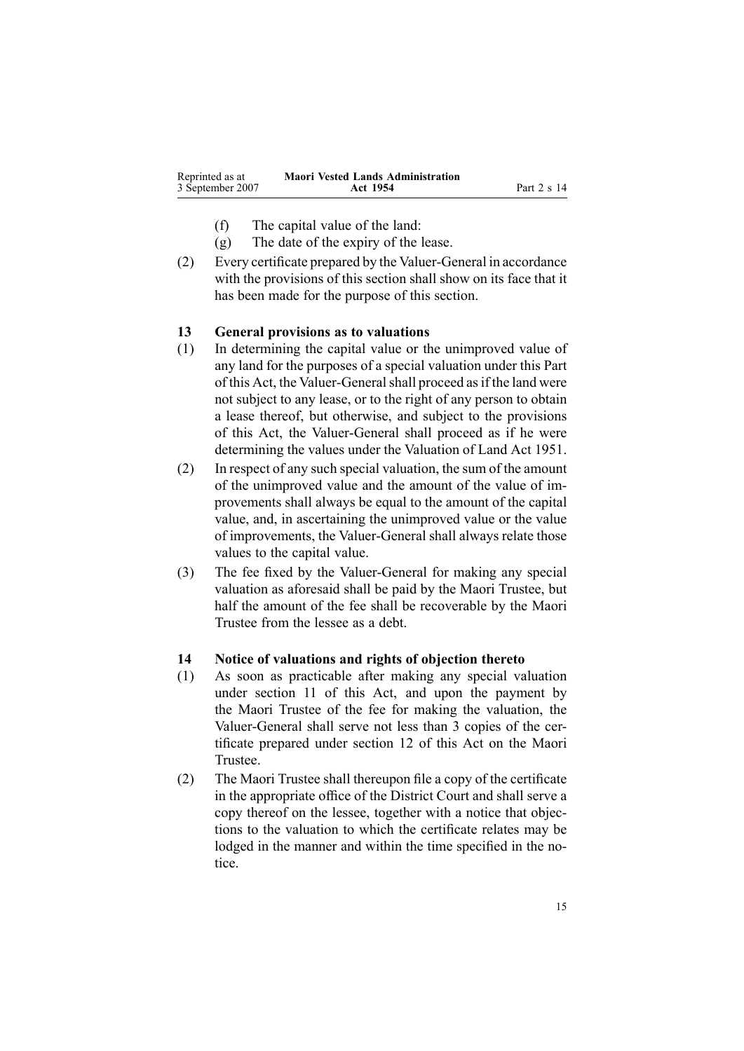<span id="page-14-0"></span>

| Reprinted as at  | <b>Maori Vested Lands Administration</b> |             |
|------------------|------------------------------------------|-------------|
| 3 September 2007 | Act 1954                                 | Part 2 s 14 |

- (f) The capital value of the land:
- (g) The date of the expiry of the lease.
- $(2)$  Every certificate prepared by the Valuer-General in accordance with the provisions of this section shall show on its face that it has been made for the purpose of this section.

#### **13 General provisions as to valuations**

- (1) In determining the capital value or the unimproved value of any land for the purposes of <sup>a</sup> special valuation under this Part of this Act, the Valuer-General shall proceed as if the land were not subject to any lease, or to the right of any person to obtain <sup>a</sup> lease thereof, but otherwise, and subject to the provisions of this Act, the Valuer-General shall proceed as if he were determining the values under the Valuation of Land Act 1951.
- (2) In respec<sup>t</sup> of any such special valuation, the sum of the amount of the unimproved value and the amount of the value of improvements shall always be equal to the amount of the capital value, and, in ascertaining the unimproved value or the value of improvements, the Valuer-General shall always relate those values to the capital value.
- (3) The fee fixed by the Valuer-General for making any special valuation as aforesaid shall be paid by the Maori Trustee, but half the amount of the fee shall be recoverable by the Maori Trustee from the lessee as <sup>a</sup> debt.

### **14 Notice of valuations and rights of objection thereto**

- (1) As soon as practicable after making any special valuation under section [11](#page-13-0) of this Act, and upon the paymen<sup>t</sup> by the Maori Trustee of the fee for making the valuation, the Valuer-General shall serve not less than 3 copies of the certificate prepared under section [12](#page-13-0) of this Act on the Maori Trustee.
- (2) The Maori Trustee shall thereupon file <sup>a</sup> copy of the certificate in the appropriate office of the District Court and shall serve <sup>a</sup> copy thereof on the lessee, together with <sup>a</sup> notice that objections to the valuation to which the certificate relates may be lodged in the manner and within the time specified in the notice.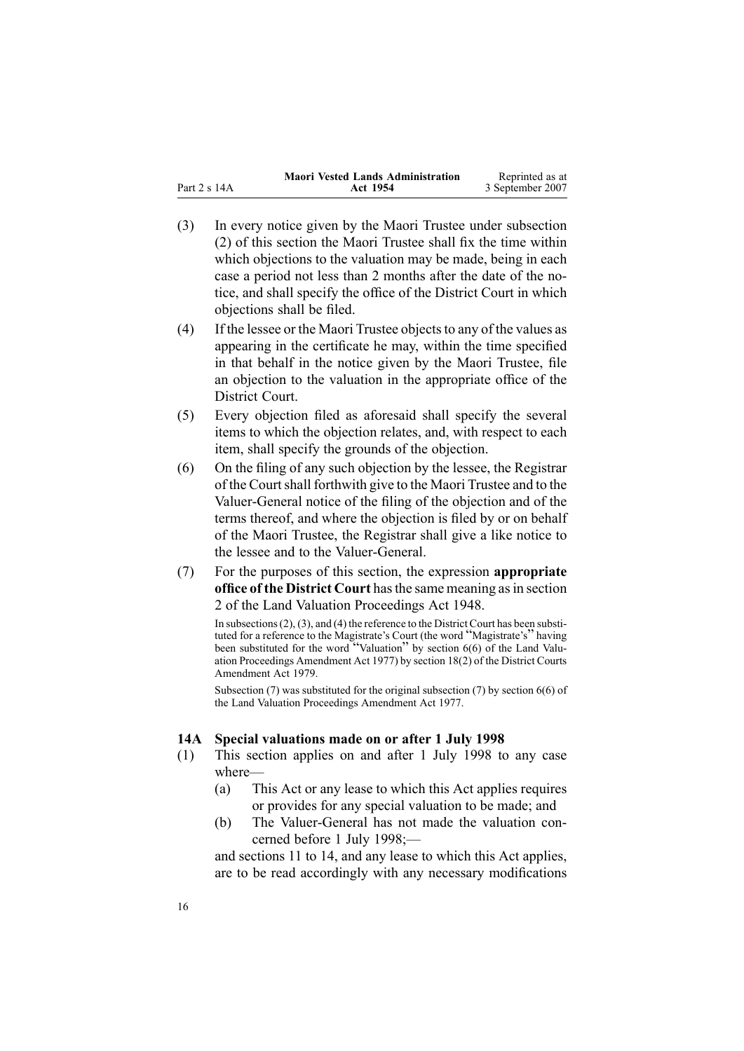<span id="page-15-0"></span>

|              | <b>Maori Vested Lands Administration</b> | Reprinted as at  |
|--------------|------------------------------------------|------------------|
| Part 2 s 14A | Act 1954                                 | 3 September 2007 |

- (3) In every notice given by the Maori Trustee under subsection [\(2\)](#page-14-0) of this section the Maori Trustee shall fix the time within which objections to the valuation may be made, being in each case <sup>a</sup> period not less than 2 months after the date of the notice, and shall specify the office of the District Court in which objections shall be filed.
- $(4)$  If the lessee or the Maori Trustee objects to any of the values as appearing in the certificate he may, within the time specified in that behalf in the notice given by the Maori Trustee, file an objection to the valuation in the appropriate office of the District Court.
- (5) Every objection filed as aforesaid shall specify the several items to which the objection relates, and, with respec<sup>t</sup> to each item, shall specify the grounds of the objection.
- (6) On the filing of any such objection by the lessee, the Registrar of the Courtshall forthwith give to the Maori Trustee and to the Valuer-General notice of the filing of the objection and of the terms thereof, and where the objection is filed by or on behalf of the Maori Trustee, the Registrar shall give <sup>a</sup> like notice to the lessee and to the Valuer-General.
- (7) For the purposes of this section, the expression **appropriate office of the District Court** hasthe same meaning asin section [2](http://www.legislation.govt.nz/pdfLink.aspx?id=DLM249219) of the Land Valuation [Proceedings](http://www.legislation.govt.nz/pdfLink.aspx?id=DLM249212) Act 1948.

In subsections  $(2)$ ,  $(3)$ , and  $(4)$  the reference to the District Court has been substituted for <sup>a</sup> reference to the Magistrate's Court (the word "Magistrate's" having been substituted for the word "Valuation" by section [6\(6\)](http://www.legislation.govt.nz/pdfLink.aspx?id=DLM442575) of the Land Valuation Proceedings Amendment Act 1977) by section [18\(2\)](http://www.legislation.govt.nz/pdfLink.aspx?id=DLM35085) of the District Courts Amendment Act 1979.

Subsection (7) was substituted for the original subsection (7) by section [6\(6\)](http://www.legislation.govt.nz/pdfLink.aspx?id=DLM442575) of the Land Valuation Proceedings Amendment Act 1977.

#### **14A Special valuations made on or after 1 July 1998**

- (1) This section applies on and after 1 July 1998 to any case where—
	- (a) This Act or any lease to which this Act applies requires or provides for any special valuation to be made; and
	- (b) The Valuer-General has not made the valuation concerned before 1 July 1998;—

and sections 11 to [14](#page-13-0), and any lease to which this Act applies, are to be read accordingly with any necessary modifications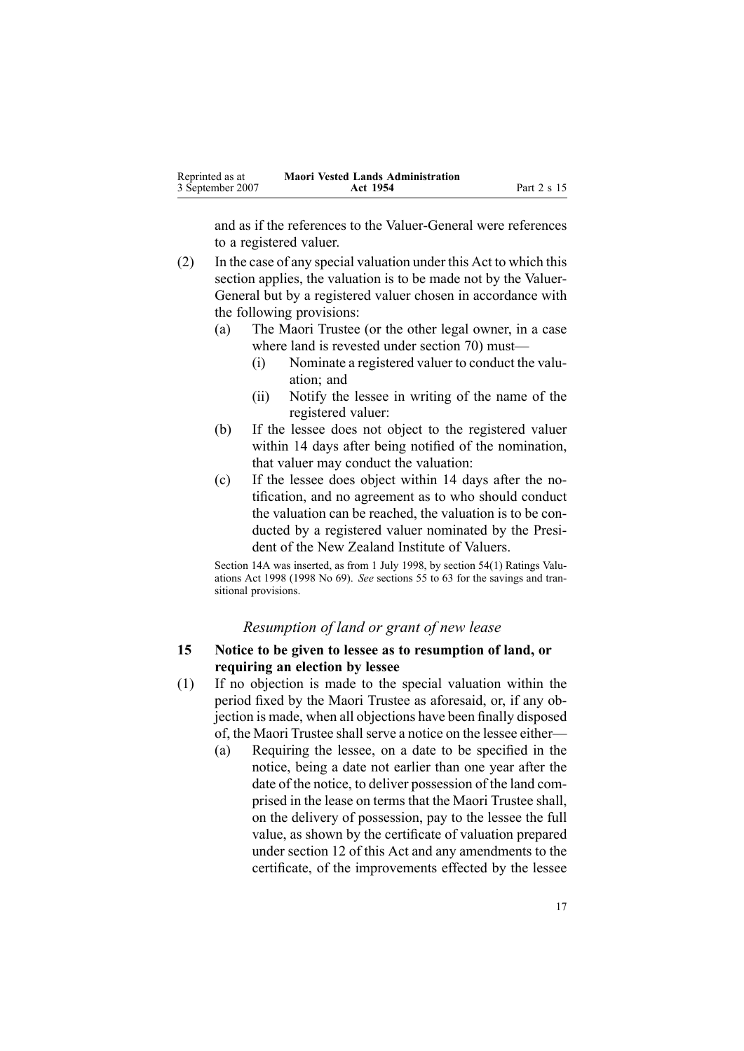<span id="page-16-0"></span>

| Reprinted as at  | <b>Maori Vested Lands Administration</b> |             |
|------------------|------------------------------------------|-------------|
| 3 September 2007 | Act 1954                                 | Part 2 s 15 |

and as if the references to the Valuer-General were references to <sup>a</sup> registered valuer.

- (2) In the case of any special valuation under this Act to which this section applies, the valuation is to be made not by the Valuer-General but by <sup>a</sup> registered valuer chosen in accordance with the following provisions:
	- (a) The Maori Trustee (or the other legal owner, in <sup>a</sup> case where land is revested under section [70](#page-43-0)) must—
		- (i) Nominate <sup>a</sup> registered valuer to conduct the valuation; and
		- (ii) Notify the lessee in writing of the name of the registered valuer:
	- (b) If the lessee does not object to the registered valuer within 14 days after being notified of the nomination, that valuer may conduct the valuation:
	- (c) If the lessee does object within 14 days after the notification, and no agreemen<sup>t</sup> as to who should conduct the valuation can be reached, the valuation is to be conducted by <sup>a</sup> registered valuer nominated by the President of the New Zealand Institute of Valuers.

Section 14A was inserted, as from 1 July 1998, by section [54\(1\)](http://www.legislation.govt.nz/pdfLink.aspx?id=DLM427717) Ratings Valuations Act 1998 (1998 No 69). *See* sections 55 to [63](http://www.legislation.govt.nz/pdfLink.aspx?id=DLM427719) for the savings and transitional provisions.

#### *Resumption of land or gran<sup>t</sup> of new lease*

### **15 Notice to be given to lessee as to resumption of land, or requiring an election by lessee**

- (1) If no objection is made to the special valuation within the period fixed by the Maori Trustee as aforesaid, or, if any objection is made, when all objections have been finally disposed of, the Maori Trustee shall serve a notice on the lessee either—
	- (a) Requiring the lessee, on <sup>a</sup> date to be specified in the notice, being <sup>a</sup> date not earlier than one year after the date of the notice, to deliver possession of the land comprised in the lease on terms that the Maori Trustee shall, on the delivery of possession, pay to the lessee the full value, as shown by the certificate of valuation prepared under section [12](#page-13-0) of this Act and any amendments to the certificate, of the improvements effected by the lessee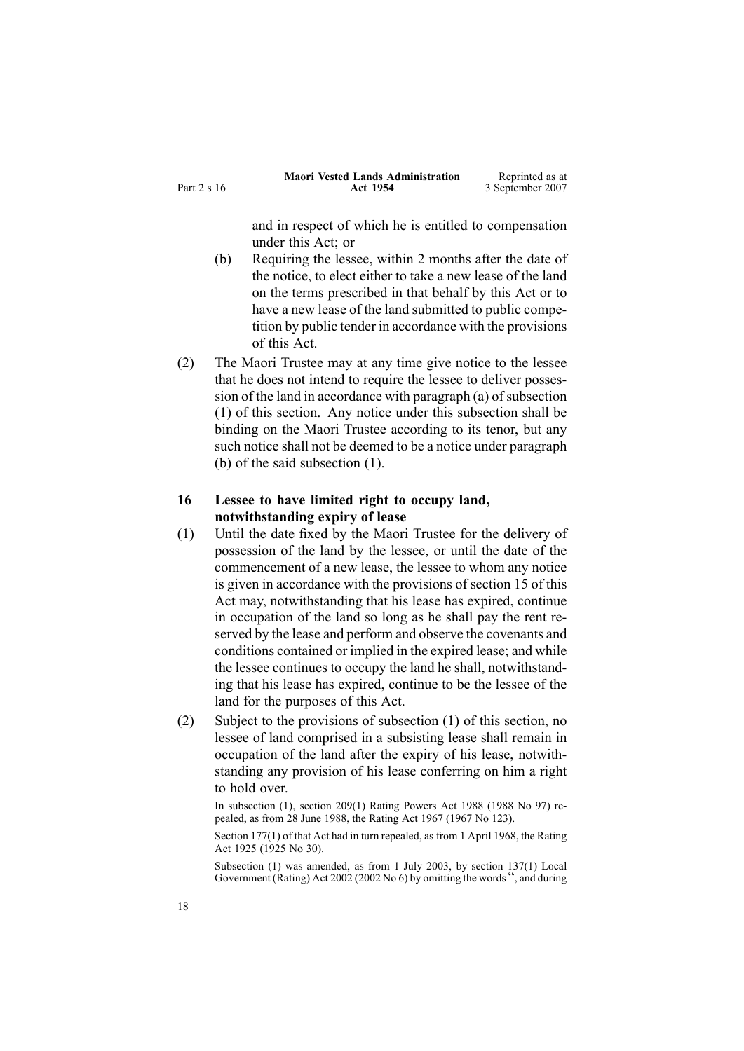<span id="page-17-0"></span>

|             | <b>Maori Vested Lands Administration</b> | Reprinted as at  |
|-------------|------------------------------------------|------------------|
| Part 2 s 16 | Act 1954                                 | 3 September 2007 |

and in respec<sup>t</sup> of which he is entitled to compensation under this Act; or

- (b) Requiring the lessee, within 2 months after the date of the notice, to elect either to take <sup>a</sup> new lease of the land on the terms prescribed in that behalf by this Act or to have <sup>a</sup> new lease of the land submitted to public competition by public tender in accordance with the provisions of this Act.
- (2) The Maori Trustee may at any time give notice to the lessee that he does not intend to require the lessee to deliver posses-sion of the land in accordance with paragraph [\(a\)](#page-16-0) of subsection (1) of this section. Any notice under this subsection shall be binding on the Maori Trustee according to its tenor, but any such notice shall not be deemed to be <sup>a</sup> notice under paragraph [\(b\)](#page-16-0) of the said subsection (1).

### **16 Lessee to have limited right to occupy land, notwithstanding expiry of lease**

- (1) Until the date fixed by the Maori Trustee for the delivery of possession of the land by the lessee, or until the date of the commencement of <sup>a</sup> new lease, the lessee to whom any notice is given in accordance with the provisions of section [15](#page-16-0) of this Act may, notwithstanding that his lease has expired, continue in occupation of the land so long as he shall pay the rent reserved by the lease and perform and observe the covenants and conditions contained or implied in the expired lease; and while the lessee continues to occupy the land he shall, notwithstanding that his lease has expired, continue to be the lessee of the land for the purposes of this Act.
- (2) Subject to the provisions of subsection (1) of this section, no lessee of land comprised in <sup>a</sup> subsisting lease shall remain in occupation of the land after the expiry of his lease, notwithstanding any provision of his lease conferring on him <sup>a</sup> right to hold over.

In subsection (1), section 209(1) Rating Powers Act 1988 (1988 No 97) repealed, as from 28 June 1988, the Rating Act 1967 (1967 No 123).

Section 177(1) of that Act had in turn repealed, as from 1 April 1968, the Rating Act 1925 (1925 No 30).

Subsection (1) was amended, as from 1 July 2003, by section [137\(1\)](http://www.legislation.govt.nz/pdfLink.aspx?id=DLM133500) Local Government (Rating) Act <sup>2002</sup> (2002 No 6) by omitting the words ", and during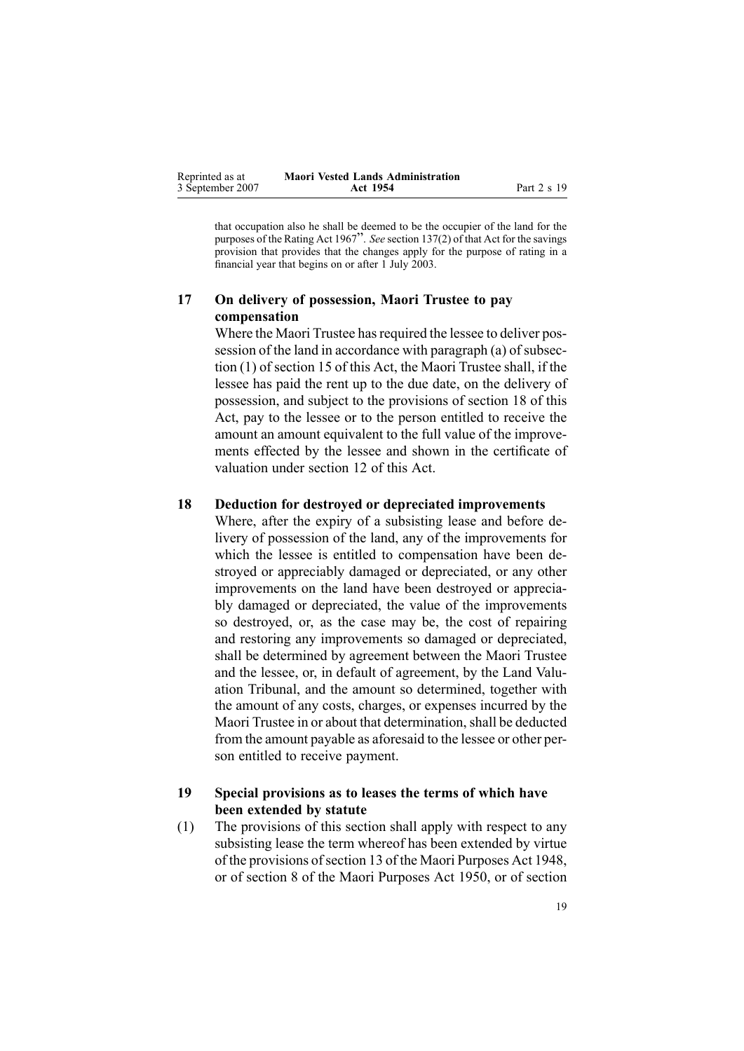<span id="page-18-0"></span>

| Reprinted as at  | <b>Maori Vested Lands Administration</b> |             |
|------------------|------------------------------------------|-------------|
| 3 September 2007 | Act 1954                                 | Part 2 s 19 |

that occupation also he shall be deemed to be the occupier of the land for the purposes of the Rating Act <sup>1967</sup>". *See* section [137\(2\)](http://www.legislation.govt.nz/pdfLink.aspx?id=DLM133500) of that Act for the savings provision that provides that the changes apply for the purpose of rating in <sup>a</sup> financial year that begins on or after 1 July 2003.

### **17 On delivery of possession, Maori Trustee to pay compensation**

Where the Maori Trustee has required the lessee to deliver pos-session of the land in accordance with paragraph [\(a\)](#page-16-0) of subsection (1) of section 15 of this Act, the Maori Trustee shall, if the lessee has paid the rent up to the due date, on the delivery of possession, and subject to the provisions of section 18 of this Act, pay to the lessee or to the person entitled to receive the amount an amount equivalent to the full value of the improvements effected by the lessee and shown in the certificate of valuation under section [12](#page-13-0) of this Act.

#### **18 Deduction for destroyed or depreciated improvements**

Where, after the expiry of <sup>a</sup> subsisting lease and before delivery of possession of the land, any of the improvements for which the lessee is entitled to compensation have been destroyed or appreciably damaged or depreciated, or any other improvements on the land have been destroyed or appreciably damaged or depreciated, the value of the improvements so destroyed, or, as the case may be, the cost of repairing and restoring any improvements so damaged or depreciated, shall be determined by agreemen<sup>t</sup> between the Maori Trustee and the lessee, or, in default of agreement, by the Land Valuation Tribunal, and the amount so determined, together with the amount of any costs, charges, or expenses incurred by the Maori Trustee in or about that determination, shall be deducted from the amount payable as aforesaid to the lessee or other person entitled to receive payment.

### **19 Special provisions as to leases the terms of which have been extended by statute**

(1) The provisions of this section shall apply with respec<sup>t</sup> to any subsisting lease the term whereof has been extended by virtue of the provisions of section [13](http://www.legislation.govt.nz/pdfLink.aspx?id=DLM254468) of the Maori [Purposes](http://www.legislation.govt.nz/pdfLink.aspx?id=DLM254439) Act 1948, or of section 8 of the Maori Purposes Act 1950, or of section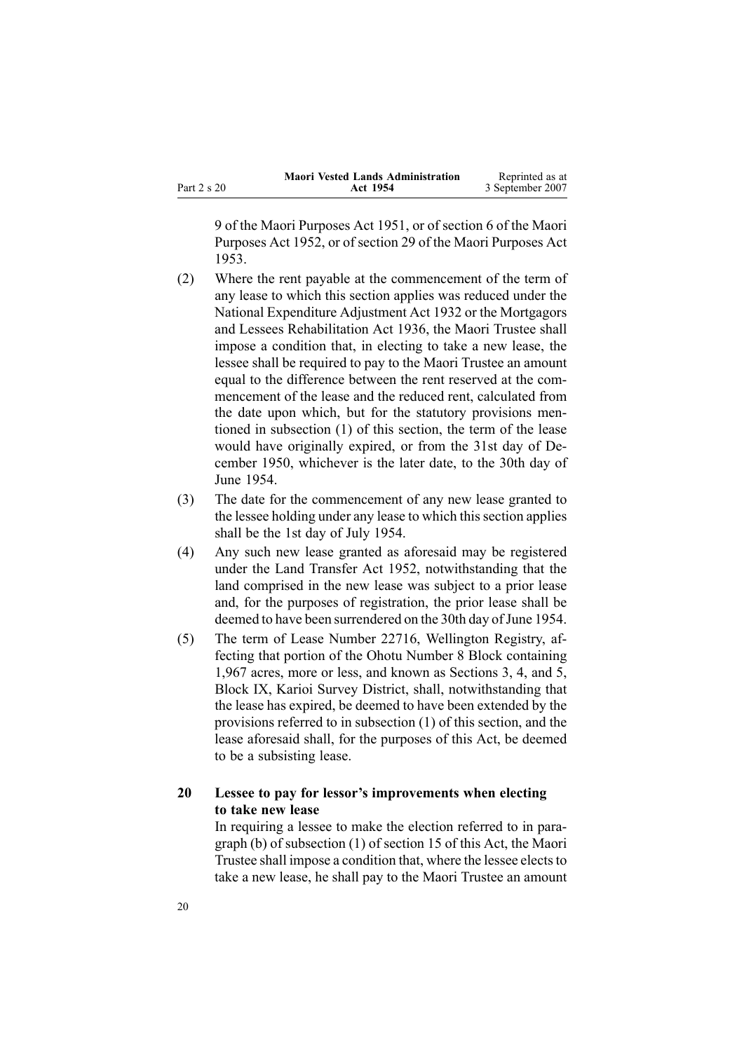<span id="page-19-0"></span>

|             | <b>Maori Vested Lands Administration</b> | Reprinted as at  |
|-------------|------------------------------------------|------------------|
| Part 2 s 20 | Act 1954                                 | 3 September 2007 |

[9](http://www.legislation.govt.nz/pdfLink.aspx?id=DLM264512) of the Maori [Purposes](http://www.legislation.govt.nz/pdfLink.aspx?id=DLM264192) Act 1951, or of section [6](http://www.legislation.govt.nz/pdfLink.aspx?id=DLM275633) of the [Maori](http://www.legislation.govt.nz/pdfLink.aspx?id=DLM275619) [Purposes](http://www.legislation.govt.nz/pdfLink.aspx?id=DLM275619) Act 1952, or of section [29](http://www.legislation.govt.nz/pdfLink.aspx?id=DLM284302) of the Maori [Purposes](http://www.legislation.govt.nz/pdfLink.aspx?id=DLM283859) Act [1953](http://www.legislation.govt.nz/pdfLink.aspx?id=DLM283859).

- (2) Where the rent payable at the commencement of the term of any lease to which this section applies was reduced under the National [Expenditure](http://www.legislation.govt.nz/pdfLink.aspx?id=DLM212211) Adjustment Act 1932 or the [Mortgagors](http://www.legislation.govt.nz/pdfLink.aspx?id=DLM219821) and Lessees [Rehabilitation](http://www.legislation.govt.nz/pdfLink.aspx?id=DLM219821) Act 1936, the Maori Trustee shall impose <sup>a</sup> condition that, in electing to take <sup>a</sup> new lease, the lessee shall be required to pay to the Maori Trustee an amount equal to the difference between the rent reserved at the commencement of the lease and the reduced rent, calculated from the date upon which, but for the statutory provisions mentioned in subsection [\(1\)](#page-18-0) of this section, the term of the lease would have originally expired, or from the 31st day of December 1950, whichever is the later date, to the 30th day of June 1954.
- (3) The date for the commencement of any new lease granted to the lessee holding under any lease to which this section applies shall be the 1st day of July 1954.
- (4) Any such new lease granted as aforesaid may be registered under the Land [Transfer](http://www.legislation.govt.nz/pdfLink.aspx?id=DLM269031) Act 1952, notwithstanding that the land comprised in the new lease was subject to <sup>a</sup> prior lease and, for the purposes of registration, the prior lease shall be deemed to have been surrendered on the 30th day of June 1954.
- (5) The term of Lease Number 22716, Wellington Registry, affecting that portion of the Ohotu Number 8 Block containing 1,967 acres, more or less, and known as Sections 3, 4, and 5, Block IX, Karioi Survey District, shall, notwithstanding that the lease has expired, be deemed to have been extended by the provisions referred to in subsection [\(1\)](#page-18-0) of this section, and the lease aforesaid shall, for the purposes of this Act, be deemed to be <sup>a</sup> subsisting lease.

### **20 Lessee to pay for lessor's improvements when electing to take new lease**

In requiring <sup>a</sup> lessee to make the election referred to in paragraph [\(b\)](#page-16-0) of subsection (1) of section 15 of this Act, the Maori Trustee shall impose a condition that, where the lessee elects to take <sup>a</sup> new lease, he shall pay to the Maori Trustee an amount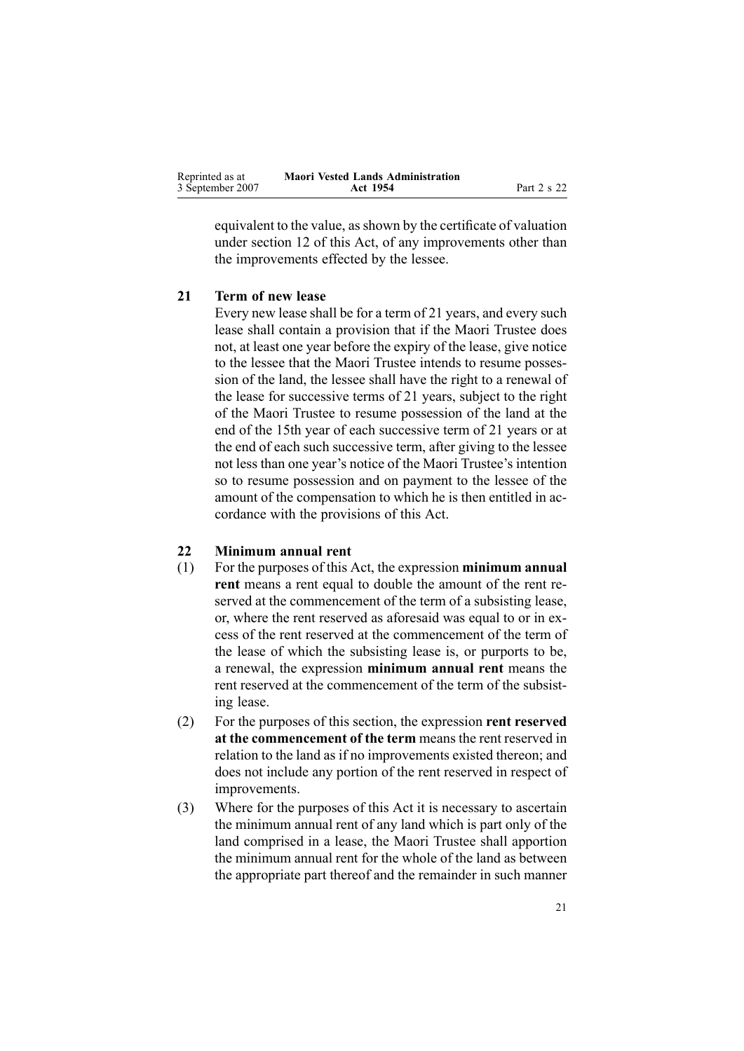<span id="page-20-0"></span>

| Reprinted as at  | <b>Maori Vested Lands Administration</b> |             |
|------------------|------------------------------------------|-------------|
| 3 September 2007 | Act 1954                                 | Part 2 s 22 |

equivalent to the value, asshown by the certificate of valuation under section [12](#page-13-0) of this Act, of any improvements other than the improvements effected by the lessee.

### **21 Term of new lease**

Every new lease shall be for <sup>a</sup> term of 21 years, and every such lease shall contain <sup>a</sup> provision that if the Maori Trustee does not, at least one year before the expiry of the lease, give notice to the lessee that the Maori Trustee intends to resume possession of the land, the lessee shall have the right to <sup>a</sup> renewal of the lease for successive terms of 21 years, subject to the right of the Maori Trustee to resume possession of the land at the end of the 15th year of each successive term of 21 years or at the end of each such successive term, after giving to the lessee not less than one year's notice of the Maori Trustee's intention so to resume possession and on paymen<sup>t</sup> to the lessee of the amount of the compensation to which he is then entitled in accordance with the provisions of this Act.

### **22 Minimum annual rent**

- (1) For the purposes of this Act, the expression **minimum annual rent** means <sup>a</sup> rent equal to double the amount of the rent reserved at the commencement of the term of <sup>a</sup> subsisting lease, or, where the rent reserved as aforesaid was equal to or in excess of the rent reserved at the commencement of the term of the lease of which the subsisting lease is, or purports to be, <sup>a</sup> renewal, the expression **minimum annual rent** means the rent reserved at the commencement of the term of the subsisting lease.
- (2) For the purposes of this section, the expression **rent reserved at the commencement of the term** means the rent reserved in relation to the land as if no improvements existed thereon; and does not include any portion of the rent reserved in respec<sup>t</sup> of improvements.
- (3) Where for the purposes of this Act it is necessary to ascertain the minimum annual rent of any land which is par<sup>t</sup> only of the land comprised in <sup>a</sup> lease, the Maori Trustee shall apportion the minimum annual rent for the whole of the land as between the appropriate par<sup>t</sup> thereof and the remainder in such manner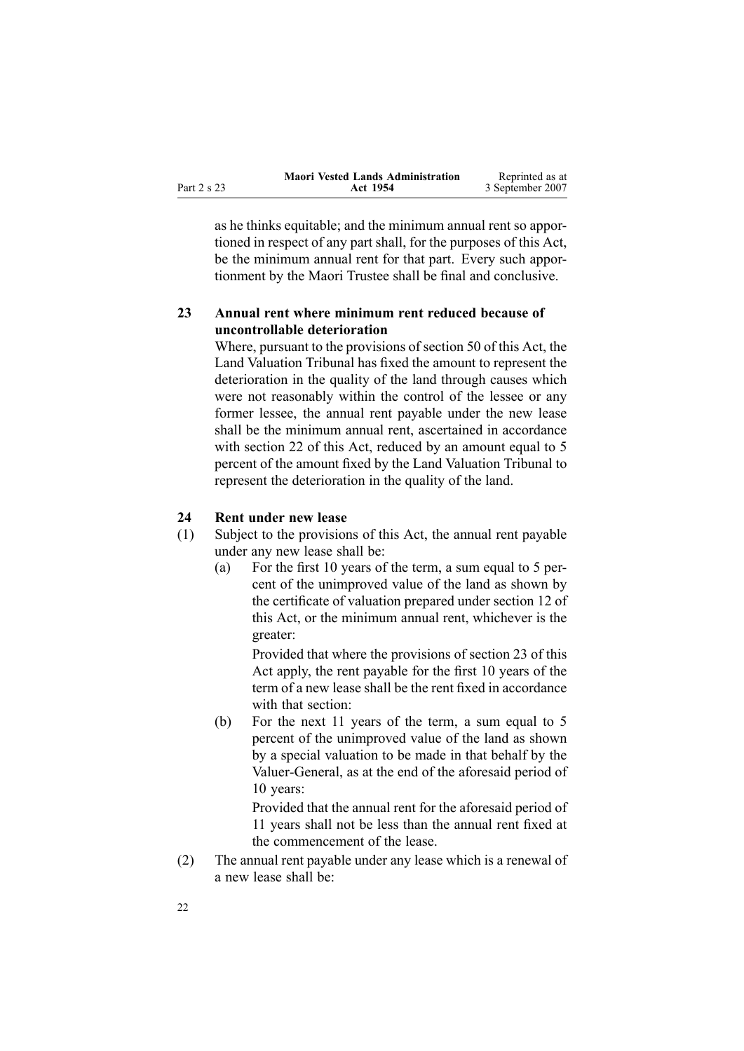<span id="page-21-0"></span>

|             | <b>Maori Vested Lands Administration</b> | Reprinted as at  |
|-------------|------------------------------------------|------------------|
| Part 2 s 23 | Act 1954                                 | 3 September 2007 |

as he thinks equitable; and the minimum annual rent so apportioned in respec<sup>t</sup> of any par<sup>t</sup> shall, for the purposes of this Act, be the minimum annual rent for that part. Every such apportionment by the Maori Trustee shall be final and conclusive.

### **23 Annual rent where minimum rent reduced because of uncontrollable deterioration**

Where, pursuan<sup>t</sup> to the provisions of section [50](#page-34-0) of this Act, the Land Valuation Tribunal has fixed the amount to represen<sup>t</sup> the deterioration in the quality of the land through causes which were not reasonably within the control of the lessee or any former lessee, the annual rent payable under the new lease shall be the minimum annual rent, ascertained in accordance with section [22](#page-20-0) of this Act, reduced by an amount equal to 5 percen<sup>t</sup> of the amount fixed by the Land Valuation Tribunal to represen<sup>t</sup> the deterioration in the quality of the land.

### **24 Rent under new lease**

- (1) Subject to the provisions of this Act, the annual rent payable under any new lease shall be:
	- (a) For the first 10 years of the term, <sup>a</sup> sum equal to 5 percent of the unimproved value of the land as shown by the certificate of valuation prepared under section [12](#page-13-0) of this Act, or the minimum annual rent, whichever is the greater:

Provided that where the provisions of section 23 of this Act apply, the rent payable for the first 10 years of the term of <sup>a</sup> new lease shall be the rent fixed in accordance with that section:

(b) For the next 11 years of the term, <sup>a</sup> sum equal to 5 percen<sup>t</sup> of the unimproved value of the land as shown by <sup>a</sup> special valuation to be made in that behalf by the Valuer-General, as at the end of the aforesaid period of 10 years:

> Provided that the annual rent for the aforesaid period of 11 years shall not be less than the annual rent fixed at the commencement of the lease.

(2) The annual rent payable under any lease which is <sup>a</sup> renewal of <sup>a</sup> new lease shall be: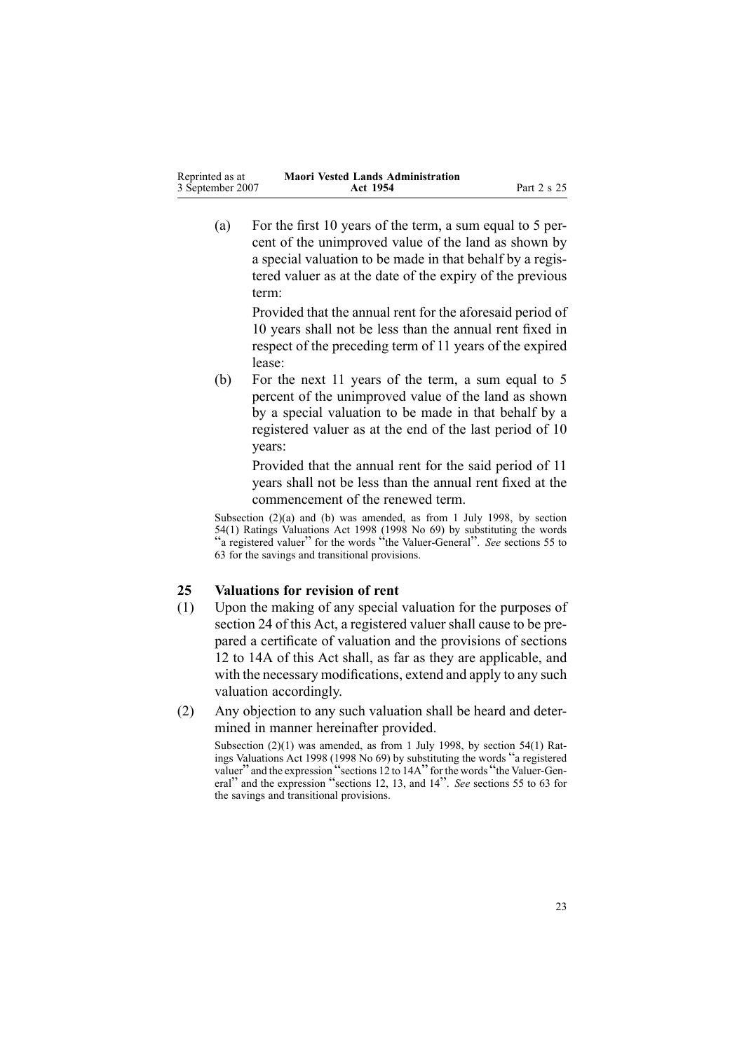<span id="page-22-0"></span>(a) For the first 10 years of the term, <sup>a</sup> sum equal to 5 percent of the unimproved value of the land as shown by <sup>a</sup> special valuation to be made in that behalf by <sup>a</sup> registered valuer as at the date of the expiry of the previous term:

> Provided that the annual rent for the aforesaid period of 10 years shall not be less than the annual rent fixed in respec<sup>t</sup> of the preceding term of 11 years of the expired lease:

(b) For the next 11 years of the term, <sup>a</sup> sum equal to 5 percen<sup>t</sup> of the unimproved value of the land as shown by <sup>a</sup> special valuation to be made in that behalf by <sup>a</sup> registered valuer as at the end of the last period of 10 years:

> Provided that the annual rent for the said period of 11 years shall not be less than the annual rent fixed at the commencement of the renewed term.

Subsection (2)(a) and (b) was amended, as from 1 July 1998, by section [54\(1\)](http://www.legislation.govt.nz/pdfLink.aspx?id=DLM427717) Ratings Valuations Act 1998 (1998 No 69) by substituting the words "a registered valuer" for the words "the Valuer-General". *See* sections [55](http://www.legislation.govt.nz/pdfLink.aspx?id=DLM427719) to [63](http://www.legislation.govt.nz/pdfLink.aspx?id=DLM427719) for the savings and transitional provisions.

### **25 Valuations for revision of rent**

- (1) Upon the making of any special valuation for the purposes of section [24](#page-21-0) of this Act, <sup>a</sup> registered valuer shall cause to be prepared <sup>a</sup> certificate of valuation and the provisions of sections 12 to [14A](#page-13-0) of this Act shall, as far as they are applicable, and with the necessary modifications, extend and apply to any such valuation accordingly.
- (2) Any objection to any such valuation shall be heard and determined in manner hereinafter provided.

Subsection (2)(1) was amended, as from 1 July 1998, by section [54\(1\)](http://www.legislation.govt.nz/pdfLink.aspx?id=DLM427717) Ratings Valuations Act <sup>1998</sup> (1998 No 69) by substituting the words "<sup>a</sup> registered valuer" and the expression "sections 12 to 14A" for the words "the Valuer-General" and the expression "sections 12, 13, and <sup>14</sup>". *See* sections <sup>55</sup> to [63](http://www.legislation.govt.nz/pdfLink.aspx?id=DLM427719) for the savings and transitional provisions.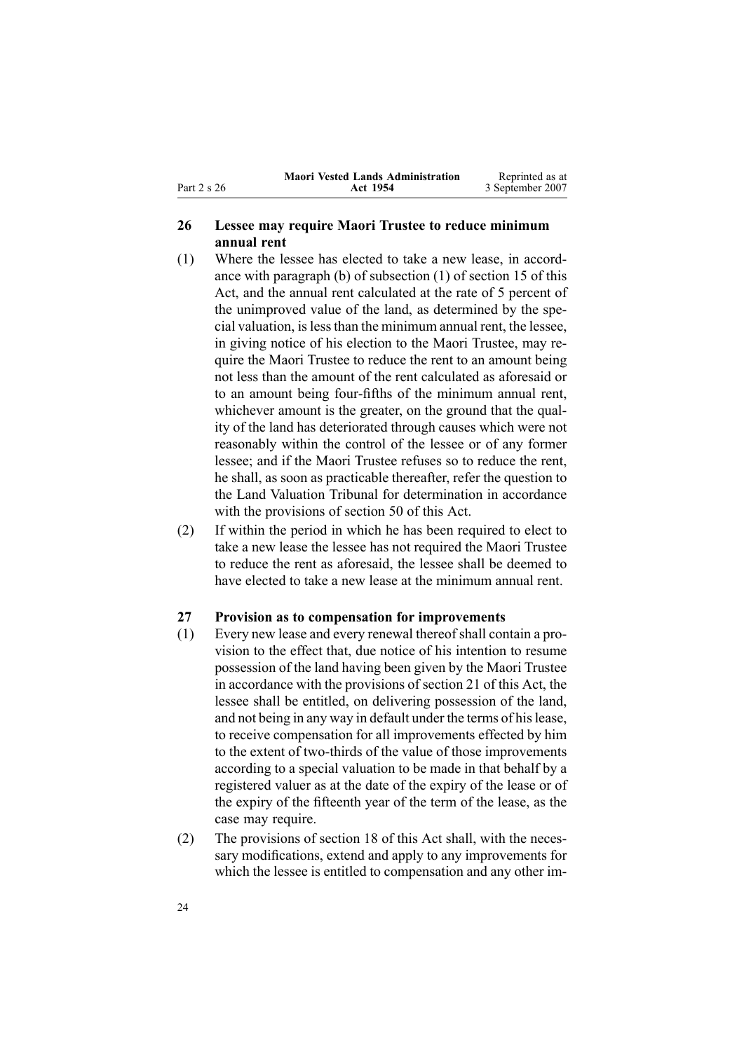<span id="page-23-0"></span>Part 2 <sup>s</sup> 26

#### **Maori Vested Lands Administration Act 1954** Reprinted as at 3 September 2007

### **26 Lessee may require Maori Trustee to reduce minimum annual rent**

- (1) Where the lessee has elected to take <sup>a</sup> new lease, in accordance with paragraph [\(b\)](#page-16-0) of subsection (1) of section 15 of this Act, and the annual rent calculated at the rate of 5 percen<sup>t</sup> of the unimproved value of the land, as determined by the special valuation, islessthan the minimum annual rent, the lessee, in giving notice of his election to the Maori Trustee, may require the Maori Trustee to reduce the rent to an amount being not less than the amount of the rent calculated as aforesaid or to an amount being four-fifths of the minimum annual rent, whichever amount is the greater, on the ground that the quality of the land has deteriorated through causes which were not reasonably within the control of the lessee or of any former lessee; and if the Maori Trustee refuses so to reduce the rent, he shall, as soon as practicable thereafter, refer the question to the Land Valuation Tribunal for determination in accordance with the provisions of section [50](#page-34-0) of this Act.
- (2) If within the period in which he has been required to elect to take <sup>a</sup> new lease the lessee has not required the Maori Trustee to reduce the rent as aforesaid, the lessee shall be deemed to have elected to take <sup>a</sup> new lease at the minimum annual rent.

#### **27 Provision as to compensation for improvements**

- (1) Every new lease and every renewal thereofshall contain <sup>a</sup> provision to the effect that, due notice of his intention to resume possession of the land having been given by the Maori Trustee in accordance with the provisions of section [21](#page-20-0) of this Act, the lessee shall be entitled, on delivering possession of the land, and not being in any way in default under the terms of hislease, to receive compensation for all improvements effected by him to the extent of two-thirds of the value of those improvements according to <sup>a</sup> special valuation to be made in that behalf by <sup>a</sup> registered valuer as at the date of the expiry of the lease or of the expiry of the fifteenth year of the term of the lease, as the case may require.
- (2) The provisions of section [18](#page-18-0) of this Act shall, with the necessary modifications, extend and apply to any improvements for which the lessee is entitled to compensation and any other im-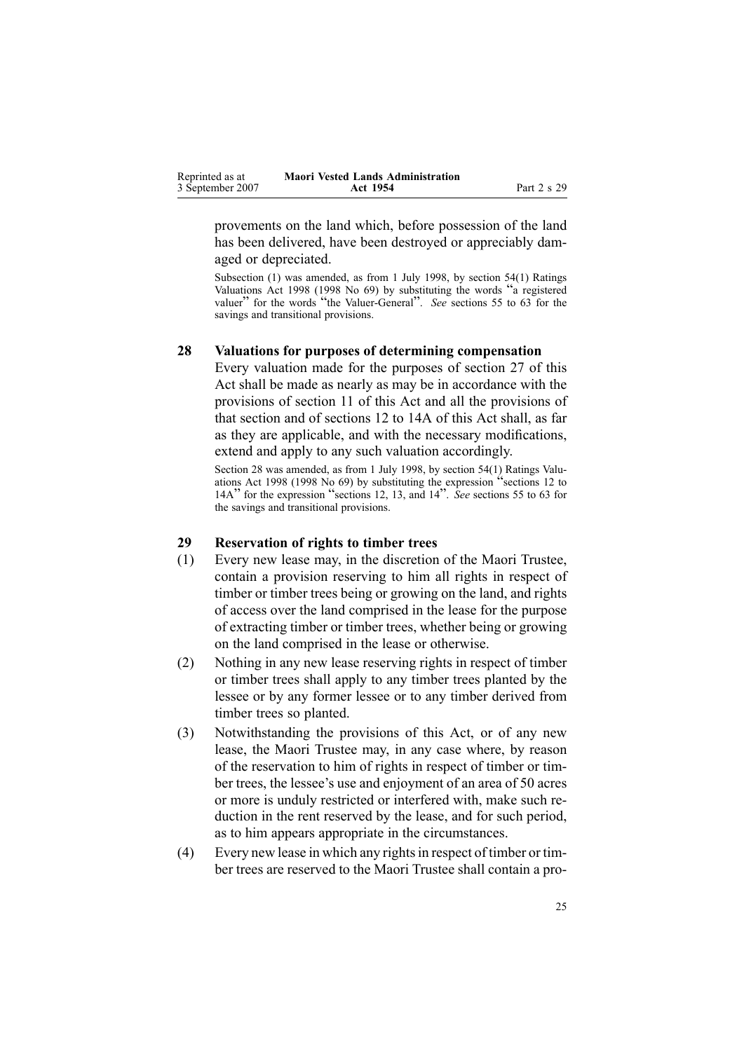<span id="page-24-0"></span>

| Reprinted as at  | <b>Maori Vested Lands Administration</b> |             |
|------------------|------------------------------------------|-------------|
| 3 September 2007 | Act 1954                                 | Part 2 s 29 |

provements on the land which, before possession of the land has been delivered, have been destroyed or appreciably damaged or depreciated.

Subsection (1) was amended, as from 1 July 1998, by section [54\(1\)](http://www.legislation.govt.nz/pdfLink.aspx?id=DLM427717) Ratings Valuations Act <sup>1998</sup> (1998 No 69) by substituting the words "<sup>a</sup> registered valuer" for the words "the Valuer-General". *See* sections 55 to [63](http://www.legislation.govt.nz/pdfLink.aspx?id=DLM427719) for the savings and transitional provisions.

### **28 Valuations for purposes of determining compensation**

Every valuation made for the purposes of section [27](#page-23-0) of this Act shall be made as nearly as may be in accordance with the provisions of section [11](#page-13-0) of this Act and all the provisions of that section and of sections 12 to [14A](#page-13-0) of this Act shall, as far as they are applicable, and with the necessary modifications, extend and apply to any such valuation accordingly.

Section 28 was amended, as from 1 July 1998, by section [54\(1\)](http://www.legislation.govt.nz/pdfLink.aspx?id=DLM427717) Ratings Valuations Act <sup>1998</sup> (1998 No 69) by substituting the expression "sections <sup>12</sup> to 14A" for the expression "sections 12, 13, and <sup>14</sup>". *See* sections <sup>55</sup> to [63](http://www.legislation.govt.nz/pdfLink.aspx?id=DLM427719) for the savings and transitional provisions.

#### **29 Reservation of rights to timber trees**

- (1) Every new lease may, in the discretion of the Maori Trustee, contain <sup>a</sup> provision reserving to him all rights in respec<sup>t</sup> of timber or timber trees being or growing on the land, and rights of access over the land comprised in the lease for the purpose of extracting timber or timber trees, whether being or growing on the land comprised in the lease or otherwise.
- (2) Nothing in any new lease reserving rights in respec<sup>t</sup> of timber or timber trees shall apply to any timber trees planted by the lessee or by any former lessee or to any timber derived from timber trees so planted.
- (3) Notwithstanding the provisions of this Act, or of any new lease, the Maori Trustee may, in any case where, by reason of the reservation to him of rights in respec<sup>t</sup> of timber or timber trees, the lessee's use and enjoyment of an area of 50 acres or more is unduly restricted or interfered with, make such reduction in the rent reserved by the lease, and for such period, as to him appears appropriate in the circumstances.
- $(4)$  Every new lease in which any rights in respect of timber or timber trees are reserved to the Maori Trustee shall contain <sup>a</sup> pro-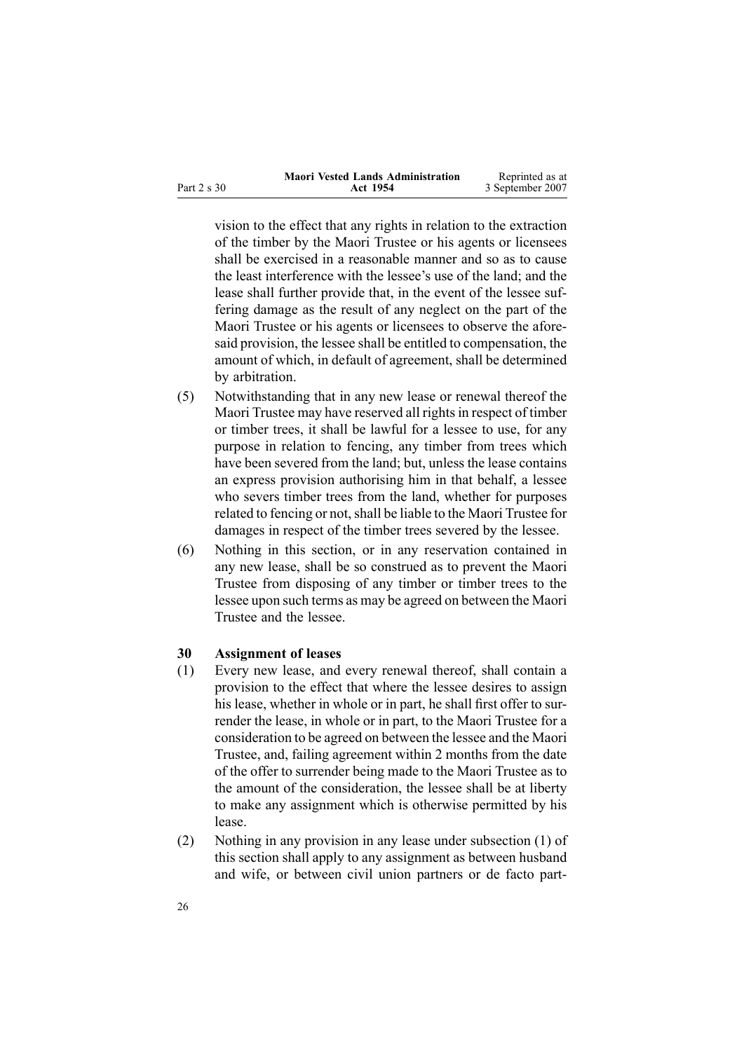<span id="page-25-0"></span>

|             | <b>Maori Vested Lands Administration</b> | Reprinted as at  |
|-------------|------------------------------------------|------------------|
| Part 2 s 30 | Act 1954                                 | 3 September 2007 |

vision to the effect that any rights in relation to the extraction of the timber by the Maori Trustee or his agents or licensees shall be exercised in <sup>a</sup> reasonable manner and so as to cause the least interference with the lessee's use of the land; and the lease shall further provide that, in the event of the lessee suffering damage as the result of any neglect on the par<sup>t</sup> of the Maori Trustee or his agents or licensees to observe the aforesaid provision, the lessee shall be entitled to compensation, the amount of which, in default of agreement, shall be determined by arbitration.

- (5) Notwithstanding that in any new lease or renewal thereof the Maori Trustee may have reserved all rights in respect of timber or timber trees, it shall be lawful for <sup>a</sup> lessee to use, for any purpose in relation to fencing, any timber from trees which have been severed from the land; but, unless the lease contains an express provision authorising him in that behalf, <sup>a</sup> lessee who severs timber trees from the land, whether for purposes related to fencing or not, shall be liable to the Maori Trustee for damages in respec<sup>t</sup> of the timber trees severed by the lessee.
- (6) Nothing in this section, or in any reservation contained in any new lease, shall be so construed as to preven<sup>t</sup> the Maori Trustee from disposing of any timber or timber trees to the lessee upon such terms as may be agreed on between the Maori Trustee and the lessee.

#### **30 Assignment of leases**

- (1) Every new lease, and every renewal thereof, shall contain <sup>a</sup> provision to the effect that where the lessee desires to assign his lease, whether in whole or in part, he shall first offer to surrender the lease, in whole or in part, to the Maori Trustee for <sup>a</sup> consideration to be agreed on between the lessee and the Maori Trustee, and, failing agreemen<sup>t</sup> within 2 months from the date of the offer to surrender being made to the Maori Trustee as to the amount of the consideration, the lessee shall be at liberty to make any assignment which is otherwise permitted by his lease.
- (2) Nothing in any provision in any lease under subsection (1) of this section shall apply to any assignment as between husband and wife, or between civil union partners or de facto part-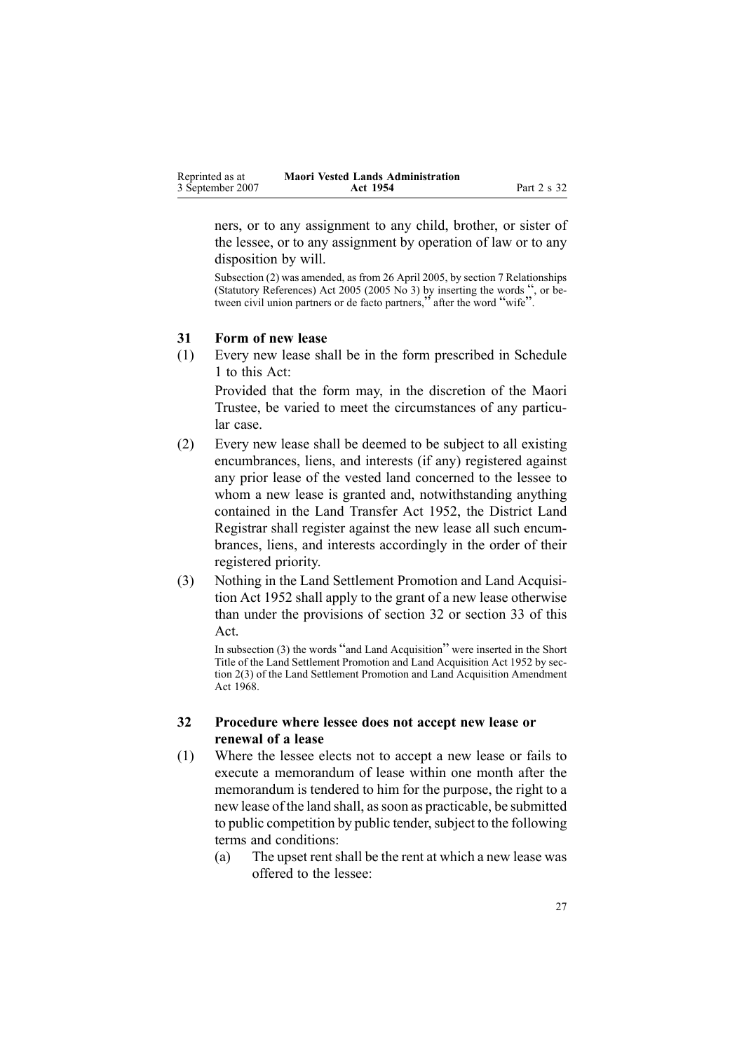<span id="page-26-0"></span>

| Reprinted as at  | <b>Maori Vested Lands Administration</b> |             |
|------------------|------------------------------------------|-------------|
| 3 September 2007 | Act 1954                                 | Part 2 s 32 |

ners, or to any assignment to any child, brother, or sister of the lessee, or to any assignment by operation of law or to any disposition by will.

Subsection (2) was amended, as from 26 April 2005, by section [7](http://www.legislation.govt.nz/pdfLink.aspx?id=DLM333795) Relationships (Statutory References) Act <sup>2005</sup> (2005 No 3) by inserting the words ", or between civil union partners or de facto partners," after the word "wife".

#### **31 Form of new lease**

(1) Every new lease shall be in the form prescribed in Schedule [1](#page-46-0) to this Act:

Provided that the form may, in the discretion of the Maori Trustee, be varied to meet the circumstances of any particular case.

- (2) Every new lease shall be deemed to be subject to all existing encumbrances, liens, and interests (if any) registered against any prior lease of the vested land concerned to the lessee to whom <sup>a</sup> new lease is granted and, notwithstanding anything contained in the Land [Transfer](http://www.legislation.govt.nz/pdfLink.aspx?id=DLM269031) Act 1952, the District Land Registrar shall register against the new lease all such encumbrances, liens, and interests accordingly in the order of their registered priority.
- (3) Nothing in the Land Settlement Promotion and Land Acquisition Act 1952 shall apply to the gran<sup>t</sup> of <sup>a</sup> new lease otherwise than under the provisions of section 32 or section [33](#page-28-0) of this Act.

In subsection (3) the words "and Land Acquisition" were inserted in the Short Title of the Land Settlement Promotion and Land Acquisition Act 1952 by section 2(3) of the Land Settlement Promotion and Land Acquisition Amendment Act 1968.

### **32 Procedure where lessee does not accept new lease or renewal of <sup>a</sup> lease**

- (1) Where the lessee elects not to accep<sup>t</sup> <sup>a</sup> new lease or fails to execute <sup>a</sup> memorandum of lease within one month after the memorandum is tendered to him for the purpose, the right to <sup>a</sup> new lease of the land shall, assoon as practicable, be submitted to public competition by public tender, subject to the following terms and conditions:
	- (a) The upse<sup>t</sup> rentshall be the rent at which <sup>a</sup> new lease was offered to the lessee: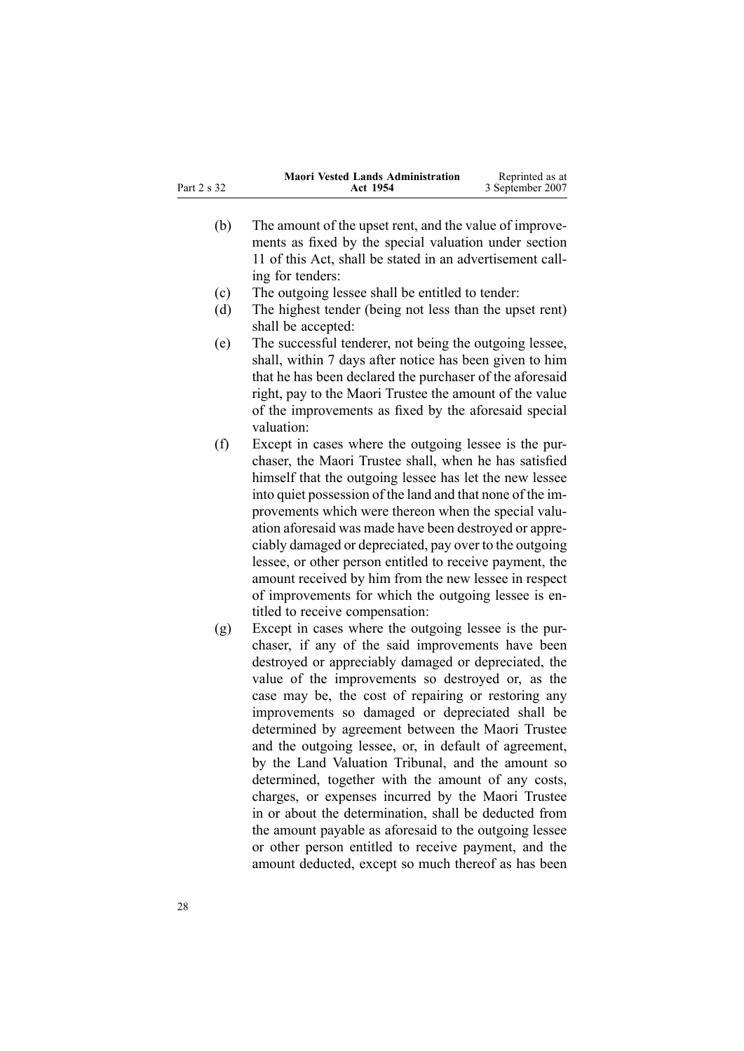|             | <b>Maori Vested Lands Administration</b> | Reprinted as at  |
|-------------|------------------------------------------|------------------|
| Part 2 s 32 | Act 1954                                 | 3 September 2007 |

- (b) The amount of the upse<sup>t</sup> rent, and the value of improvements as fixed by the special valuation under section [11](#page-13-0) of this Act, shall be stated in an advertisement calling for tenders:
- (c) The outgoing lessee shall be entitled to tender:
- (d) The highest tender (being not less than the upse<sup>t</sup> rent) shall be accepted:
- (e) The successful tenderer, not being the outgoing lessee, shall, within 7 days after notice has been given to him that he has been declared the purchaser of the aforesaid right, pay to the Maori Trustee the amount of the value of the improvements as fixed by the aforesaid special valuation:
- (f) Except in cases where the outgoing lessee is the purchaser, the Maori Trustee shall, when he has satisfied himself that the outgoing lessee has let the new lessee into quiet possession of the land and that none of the improvements which were thereon when the special valuation aforesaid was made have been destroyed or appreciably damaged or depreciated, pay over to the outgoing lessee, or other person entitled to receive payment, the amount received by him from the new lessee in respec<sup>t</sup> of improvements for which the outgoing lessee is entitled to receive compensation:
- (g) Except in cases where the outgoing lessee is the purchaser, if any of the said improvements have been destroyed or appreciably damaged or depreciated, the value of the improvements so destroyed or, as the case may be, the cost of repairing or restoring any improvements so damaged or depreciated shall be determined by agreemen<sup>t</sup> between the Maori Trustee and the outgoing lessee, or, in default of agreement, by the Land Valuation Tribunal, and the amount so determined, together with the amount of any costs, charges, or expenses incurred by the Maori Trustee in or about the determination, shall be deducted from the amount payable as aforesaid to the outgoing lessee or other person entitled to receive payment, and the amount deducted, excep<sup>t</sup> so much thereof as has been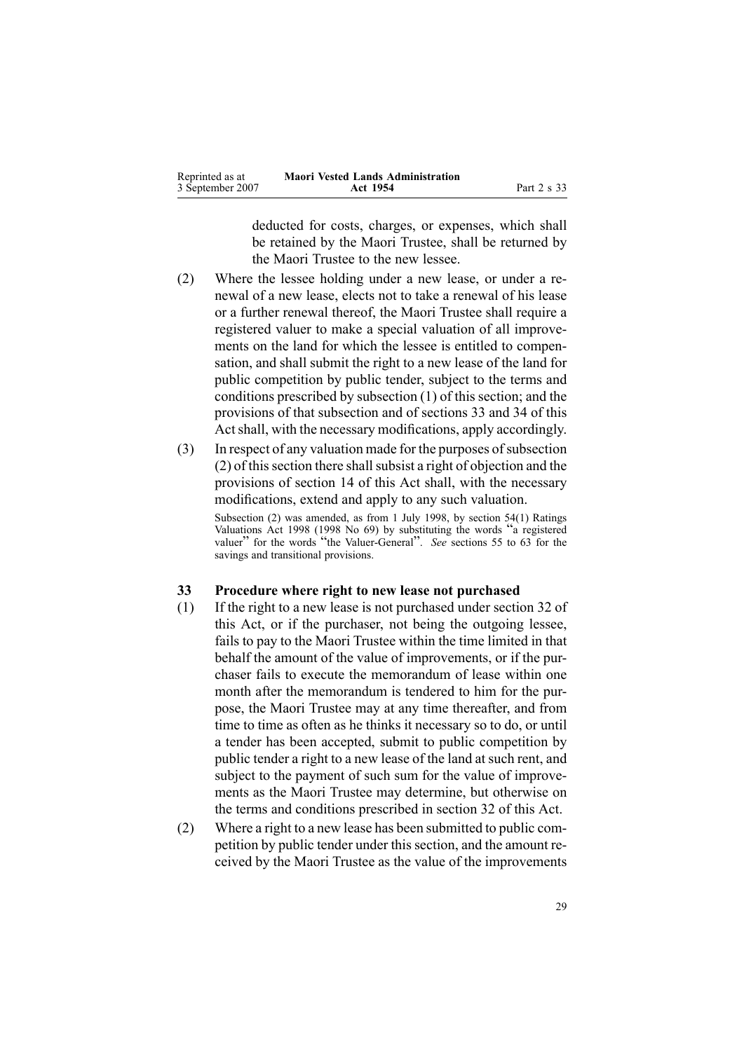<span id="page-28-0"></span>

| Reprinted as at  | <b>Maori Vested Lands Administration</b> |             |
|------------------|------------------------------------------|-------------|
| 3 September 2007 | Act 1954                                 | Part 2 s 33 |

deducted for costs, charges, or expenses, which shall be retained by the Maori Trustee, shall be returned by the Maori Trustee to the new lessee.

- (2) Where the lessee holding under <sup>a</sup> new lease, or under <sup>a</sup> renewal of <sup>a</sup> new lease, elects not to take <sup>a</sup> renewal of his lease or <sup>a</sup> further renewal thereof, the Maori Trustee shall require <sup>a</sup> registered valuer to make <sup>a</sup> special valuation of all improvements on the land for which the lessee is entitled to compensation, and shall submit the right to <sup>a</sup> new lease of the land for public competition by public tender, subject to the terms and conditions prescribed by subsection [\(1\)](#page-26-0) of this section; and the provisions of that subsection and of sections 33 and [34](#page-29-0) of this Act shall, with the necessary modifications, apply accordingly.
- (3) In respect of any valuation made for the purposes of subsection  $(2)$  of this section there shall subsist a right of objection and the provisions of section [14](#page-14-0) of this Act shall, with the necessary modifications, extend and apply to any such valuation. Subsection (2) was amended, as from 1 July 1998, by section [54\(1\)](http://www.legislation.govt.nz/pdfLink.aspx?id=DLM427717) Ratings Valuations Act <sup>1998</sup> (1998 No 69) by substituting the words "<sup>a</sup> registered valuer" for the words "the Valuer-General". *See* sections 55 to [63](http://www.legislation.govt.nz/pdfLink.aspx?id=DLM427719) for the savings and transitional provisions.

#### **33 Procedure where right to new lease not purchased**

- (1) If the right to <sup>a</sup> new lease is not purchased under section [32](#page-26-0) of this Act, or if the purchaser, not being the outgoing lessee, fails to pay to the Maori Trustee within the time limited in that behalf the amount of the value of improvements, or if the purchaser fails to execute the memorandum of lease within one month after the memorandum is tendered to him for the purpose, the Maori Trustee may at any time thereafter, and from time to time as often as he thinks it necessary so to do, or until <sup>a</sup> tender has been accepted, submit to public competition by public tender <sup>a</sup> right to <sup>a</sup> new lease of the land at such rent, and subject to the paymen<sup>t</sup> of such sum for the value of improvements as the Maori Trustee may determine, but otherwise on the terms and conditions prescribed in section [32](#page-26-0) of this Act.
- (2) Where <sup>a</sup> right to <sup>a</sup> new lease has been submitted to public competition by public tender under this section, and the amount received by the Maori Trustee as the value of the improvements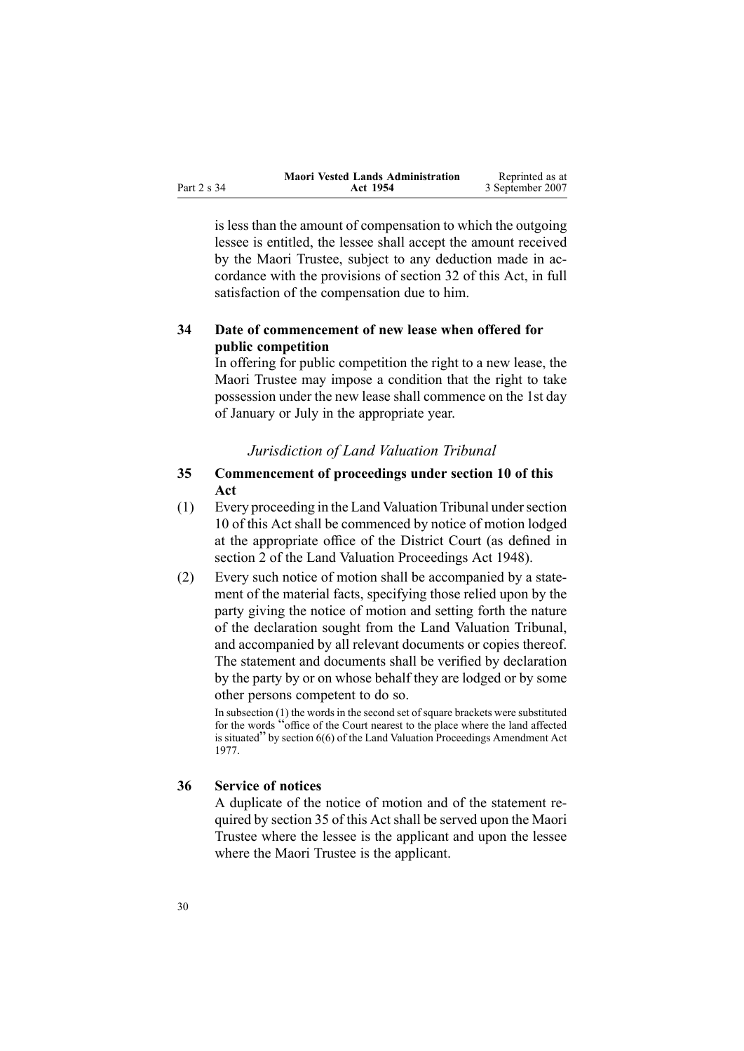<span id="page-29-0"></span>

|             | <b>Maori Vested Lands Administration</b> | Reprinted as at  |
|-------------|------------------------------------------|------------------|
| Part 2 s 34 | Act 1954                                 | 3 September 2007 |

is less than the amount of compensation to which the outgoing lessee is entitled, the lessee shall accep<sup>t</sup> the amount received by the Maori Trustee, subject to any deduction made in accordance with the provisions of section [32](#page-26-0) of this Act, in full satisfaction of the compensation due to him.

### **34 Date of commencement of new lease when offered for public competition**

In offering for public competition the right to <sup>a</sup> new lease, the Maori Trustee may impose <sup>a</sup> condition that the right to take possession under the new lease shall commence on the 1st day of January or July in the appropriate year.

### *Jurisdiction of Land Valuation Tribunal*

### **35 Commencement of proceedings under section 10 of this Act**

- (1) Every proceeding in the Land Valuation Tribunal undersection [10](#page-12-0) of this Act shall be commenced by notice of motion lodged at the appropriate office of the District Court (as defined in section [2](http://www.legislation.govt.nz/pdfLink.aspx?id=DLM249219) of the Land Valuation [Proceedings](http://www.legislation.govt.nz/pdfLink.aspx?id=DLM249212) Act 1948).
- (2) Every such notice of motion shall be accompanied by <sup>a</sup> statement of the material facts, specifying those relied upon by the party giving the notice of motion and setting forth the nature of the declaration sought from the Land Valuation Tribunal, and accompanied by all relevant documents or copies thereof. The statement and documents shall be verified by declaration by the party by or on whose behalf they are lodged or by some other persons competent to do so.

In subsection (1) the words in the second set of square brackets were substituted for the words "office of the Court nearest to the <sup>p</sup>lace where the land affected is situated" by section [6\(6\)](http://www.legislation.govt.nz/pdfLink.aspx?id=DLM442575) of the Land Valuation Proceedings Amendment Act 1977.

#### **36 Service of notices**

A duplicate of the notice of motion and of the statement required by section 35 of this Act shall be served upon the Maori Trustee where the lessee is the applicant and upon the lessee where the Maori Trustee is the applicant.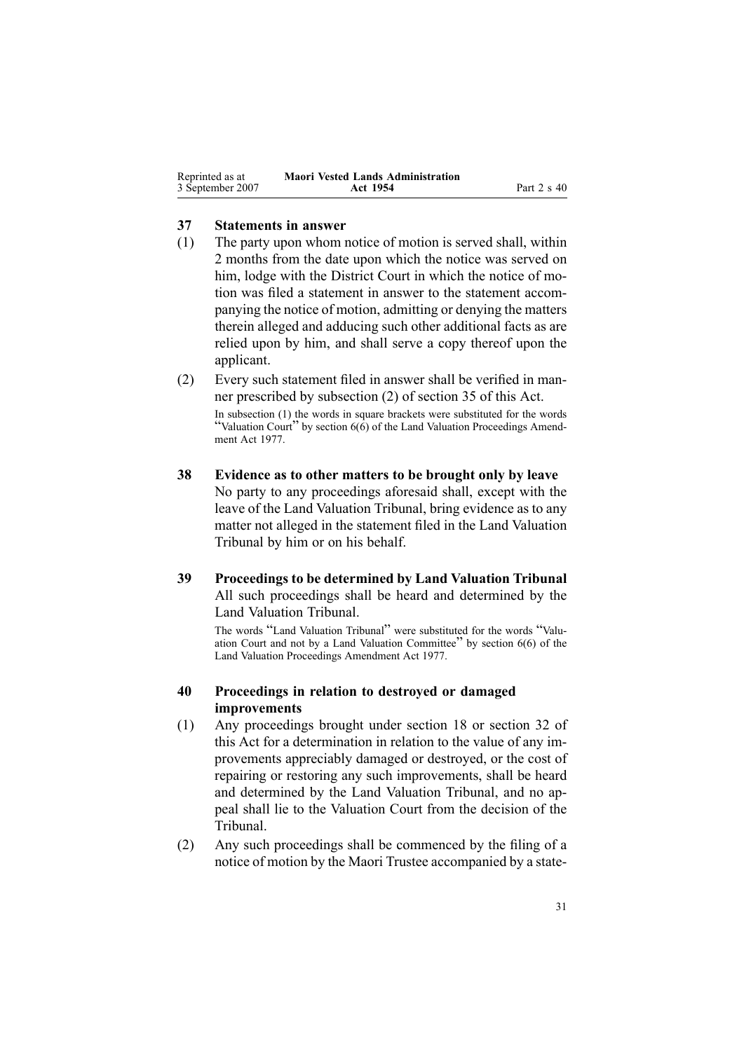<span id="page-30-0"></span>

| Reprinted as at  | <b>Maori Vested Lands Administration</b> |             |
|------------------|------------------------------------------|-------------|
| 3 September 2007 | Act 1954                                 | Part 2 s 40 |

#### **37 Statements in answer**

- (1) The party upon whom notice of motion is served shall, within 2 months from the date upon which the notice was served on him, lodge with the District Court in which the notice of motion was filed <sup>a</sup> statement in answer to the statement accompanying the notice of motion, admitting or denying the matters therein alleged and adducing such other additional facts as are relied upon by him, and shall serve <sup>a</sup> copy thereof upon the applicant.
- (2) Every such statement filed in answer shall be verified in manner prescribed by subsection [\(2\)](#page-29-0) of section 35 of this Act.

In subsection (1) the words in square brackets were substituted for the words "Valuation Court" by section  $6(6)$  of the Land Valuation Proceedings Amendment Act 1977.

- **38 Evidence as to other matters to be brought only by leave** No party to any proceedings aforesaid shall, excep<sup>t</sup> with the leave of the Land Valuation Tribunal, bring evidence as to any matter not alleged in the statement filed in the Land Valuation Tribunal by him or on his behalf.
- **39 Proceedings to be determined by Land Valuation Tribunal** All such proceedings shall be heard and determined by the Land Valuation Tribunal.

The words "Land Valuation Tribunal" were substituted for the words "Valuation Court and not by <sup>a</sup> Land Valuation Committee" by section [6\(6\)](http://www.legislation.govt.nz/pdfLink.aspx?id=DLM442575) of the Land Valuation Proceedings Amendment Act 1977.

### **40 Proceedings in relation to destroyed or damaged improvements**

- (1) Any proceedings brought under section [18](#page-18-0) or section [32](#page-26-0) of this Act for <sup>a</sup> determination in relation to the value of any improvements appreciably damaged or destroyed, or the cost of repairing or restoring any such improvements, shall be heard and determined by the Land Valuation Tribunal, and no appeal shall lie to the Valuation Court from the decision of the Tribunal.
- (2) Any such proceedings shall be commenced by the filing of <sup>a</sup> notice of motion by the Maori Trustee accompanied by <sup>a</sup> state-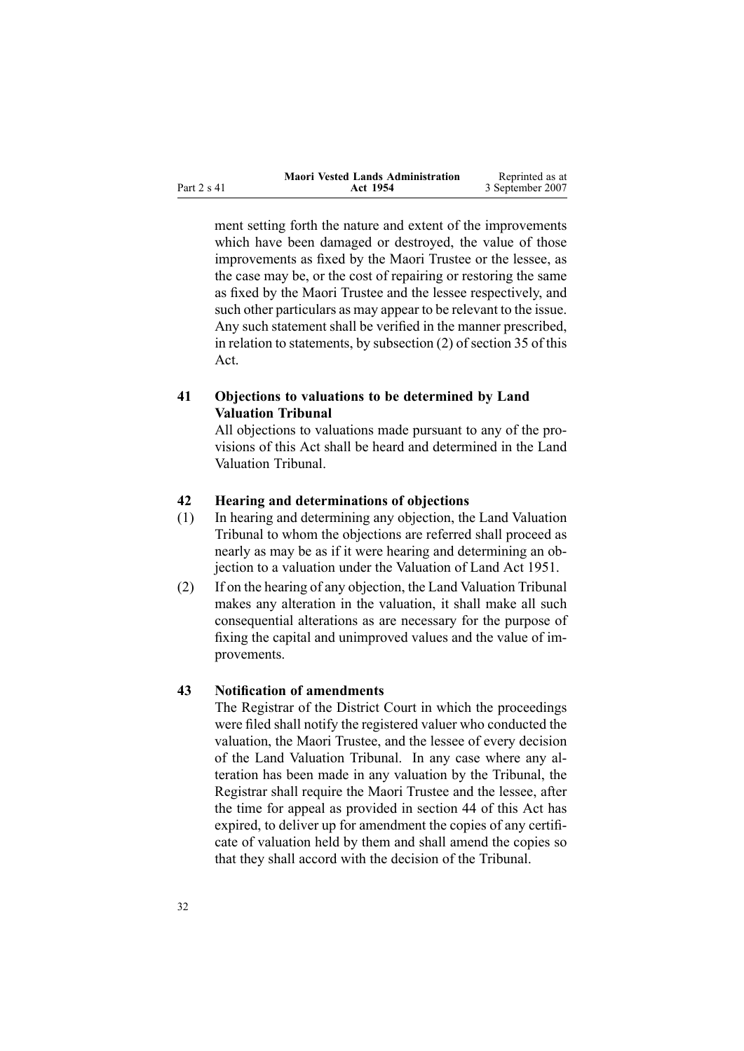<span id="page-31-0"></span>

|             | <b>Maori Vested Lands Administration</b> | Reprinted as at  |
|-------------|------------------------------------------|------------------|
| Part 2 s 41 | Act 1954                                 | 3 September 2007 |

ment setting forth the nature and extent of the improvements which have been damaged or destroyed, the value of those improvements as fixed by the Maori Trustee or the lessee, as the case may be, or the cost of repairing or restoring the same as fixed by the Maori Trustee and the lessee respectively, and such other particulars as may appear to be relevant to the issue. Any such statement shall be verified in the manner prescribed, in relation to statements, by subsection [\(2\)](#page-29-0) of section 35 of this Act.

### **41 Objections to valuations to be determined by Land Valuation Tribunal**

All objections to valuations made pursuan<sup>t</sup> to any of the provisions of this Act shall be heard and determined in the Land Valuation Tribunal.

#### **42 Hearing and determinations of objections**

- (1) In hearing and determining any objection, the Land Valuation Tribunal to whom the objections are referred shall proceed as nearly as may be as if it were hearing and determining an objection to <sup>a</sup> valuation under the Valuation of Land Act 1951.
- (2) If on the hearing of any objection, the Land Valuation Tribunal makes any alteration in the valuation, it shall make all such consequential alterations as are necessary for the purpose of fixing the capital and unimproved values and the value of improvements.

#### **43 Notification of amendments**

The Registrar of the District Court in which the proceedings were filed shall notify the registered valuer who conducted the valuation, the Maori Trustee, and the lessee of every decision of the Land Valuation Tribunal. In any case where any alteration has been made in any valuation by the Tribunal, the Registrar shall require the Maori Trustee and the lessee, after the time for appeal as provided in section [44](#page-32-0) of this Act has expired, to deliver up for amendment the copies of any certificate of valuation held by them and shall amend the copies so that they shall accord with the decision of the Tribunal.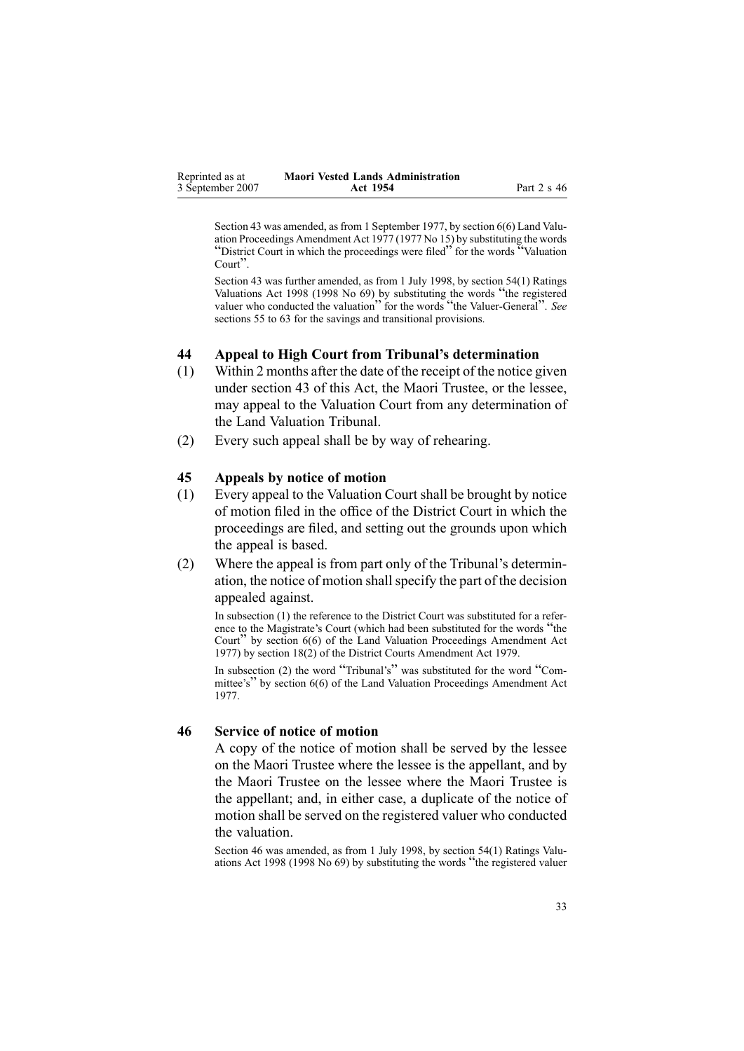<span id="page-32-0"></span>

| Reprinted as at  | <b>Maori Vested Lands Administration</b> |             |
|------------------|------------------------------------------|-------------|
| 3 September 2007 | Act 1954                                 | Part 2 s 46 |

Section 43 was amended, as from 1 September 1977, by section [6\(6\)](http://www.legislation.govt.nz/pdfLink.aspx?id=DLM442575) Land Valuation Proceedings Amendment Act 1977 (1977 No 15) by substituting the words "District Court in which the proceedings were filed" for the words "Valuation" Court".

Section 43 was further amended, as from 1 July 1998, by section [54\(1\)](http://www.legislation.govt.nz/pdfLink.aspx?id=DLM427717) Ratings Valuations Act <sup>1998</sup> (1998 No 69) by substituting the words "the registered valuer who conducted the valuation<sup>"</sup> for the words "the Valuer-General". *See* sections 55 to [63](http://www.legislation.govt.nz/pdfLink.aspx?id=DLM427719) for the savings and transitional provisions.

### **44 Appeal to High Court from Tribunal's determination**

- (1) Within 2 months after the date of the receipt of the notice given under section [43](#page-31-0) of this Act, the Maori Trustee, or the lessee, may appeal to the Valuation Court from any determination of the Land Valuation Tribunal.
- (2) Every such appeal shall be by way of rehearing.

#### **45 Appeals by notice of motion**

- (1) Every appeal to the Valuation Court shall be brought by notice of motion filed in the office of the District Court in which the proceedings are filed, and setting out the grounds upon which the appeal is based.
- (2) Where the appeal is from par<sup>t</sup> only of the Tribunal's determination, the notice of motion shallspecify the par<sup>t</sup> of the decision appealed against.

In subsection (1) the reference to the District Court was substituted for <sup>a</sup> reference to the Magistrate's Court (which had been substituted for the words "the Court" by section [6\(6\)](http://www.legislation.govt.nz/pdfLink.aspx?id=DLM442575) of the Land Valuation Proceedings Amendment Act 1977) by section [18\(2\)](http://www.legislation.govt.nz/pdfLink.aspx?id=DLM35085) of the District Courts Amendment Act 1979.

In subsection (2) the word "Tribunal's" was substituted for the word "Com-mittee's" by section [6\(6\)](http://www.legislation.govt.nz/pdfLink.aspx?id=DLM442575) of the Land Valuation Proceedings Amendment Act 1977.

### **46 Service of notice of motion**

A copy of the notice of motion shall be served by the lessee on the Maori Trustee where the lessee is the appellant, and by the Maori Trustee on the lessee where the Maori Trustee is the appellant; and, in either case, <sup>a</sup> duplicate of the notice of motion shall be served on the registered valuer who conducted the valuation.

Section 46 was amended, as from 1 July 1998, by section [54\(1\)](http://www.legislation.govt.nz/pdfLink.aspx?id=DLM427717) Ratings Valuations Act <sup>1998</sup> (1998 No 69) by substituting the words "the registered valuer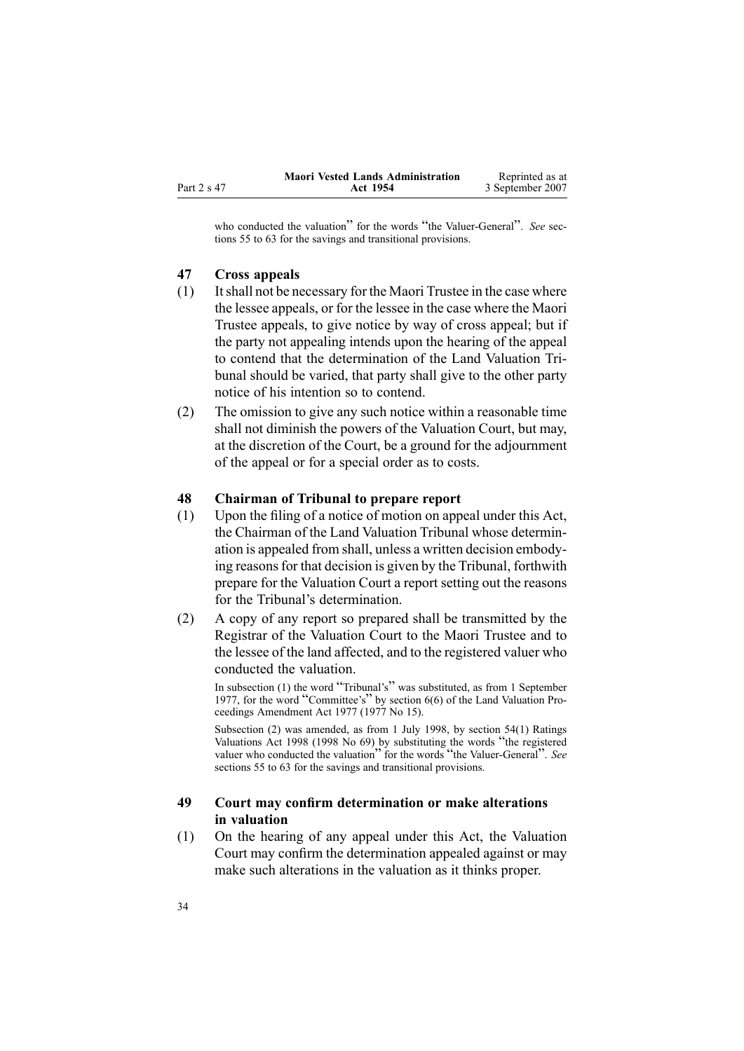<span id="page-33-0"></span>

|             | <b>Maori Vested Lands Administration</b> | Reprinted as at  |
|-------------|------------------------------------------|------------------|
| Part 2 s 47 | Act 1954                                 | 3 September 2007 |

who conducted the valuation" for the words "the Valuer-General". *See* sections 55 to [63](http://www.legislation.govt.nz/pdfLink.aspx?id=DLM427719) for the savings and transitional provisions.

#### **47 Cross appeals**

- (1) Itshall not be necessary for the Maori Trustee in the case where the lessee appeals, or for the lessee in the case where the Maori Trustee appeals, to give notice by way of cross appeal; but if the party not appealing intends upon the hearing of the appeal to contend that the determination of the Land Valuation Tribunal should be varied, that party shall give to the other party notice of his intention so to contend.
- (2) The omission to give any such notice within <sup>a</sup> reasonable time shall not diminish the powers of the Valuation Court, but may, at the discretion of the Court, be <sup>a</sup> ground for the adjournment of the appeal or for <sup>a</sup> special order as to costs.

#### **48 Chairman of Tribunal to prepare report**

- (1) Upon the filing of <sup>a</sup> notice of motion on appeal under this Act, the Chairman of the Land Valuation Tribunal whose determination is appealed from shall, unless <sup>a</sup> written decision embodying reasons for that decision is given by the Tribunal, forthwith prepare for the Valuation Court <sup>a</sup> repor<sup>t</sup> setting out the reasons for the Tribunal's determination.
- (2) A copy of any repor<sup>t</sup> so prepared shall be transmitted by the Registrar of the Valuation Court to the Maori Trustee and to the lessee of the land affected, and to the registered valuer who conducted the valuation.

In subsection (1) the word "Tribunal's" was substituted, as from <sup>1</sup> September 1977, for the word "Committee's" by section [6\(6\)](http://www.legislation.govt.nz/pdfLink.aspx?id=DLM442575) of the Land Valuation Proceedings Amendment Act 1977 (1977 No 15).

Subsection (2) was amended, as from 1 July 1998, by section [54\(1\)](http://www.legislation.govt.nz/pdfLink.aspx?id=DLM427717) Ratings Valuations Act <sup>1998</sup> (1998 No 69) by substituting the words "the registered valuer who conducted the valuation<sup>"</sup> for the words "the Valuer-General". *See* sections 55 to [63](http://www.legislation.govt.nz/pdfLink.aspx?id=DLM427719) for the savings and transitional provisions.

### **49 Court may confirm determination or make alterations in valuation**

(1) On the hearing of any appeal under this Act, the Valuation Court may confirm the determination appealed against or may make such alterations in the valuation as it thinks proper.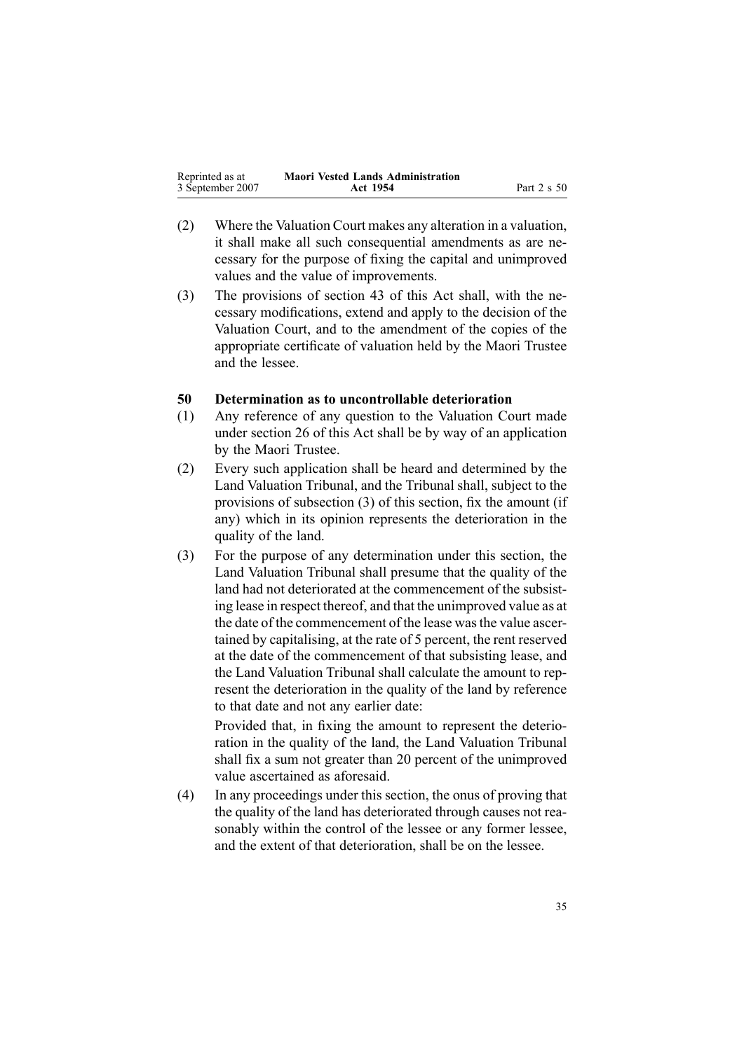<span id="page-34-0"></span>

| Reprinted as at  | <b>Maori Vested Lands Administration</b> |             |
|------------------|------------------------------------------|-------------|
| 3 September 2007 | Act 1954                                 | Part 2 s 50 |

- (2) Where the Valuation Court makes any alteration in <sup>a</sup> valuation, it shall make all such consequential amendments as are necessary for the purpose of fixing the capital and unimproved values and the value of improvements.
- (3) The provisions of section [43](#page-31-0) of this Act shall, with the necessary modifications, extend and apply to the decision of the Valuation Court, and to the amendment of the copies of the appropriate certificate of valuation held by the Maori Trustee and the lessee.

#### **50 Determination as to uncontrollable deterioration**

- (1) Any reference of any question to the Valuation Court made under section [26](#page-23-0) of this Act shall be by way of an application by the Maori Trustee.
- (2) Every such application shall be heard and determined by the Land Valuation Tribunal, and the Tribunal shall, subject to the provisions of subsection (3) of this section, fix the amount (if any) which in its opinion represents the deterioration in the quality of the land.
- (3) For the purpose of any determination under this section, the Land Valuation Tribunal shall presume that the quality of the land had not deteriorated at the commencement of the subsisting lease in respec<sup>t</sup> thereof, and that the unimproved value as at the date of the commencement of the lease wasthe value ascertained by capitalising, at the rate of 5 percent, the rent reserved at the date of the commencement of that subsisting lease, and the Land Valuation Tribunal shall calculate the amount to represent the deterioration in the quality of the land by reference to that date and not any earlier date:

Provided that, in fixing the amount to represen<sup>t</sup> the deterioration in the quality of the land, the Land Valuation Tribunal shall fix <sup>a</sup> sum not greater than 20 percen<sup>t</sup> of the unimproved value ascertained as aforesaid.

(4) In any proceedings under this section, the onus of proving that the quality of the land has deteriorated through causes not reasonably within the control of the lessee or any former lessee, and the extent of that deterioration, shall be on the lessee.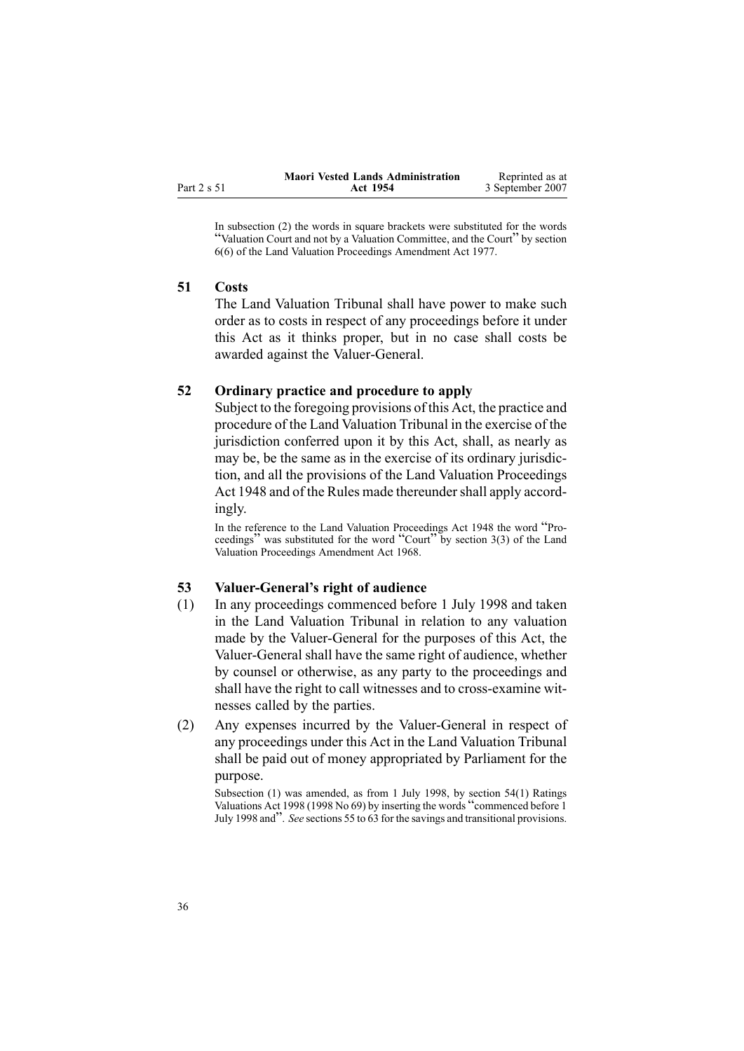<span id="page-35-0"></span>

|             | <b>Maori Vested Lands Administration</b> | Reprinted as at  |
|-------------|------------------------------------------|------------------|
| Part 2 s 51 | Act 1954                                 | 3 September 2007 |

In subsection (2) the words in square brackets were substituted for the words "Valuation Court and not by <sup>a</sup> Valuation Committee, and the Court" by section [6\(6\)](http://www.legislation.govt.nz/pdfLink.aspx?id=DLM442575) of the Land Valuation Proceedings Amendment Act 1977.

#### **51 Costs**

The Land Valuation Tribunal shall have power to make such order as to costs in respec<sup>t</sup> of any proceedings before it under this Act as it thinks proper, but in no case shall costs be awarded against the Valuer-General.

### **52 Ordinary practice and procedure to apply**

Subject to the foregoing provisions of this Act, the practice and procedure of the Land Valuation Tribunal in the exercise of the jurisdiction conferred upon it by this Act, shall, as nearly as may be, be the same as in the exercise of its ordinary jurisdiction, and all the provisions of the Land Valuation [Proceedings](http://www.legislation.govt.nz/pdfLink.aspx?id=DLM249212) Act [1948](http://www.legislation.govt.nz/pdfLink.aspx?id=DLM249212) and of the Rules made thereunder shall apply accordingly.

In the reference to the Land Valuation Proceedings Act <sup>1948</sup> the word "Proceedings" was substituted for the word "Court" by section  $3(3)$  of the Land Valuation Proceedings Amendment Act 1968.

### **53 ValuerGeneral's right of audience**

- (1) In any proceedings commenced before 1 July 1998 and taken in the Land Valuation Tribunal in relation to any valuation made by the Valuer-General for the purposes of this Act, the Valuer-General shall have the same right of audience, whether by counsel or otherwise, as any party to the proceedings and shall have the right to call witnesses and to cross-examine witnesses called by the parties.
- (2) Any expenses incurred by the Valuer-General in respect of any proceedings under this Act in the Land Valuation Tribunal shall be paid out of money appropriated by Parliament for the purpose.

Subsection (1) was amended, as from 1 July 1998, by section [54\(1\)](http://www.legislation.govt.nz/pdfLink.aspx?id=DLM427717) Ratings Valuations Act <sup>1998</sup> (1998 No 69) by inserting the words "commenced before <sup>1</sup> July <sup>1998</sup> and". *See* sections <sup>55</sup> to [63](http://www.legislation.govt.nz/pdfLink.aspx?id=DLM427719) for the savings and transitional provisions.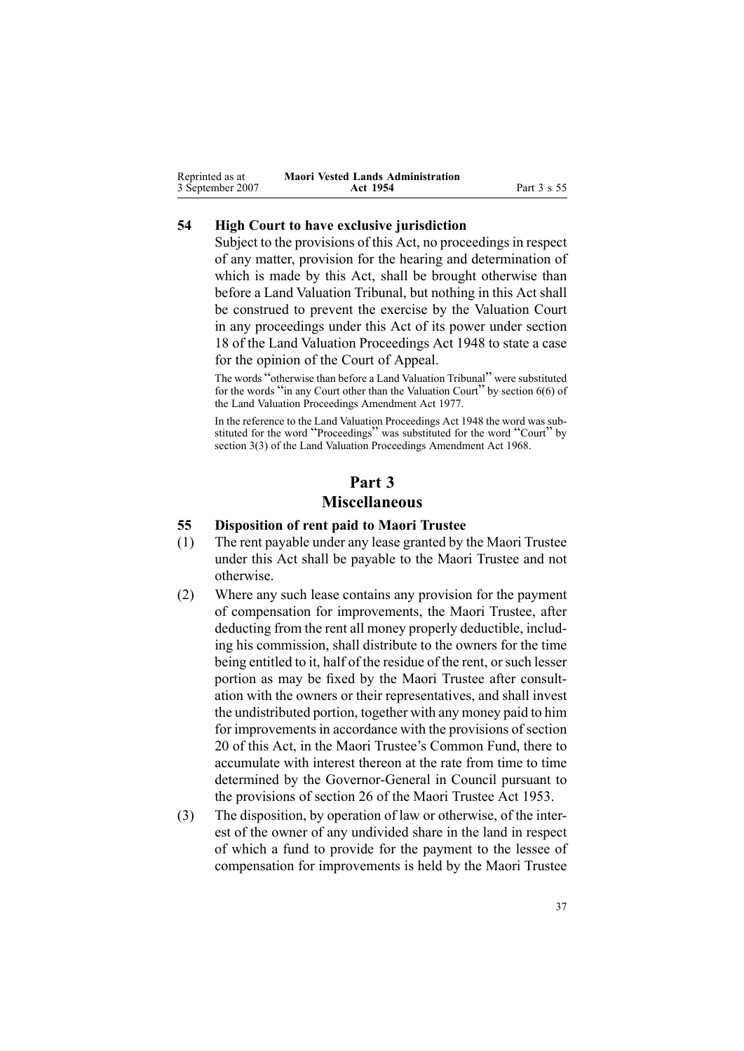<span id="page-36-0"></span>

| Reprinted as at  | <b>Maori Vested Lands Administration</b> |             |
|------------------|------------------------------------------|-------------|
| 3 September 2007 | Act 1954                                 | Part 3 s 55 |

### **54 High Court to have exclusive jurisdiction**

Subject to the provisions of this Act, no proceedings in respec<sup>t</sup> of any matter, provision for the hearing and determination of which is made by this Act, shall be brought otherwise than before <sup>a</sup> Land Valuation Tribunal, but nothing in this Act shall be construed to preven<sup>t</sup> the exercise by the Valuation Court in any proceedings under this Act of its power under section [18](http://www.legislation.govt.nz/pdfLink.aspx?id=DLM249280) of the Land Valuation [Proceedings](http://www.legislation.govt.nz/pdfLink.aspx?id=DLM249212) Act 1948 to state <sup>a</sup> case for the opinion of the Court of Appeal.

The words "otherwise than before <sup>a</sup> Land Valuation Tribunal" were substituted for the words "in any Court other than the Valuation Court" by section [6\(6\)](http://www.legislation.govt.nz/pdfLink.aspx?id=DLM442575) of the Land Valuation Proceedings Amendment Act 1977.

In the reference to the Land Valuation Proceedings Act 1948 the word was substituted for the word "Proceedings" was substituted for the word "Court" by section [3\(3\)](http://www.legislation.govt.nz/pdfLink.aspx?id=DLM388233) of the Land Valuation Proceedings Amendment Act 1968.

# **Part 3 Miscellaneous**

### **55 Disposition of rent paid to Maori Trustee**

- (1) The rent payable under any lease granted by the Maori Trustee under this Act shall be payable to the Maori Trustee and not otherwise.
- (2) Where any such lease contains any provision for the paymen<sup>t</sup> of compensation for improvements, the Maori Trustee, after deducting from the rent all money properly deductible, including his commission, shall distribute to the owners for the time being entitled to it, half of the residue of the rent, or such lesser portion as may be fixed by the Maori Trustee after consultation with the owners or their representatives, and shall invest the undistributed portion, together with any money paid to him for improvements in accordance with the provisions of section [20](#page-19-0) of this Act, in the Maori Trustee's Common Fund, there to accumulate with interest thereon at the rate from time to time determined by the Governor-General in Council pursuant to the provisions of section [26](http://www.legislation.govt.nz/pdfLink.aspx?id=DLM282745) of the Maori [Trustee](http://www.legislation.govt.nz/pdfLink.aspx?id=DLM282037) Act 1953.
- (3) The disposition, by operation of law or otherwise, of the interest of the owner of any undivided share in the land in respec<sup>t</sup> of which <sup>a</sup> fund to provide for the paymen<sup>t</sup> to the lessee of compensation for improvements is held by the Maori Trustee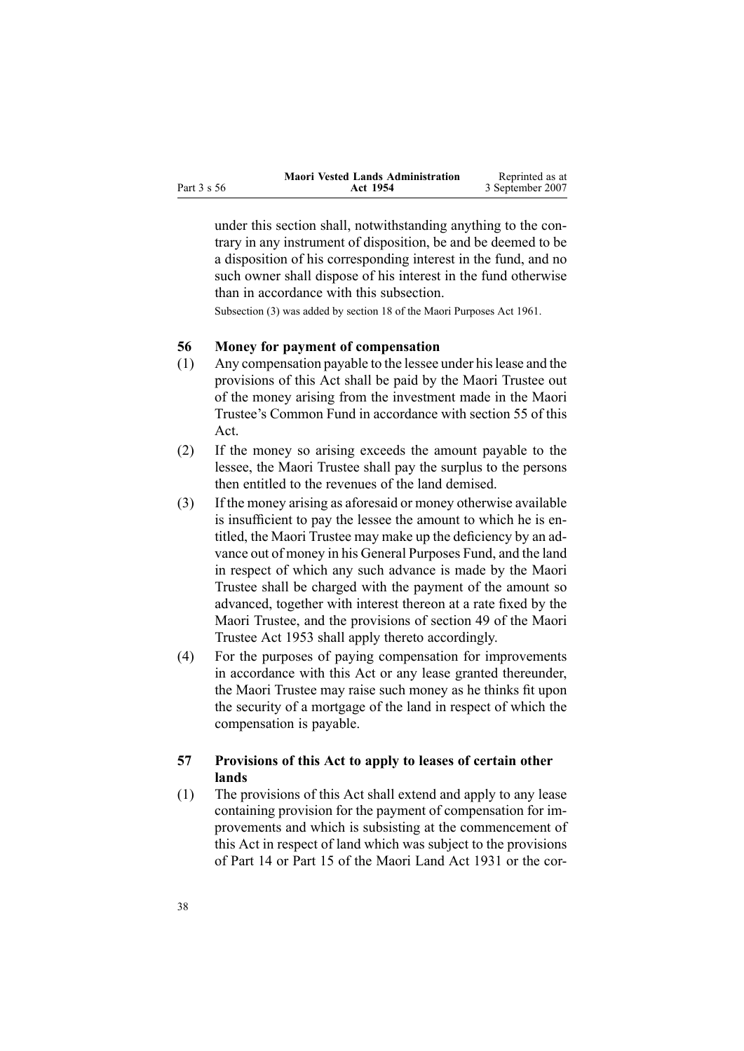<span id="page-37-0"></span>

|             | <b>Maori Vested Lands Administration</b> | Reprinted as at  |
|-------------|------------------------------------------|------------------|
| Part 3 s 56 | Act 1954                                 | 3 September 2007 |

under this section shall, notwithstanding anything to the contrary in any instrument of disposition, be and be deemed to be <sup>a</sup> disposition of his corresponding interest in the fund, and no such owner shall dispose of his interest in the fund otherwise than in accordance with this subsection.

Subsection (3) was added by section [18](http://www.legislation.govt.nz/pdfLink.aspx?id=DLM338481) of the Maori Purposes Act 1961.

### **56 Money for payment of compensation**

- (1) Any compensation payable to the lessee under hislease and the provisions of this Act shall be paid by the Maori Trustee out of the money arising from the investment made in the Maori Trustee's Common Fund in accordance with section [55](#page-36-0) of this Act.
- (2) If the money so arising exceeds the amount payable to the lessee, the Maori Trustee shall pay the surplus to the persons then entitled to the revenues of the land demised.
- (3) If the money arising as aforesaid or money otherwise available is insufficient to pay the lessee the amount to which he is entitled, the Maori Trustee may make up the deficiency by an advance out of money in his General Purposes Fund, and the land in respec<sup>t</sup> of which any such advance is made by the Maori Trustee shall be charged with the paymen<sup>t</sup> of the amount so advanced, together with interest thereon at <sup>a</sup> rate fixed by the Maori Trustee, and the provisions of section [49](http://www.legislation.govt.nz/pdfLink.aspx?id=DLM282955) of the [Maori](http://www.legislation.govt.nz/pdfLink.aspx?id=DLM282037) [Trustee](http://www.legislation.govt.nz/pdfLink.aspx?id=DLM282037) Act 1953 shall apply thereto accordingly.
- (4) For the purposes of paying compensation for improvements in accordance with this Act or any lease granted thereunder, the Maori Trustee may raise such money as he thinks fit upon the security of <sup>a</sup> mortgage of the land in respec<sup>t</sup> of which the compensation is payable.

### **57 Provisions of this Act to apply to leases of certain other lands**

(1) The provisions of this Act shall extend and apply to any lease containing provision for the paymen<sup>t</sup> of compensation for improvements and which is subsisting at the commencement of this Act in respec<sup>t</sup> of land which was subject to the provisions of Part 14 or Part 15 of the Maori Land Act 1931 or the cor-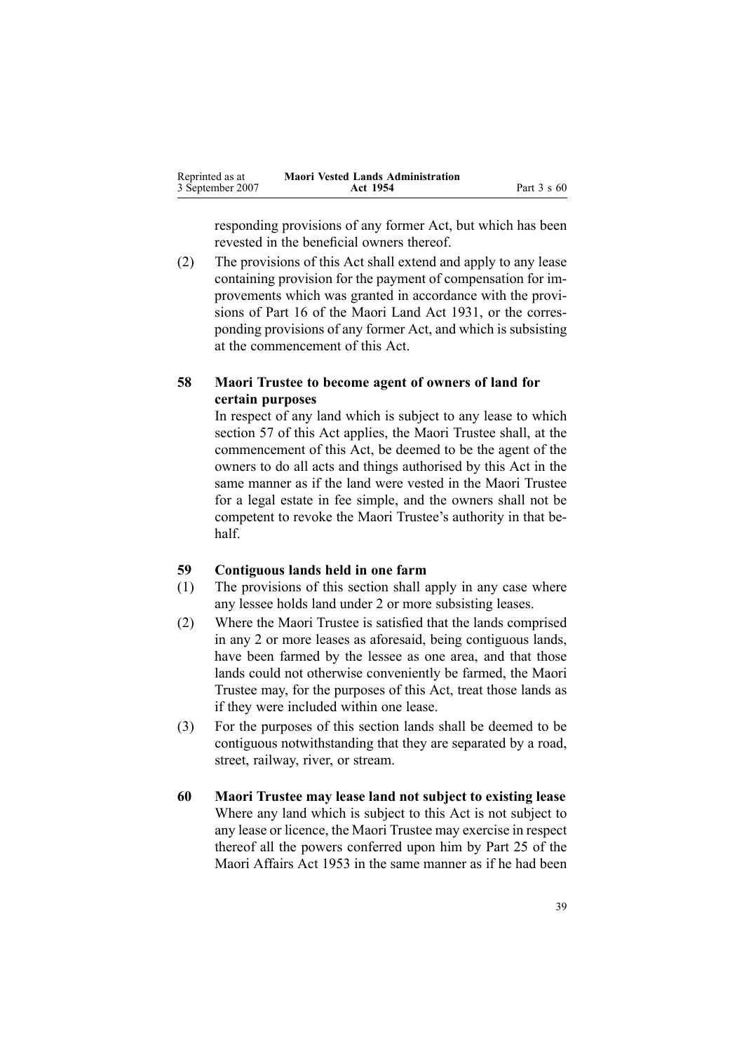<span id="page-38-0"></span>

| Reprinted as at  | <b>Maori Vested Lands Administration</b> |                    |
|------------------|------------------------------------------|--------------------|
| 3 September 2007 | Act 1954                                 | Part $3 \times 60$ |

responding provisions of any former Act, but which has been revested in the beneficial owners thereof.

(2) The provisions of this Act shall extend and apply to any lease containing provision for the paymen<sup>t</sup> of compensation for improvements which was granted in accordance with the provisions of Part 16 of the Maori Land Act 1931, or the corresponding provisions of any former Act, and which is subsisting at the commencement of this Act.

### **58 Maori Trustee to become agent of owners of land for certain purposes**

In respec<sup>t</sup> of any land which is subject to any lease to which section [57](#page-37-0) of this Act applies, the Maori Trustee shall, at the commencement of this Act, be deemed to be the agen<sup>t</sup> of the owners to do all acts and things authorised by this Act in the same manner as if the land were vested in the Maori Trustee for <sup>a</sup> legal estate in fee simple, and the owners shall not be competent to revoke the Maori Trustee's authority in that behalf.

### **59 Contiguous lands held in one farm**

- (1) The provisions of this section shall apply in any case where any lessee holds land under 2 or more subsisting leases.
- (2) Where the Maori Trustee is satisfied that the lands comprised in any 2 or more leases as aforesaid, being contiguous lands, have been farmed by the lessee as one area, and that those lands could not otherwise conveniently be farmed, the Maori Trustee may, for the purposes of this Act, treat those lands as if they were included within one lease.
- (3) For the purposes of this section lands shall be deemed to be contiguous notwithstanding that they are separated by <sup>a</sup> road, street, railway, river, or stream.
- **60 Maori Trustee may lease land not subject to existing lease** Where any land which is subject to this Act is not subject to any lease or licence, the Maori Trustee may exercise in respec<sup>t</sup> thereof all the powers conferred upon him by Part 25 of the Maori Affairs Act 1953 in the same manner as if he had been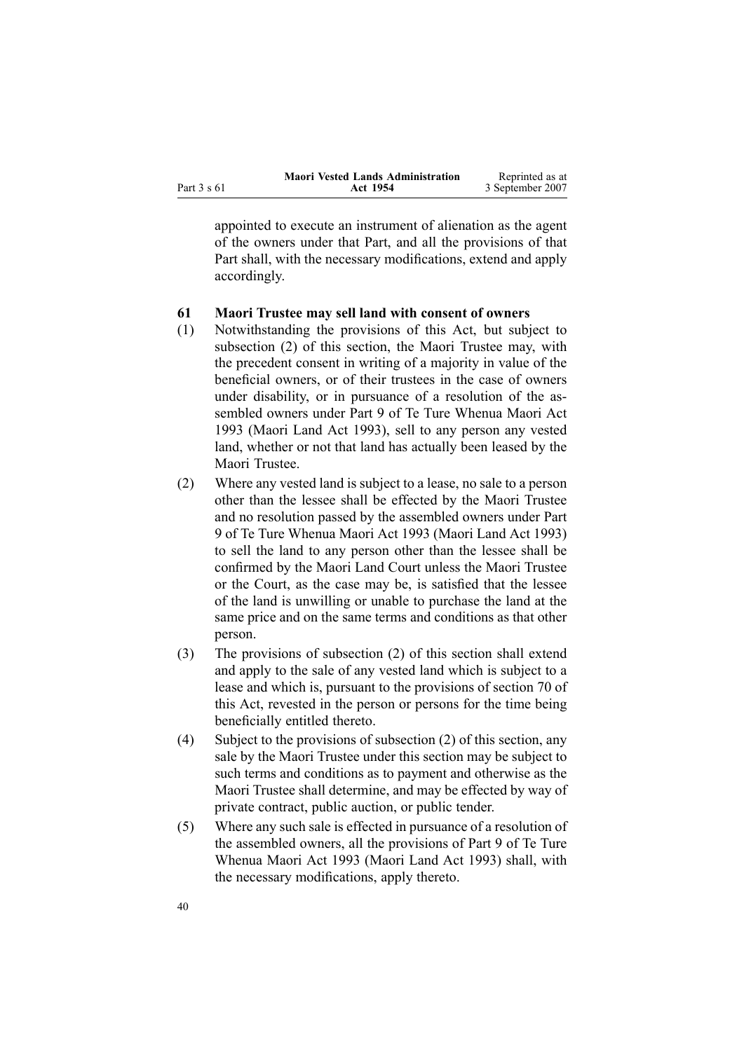<span id="page-39-0"></span>

|             | <b>Maori Vested Lands Administration</b> | Reprinted as at  |
|-------------|------------------------------------------|------------------|
| Part 3 s 61 | Act 1954                                 | 3 September 2007 |

appointed to execute an instrument of alienation as the agen<sup>t</sup> of the owners under that Part, and all the provisions of that Part shall, with the necessary modifications, extend and apply accordingly.

### **61 Maori Trustee may sell land with consent of owners**

- (1) Notwithstanding the provisions of this Act, but subject to subsection (2) of this section, the Maori Trustee may, with the precedent consent in writing of <sup>a</sup> majority in value of the beneficial owners, or of their trustees in the case of owners under disability, or in pursuance of <sup>a</sup> resolution of the assembled owners under Part [9](http://www.legislation.govt.nz/pdfLink.aspx?id=DLM291587) of Te Ture [Whenua](http://www.legislation.govt.nz/pdfLink.aspx?id=DLM289881) Maori Act [1993](http://www.legislation.govt.nz/pdfLink.aspx?id=DLM289881) (Maori Land Act 1993), sell to any person any vested land, whether or not that land has actually been leased by the Maori Trustee.
- (2) Where any vested land is subject to <sup>a</sup> lease, no sale to <sup>a</sup> person other than the lessee shall be effected by the Maori Trustee and no resolution passed by the assembled owners under Part [9](http://www.legislation.govt.nz/pdfLink.aspx?id=DLM291587) of Te Ture [Whenua](http://www.legislation.govt.nz/pdfLink.aspx?id=DLM289881) Maori Act 1993 (Maori Land Act 1993) to sell the land to any person other than the lessee shall be confirmed by the Maori Land Court unless the Maori Trustee or the Court, as the case may be, is satisfied that the lessee of the land is unwilling or unable to purchase the land at the same price and on the same terms and conditions as that other person.
- (3) The provisions of subsection (2) of this section shall extend and apply to the sale of any vested land which is subject to <sup>a</sup> lease and which is, pursuan<sup>t</sup> to the provisions of section [70](#page-43-0) of this Act, revested in the person or persons for the time being beneficially entitled thereto.
- (4) Subject to the provisions of subsection (2) of this section, any sale by the Maori Trustee under this section may be subject to such terms and conditions as to paymen<sup>t</sup> and otherwise as the Maori Trustee shall determine, and may be effected by way of private contract, public auction, or public tender.
- (5) Where any such sale is effected in pursuance of <sup>a</sup> resolution of the assembled owners, all the provisions of Part [9](http://www.legislation.govt.nz/pdfLink.aspx?id=DLM291587) of Te [Ture](http://www.legislation.govt.nz/pdfLink.aspx?id=DLM289881) [Whenua](http://www.legislation.govt.nz/pdfLink.aspx?id=DLM289881) Maori Act 1993 (Maori Land Act 1993) shall, with the necessary modifications, apply thereto.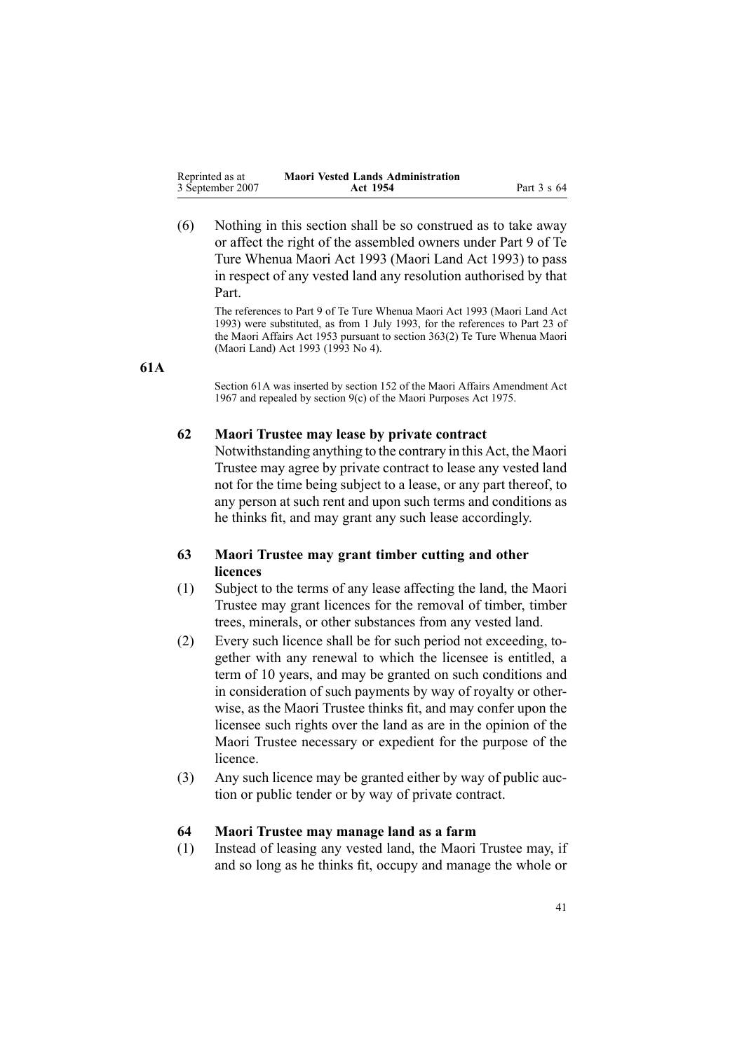<span id="page-40-0"></span>

| Reprinted as at  | <b>Maori Vested Lands Administration</b> |             |
|------------------|------------------------------------------|-------------|
| 3 September 2007 | Act 1954                                 | Part 3 s 64 |

(6) Nothing in this section shall be so construed as to take away or affect the right of the assembled owners under Part [9](http://www.legislation.govt.nz/pdfLink.aspx?id=DLM291587) of [Te](http://www.legislation.govt.nz/pdfLink.aspx?id=DLM289881) Ture [Whenua](http://www.legislation.govt.nz/pdfLink.aspx?id=DLM289881) Maori Act 1993 (Maori Land Act 1993) to pass in respec<sup>t</sup> of any vested land any resolution authorised by that Part.

The references to Part 9 of Te Ture Whenua Maori Act 1993 (Maori Land Act 1993) were substituted, as from 1 July 1993, for the references to Part 23 of the Maori Affairs Act 1953 pursuan<sup>t</sup> to section [363\(2\)](http://www.legislation.govt.nz/pdfLink.aspx?id=DLM293026) Te Ture Whenua Maori (Maori Land) Act 1993 (1993 No 4).

#### **61A**

Section 61A was inserted by section 152 of the Maori Affairs Amendment Act 1967 and repealed by section [9\(c\)](http://www.legislation.govt.nz/pdfLink.aspx?id=DLM437759) of the Maori Purposes Act 1975.

### **62 Maori Trustee may lease by private contract**

Notwithstanding anything to the contrary in this Act, the Maori Trustee may agree by private contract to lease any vested land not for the time being subject to <sup>a</sup> lease, or any par<sup>t</sup> thereof, to any person at such rent and upon such terms and conditions as he thinks fit, and may gran<sup>t</sup> any such lease accordingly.

### **63 Maori Trustee may grant timber cutting and other licences**

- (1) Subject to the terms of any lease affecting the land, the Maori Trustee may gran<sup>t</sup> licences for the removal of timber, timber trees, minerals, or other substances from any vested land.
- (2) Every such licence shall be for such period not exceeding, together with any renewal to which the licensee is entitled, <sup>a</sup> term of 10 years, and may be granted on such conditions and in consideration of such payments by way of royalty or otherwise, as the Maori Trustee thinks fit, and may confer upon the licensee such rights over the land as are in the opinion of the Maori Trustee necessary or expedient for the purpose of the licence.
- (3) Any such licence may be granted either by way of public auction or public tender or by way of private contract.

#### **64 Maori Trustee may manage land as <sup>a</sup> farm**

(1) Instead of leasing any vested land, the Maori Trustee may, if and so long as he thinks fit, occupy and manage the whole or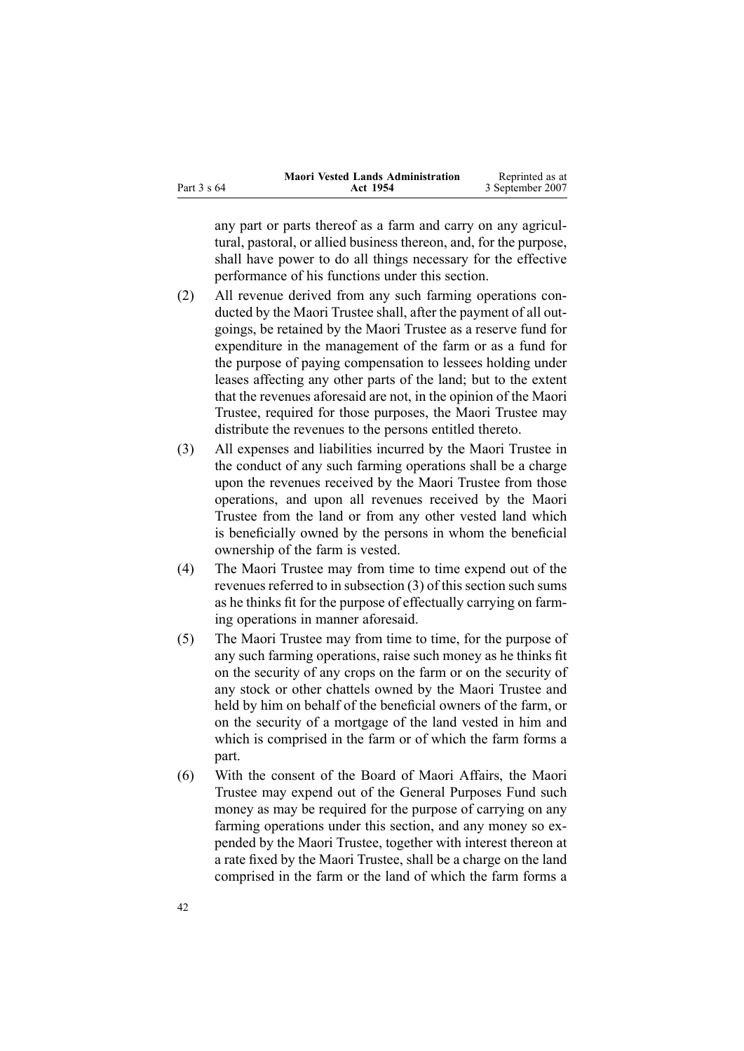|             | <b>Maori Vested Lands Administration</b> | Reprinted as at  |
|-------------|------------------------------------------|------------------|
| Part 3 s 64 | Act 1954                                 | 3 September 2007 |

any par<sup>t</sup> or parts thereof as <sup>a</sup> farm and carry on any agricultural, pastoral, or allied business thereon, and, for the purpose, shall have power to do all things necessary for the effective performance of his functions under this section.

- (2) All revenue derived from any such farming operations conducted by the Maori Trustee shall, after the paymen<sup>t</sup> of all outgoings, be retained by the Maori Trustee as <sup>a</sup> reserve fund for expenditure in the managemen<sup>t</sup> of the farm or as <sup>a</sup> fund for the purpose of paying compensation to lessees holding under leases affecting any other parts of the land; but to the extent that the revenues aforesaid are not, in the opinion of the Maori Trustee, required for those purposes, the Maori Trustee may distribute the revenues to the persons entitled thereto.
- (3) All expenses and liabilities incurred by the Maori Trustee in the conduct of any such farming operations shall be <sup>a</sup> charge upon the revenues received by the Maori Trustee from those operations, and upon all revenues received by the Maori Trustee from the land or from any other vested land which is beneficially owned by the persons in whom the beneficial ownership of the farm is vested.
- (4) The Maori Trustee may from time to time expend out of the revenues referred to in subsection  $(3)$  of this section such sums as he thinks fit for the purpose of effectually carrying on farming operations in manner aforesaid.
- (5) The Maori Trustee may from time to time, for the purpose of any such farming operations, raise such money as he thinks fit on the security of any crops on the farm or on the security of any stock or other chattels owned by the Maori Trustee and held by him on behalf of the beneficial owners of the farm, or on the security of <sup>a</sup> mortgage of the land vested in him and which is comprised in the farm or of which the farm forms <sup>a</sup> part.
- (6) With the consent of the Board of Maori Affairs, the Maori Trustee may expend out of the General Purposes Fund such money as may be required for the purpose of carrying on any farming operations under this section, and any money so expended by the Maori Trustee, together with interest thereon at <sup>a</sup> rate fixed by the Maori Trustee, shall be <sup>a</sup> charge on the land comprised in the farm or the land of which the farm forms <sup>a</sup>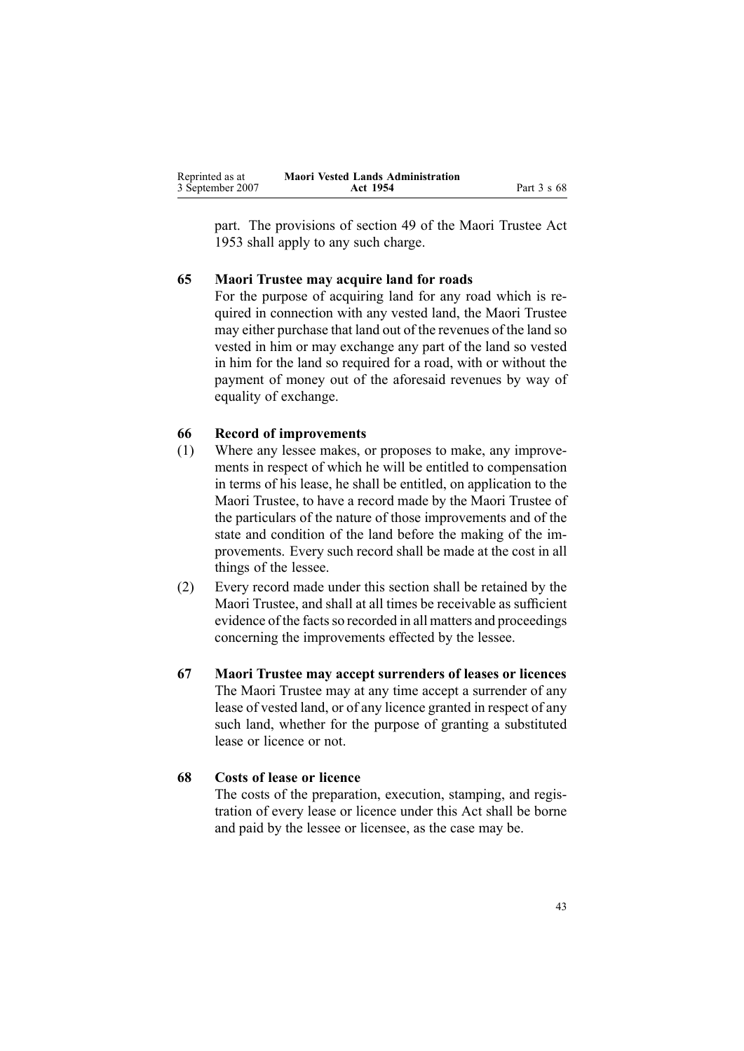<span id="page-42-0"></span>

| Reprinted as at  | <b>Maori Vested Lands Administration</b> |             |
|------------------|------------------------------------------|-------------|
| 3 September 2007 | Act 1954                                 | Part 3 s 68 |

part. The provisions of section [49](http://www.legislation.govt.nz/pdfLink.aspx?id=DLM282955) of the Maori [Trustee](http://www.legislation.govt.nz/pdfLink.aspx?id=DLM282037) Act [1953](http://www.legislation.govt.nz/pdfLink.aspx?id=DLM282037) shall apply to any such charge.

#### **65 Maori Trustee may acquire land for roads**

For the purpose of acquiring land for any road which is required in connection with any vested land, the Maori Trustee may either purchase that land out of the revenues of the land so vested in him or may exchange any par<sup>t</sup> of the land so vested in him for the land so required for <sup>a</sup> road, with or without the paymen<sup>t</sup> of money out of the aforesaid revenues by way of equality of exchange.

### **66 Record of improvements**

- (1) Where any lessee makes, or proposes to make, any improvements in respec<sup>t</sup> of which he will be entitled to compensation in terms of his lease, he shall be entitled, on application to the Maori Trustee, to have <sup>a</sup> record made by the Maori Trustee of the particulars of the nature of those improvements and of the state and condition of the land before the making of the improvements. Every such record shall be made at the cost in all things of the lessee.
- (2) Every record made under this section shall be retained by the Maori Trustee, and shall at all times be receivable as sufficient evidence of the facts so recorded in all matters and proceedings concerning the improvements effected by the lessee.
- **67 Maori Trustee may accept surrenders of leases or licences** The Maori Trustee may at any time accep<sup>t</sup> <sup>a</sup> surrender of any lease of vested land, or of any licence granted in respec<sup>t</sup> of any such land, whether for the purpose of granting <sup>a</sup> substituted lease or licence or not.

#### **68 Costs of lease or licence**

The costs of the preparation, execution, stamping, and registration of every lease or licence under this Act shall be borne and paid by the lessee or licensee, as the case may be.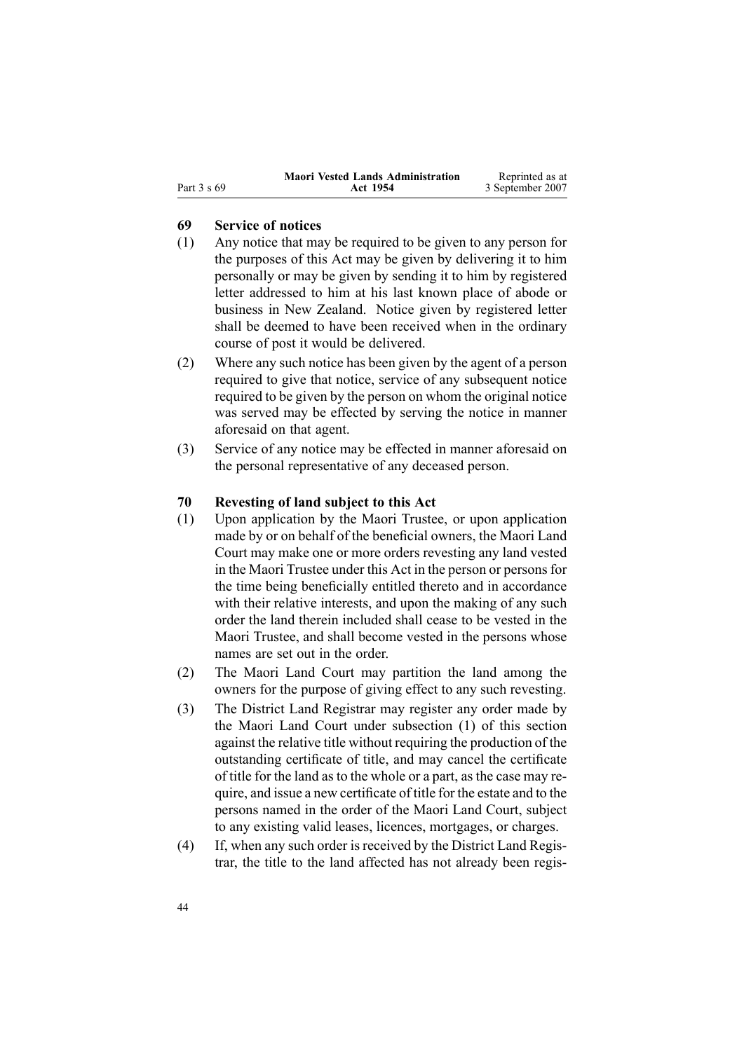<span id="page-43-0"></span>

|  | Part 3 s 69 |  |  |  |  |
|--|-------------|--|--|--|--|
|--|-------------|--|--|--|--|

### **69 Service of notices**

- (1) Any notice that may be required to be given to any person for the purposes of this Act may be given by delivering it to him personally or may be given by sending it to him by registered letter addressed to him at his last known place of abode or business in New Zealand. Notice given by registered letter shall be deemed to have been received when in the ordinary course of pos<sup>t</sup> it would be delivered.
- (2) Where any such notice has been given by the agen<sup>t</sup> of <sup>a</sup> person required to give that notice, service of any subsequent notice required to be given by the person on whom the original notice was served may be effected by serving the notice in manner aforesaid on that agent.
- (3) Service of any notice may be effected in manner aforesaid on the personal representative of any deceased person.

### **70 Revesting of land subject to this Act**

- (1) Upon application by the Maori Trustee, or upon application made by or on behalf of the beneficial owners, the Maori Land Court may make one or more orders revesting any land vested in the Maori Trustee under this Act in the person or personsfor the time being beneficially entitled thereto and in accordance with their relative interests, and upon the making of any such order the land therein included shall cease to be vested in the Maori Trustee, and shall become vested in the persons whose names are set out in the order.
- (2) The Maori Land Court may partition the land among the owners for the purpose of giving effect to any such revesting.
- (3) The District Land Registrar may register any order made by the Maori Land Court under subsection (1) of this section against the relative title without requiring the production of the outstanding certificate of title, and may cancel the certificate of title for the land as to the whole or <sup>a</sup> part, as the case may require, and issue <sup>a</sup> new certificate of title for the estate and to the persons named in the order of the Maori Land Court, subject to any existing valid leases, licences, mortgages, or charges.
- (4) If, when any such order is received by the District Land Registrar, the title to the land affected has not already been regis-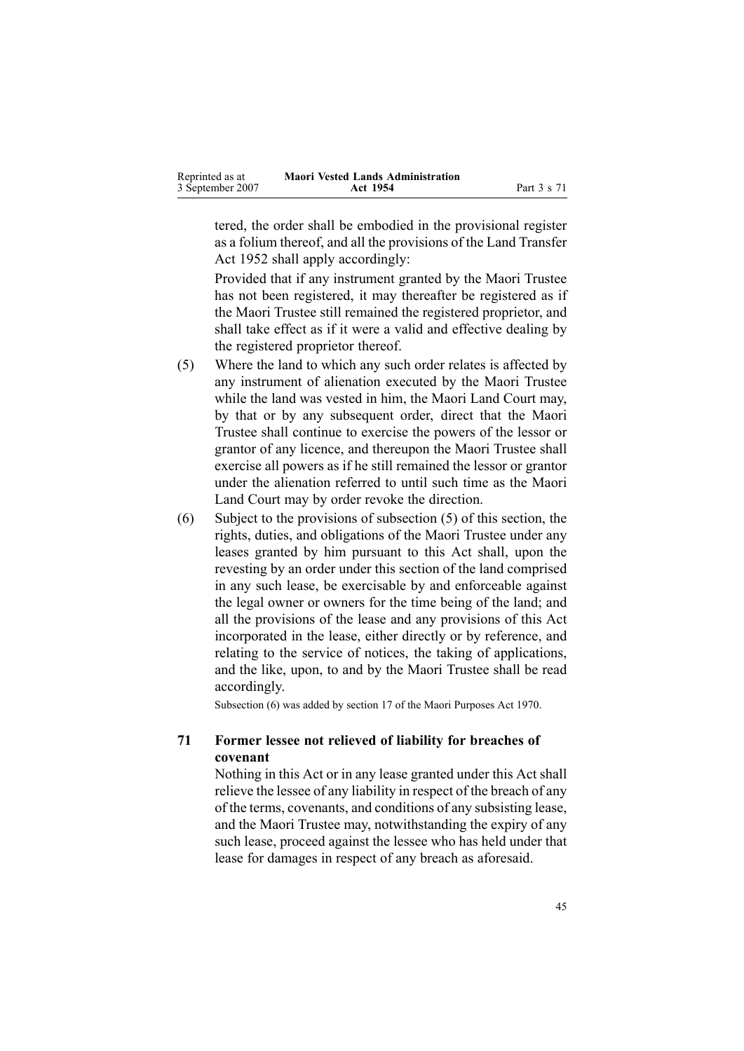<span id="page-44-0"></span>

| Reprinted as at  | <b>Maori Vested Lands Administration</b> |             |
|------------------|------------------------------------------|-------------|
| 3 September 2007 | Act 1954                                 | Part 3 s 71 |

tered, the order shall be embodied in the provisional register as <sup>a</sup> folium thereof, and all the provisions of the Land [Transfer](http://www.legislation.govt.nz/pdfLink.aspx?id=DLM269031) Act [1952](http://www.legislation.govt.nz/pdfLink.aspx?id=DLM269031) shall apply accordingly:

Provided that if any instrument granted by the Maori Trustee has not been registered, it may thereafter be registered as if the Maori Trustee still remained the registered proprietor, and shall take effect as if it were <sup>a</sup> valid and effective dealing by the registered proprietor thereof.

- (5) Where the land to which any such order relates is affected by any instrument of alienation executed by the Maori Trustee while the land was vested in him, the Maori Land Court may, by that or by any subsequent order, direct that the Maori Trustee shall continue to exercise the powers of the lessor or grantor of any licence, and thereupon the Maori Trustee shall exercise all powers as if he still remained the lessor or grantor under the alienation referred to until such time as the Maori Land Court may by order revoke the direction.
- (6) Subject to the provisions of subsection [\(5\)](#page-43-0) of this section, the rights, duties, and obligations of the Maori Trustee under any leases granted by him pursuan<sup>t</sup> to this Act shall, upon the revesting by an order under this section of the land comprised in any such lease, be exercisable by and enforceable against the legal owner or owners for the time being of the land; and all the provisions of the lease and any provisions of this Act incorporated in the lease, either directly or by reference, and relating to the service of notices, the taking of applications, and the like, upon, to and by the Maori Trustee shall be read accordingly.

Subsection (6) was added by section [17](http://www.legislation.govt.nz/pdfLink.aspx?id=DLM396109) of the Maori Purposes Act 1970.

### **71 Former lessee not relieved of liability for breaches of covenant**

Nothing in this Act or in any lease granted under this Act shall relieve the lessee of any liability in respec<sup>t</sup> of the breach of any of the terms, covenants, and conditions of any subsisting lease, and the Maori Trustee may, notwithstanding the expiry of any such lease, proceed against the lessee who has held under that lease for damages in respec<sup>t</sup> of any breach as aforesaid.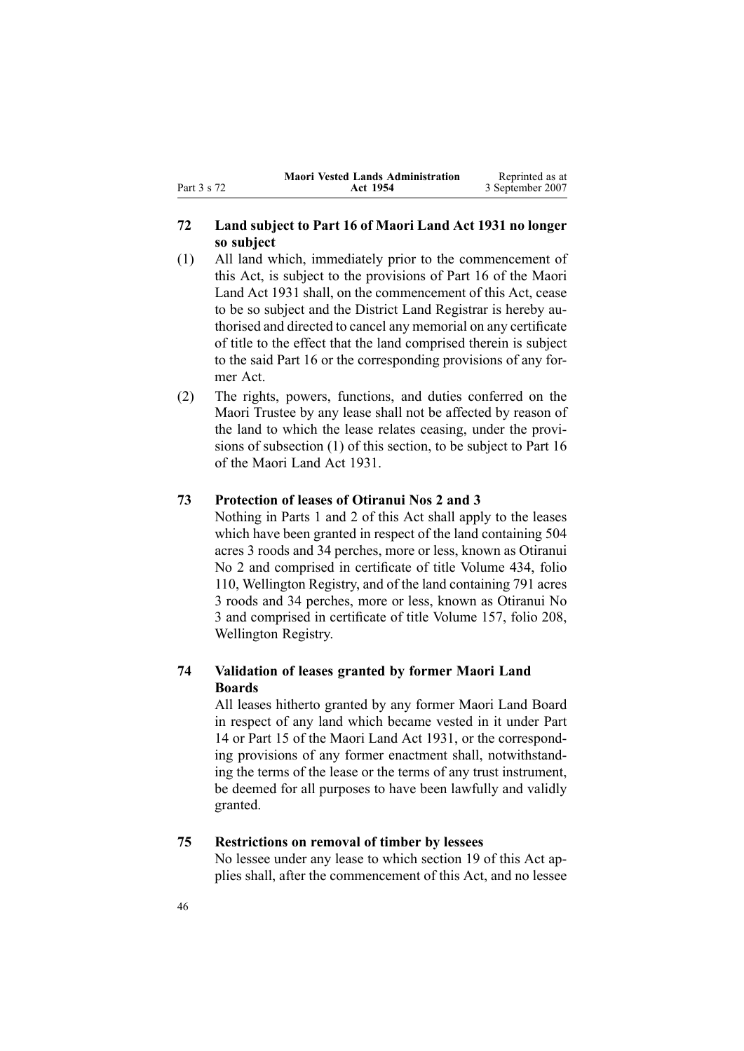### <span id="page-45-0"></span>**72 Land subject to Part 16 of Maori Land Act 1931 no longer so subject**

- (1) All land which, immediately prior to the commencement of this Act, is subject to the provisions of Part 16 of the Maori Land Act 1931 shall, on the commencement of this Act, cease to be so subject and the District Land Registrar is hereby authorised and directed to cancel any memorial on any certificate of title to the effect that the land comprised therein is subject to the said Part 16 or the corresponding provisions of any former Act.
- (2) The rights, powers, functions, and duties conferred on the Maori Trustee by any lease shall not be affected by reason of the land to which the lease relates ceasing, under the provisions of subsection (1) of this section, to be subject to Part 16 of the Maori Land Act 1931.

### **73 Protection of leases of Otiranui Nos 2 and 3**

Nothing in Parts [1](#page-3-0) and [2](#page-8-0) of this Act shall apply to the leases which have been granted in respec<sup>t</sup> of the land containing 504 acres 3 roods and 34 perches, more or less, known as Otiranui No 2 and comprised in certificate of title Volume 434, folio 110, Wellington Registry, and of the land containing 791 acres 3 roods and 34 perches, more or less, known as Otiranui No 3 and comprised in certificate of title Volume 157, folio 208, Wellington Registry.

### **74 Validation of leases granted by former Maori Land Boards**

All leases hitherto granted by any former Maori Land Board in respec<sup>t</sup> of any land which became vested in it under Part 14 or Part 15 of the Maori Land Act 1931, or the corresponding provisions of any former enactment shall, notwithstanding the terms of the lease or the terms of any trust instrument, be deemed for all purposes to have been lawfully and validly granted.

### **75 Restrictions on removal of timber by lessees**

No lessee under any lease to which section [19](#page-18-0) of this Act applies shall, after the commencement of this Act, and no lessee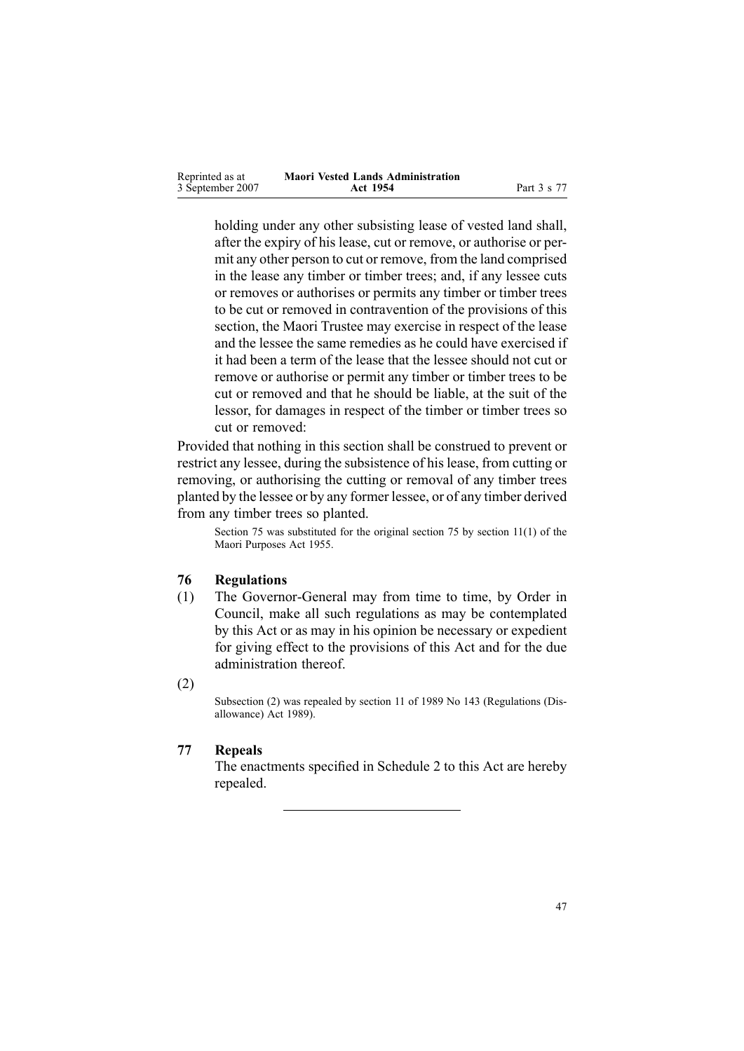<span id="page-46-0"></span>

| Reprinted as at  | <b>Maori Vested Lands Administration</b> |             |
|------------------|------------------------------------------|-------------|
| 3 September 2007 | Act 1954                                 | Part 3 s 77 |

holding under any other subsisting lease of vested land shall, after the expiry of his lease, cut or remove, or authorise or permit any other person to cut or remove, from the land comprised in the lease any timber or timber trees; and, if any lessee cuts or removes or authorises or permits any timber or timber trees to be cut or removed in contravention of the provisions of this section, the Maori Trustee may exercise in respec<sup>t</sup> of the lease and the lessee the same remedies as he could have exercised if it had been <sup>a</sup> term of the lease that the lessee should not cut or remove or authorise or permit any timber or timber trees to be cut or removed and that he should be liable, at the suit of the lessor, for damages in respec<sup>t</sup> of the timber or timber trees so cut or removed:

Provided that nothing in this section shall be construed to preven<sup>t</sup> or restrict any lessee, during the subsistence of hislease, from cutting or removing, or authorising the cutting or removal of any timber trees planted by the lessee or by any former lessee, or of any timber derived from any timber trees so planted.

Section 75 was substituted for the original section 75 by section [11\(1\)](http://www.legislation.govt.nz/pdfLink.aspx?id=DLM293861) of the Maori Purposes Act 1955.

### **76 Regulations**

- (1) The Governor-General may from time to time, by Order in Council, make all such regulations as may be contemplated by this Act or as may in his opinion be necessary or expedient for giving effect to the provisions of this Act and for the due administration thereof.
- (2)

Subsection (2) was repealed by section [11](http://www.legislation.govt.nz/pdfLink.aspx?id=DLM195558) of 1989 No 143 (Regulations (Disallowance) Act 1989).

### **77 Repeals**

The enactments specified in Schedule [2](#page-57-0) to this Act are hereby repealed.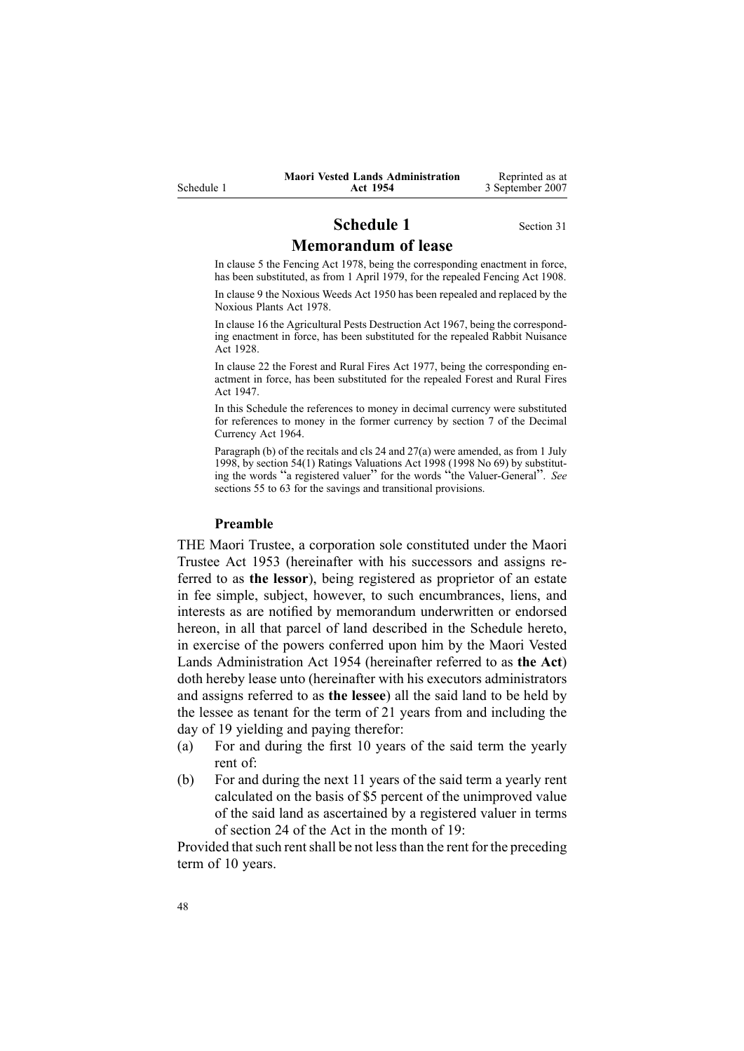### **Schedule 1** Section [31](#page-26-0) **Memorandum of lease**

### <span id="page-47-0"></span>In clause 5 the Fencing Act 1978, being the corresponding enactment in force, has been substituted, as from 1 April 1979, for the repealed Fencing Act 1908.

In clause 9 the Noxious Weeds Act 1950 has been repealed and replaced by the Noxious Plants Act 1978.

In clause 16 the Agricultural Pests Destruction Act 1967, being the corresponding enactment in force, has been substituted for the repealed Rabbit Nuisance Act 1928.

In clause 22 the Forest and Rural Fires Act 1977, being the corresponding enactment in force, has been substituted for the repealed Forest and Rural Fires Act 1947.

In this Schedule the references to money in decimal currency were substituted for references to money in the former currency by section [7](http://www.legislation.govt.nz/pdfLink.aspx?id=DLM351265) of the Decimal Currency Act 1964.

Paragraph (b) of the recitals and cls 24 and 27(a) were amended, as from 1 July 1998, by section [54\(1\)](http://www.legislation.govt.nz/pdfLink.aspx?id=DLM427717) Ratings Valuations Act 1998 (1998 No 69) by substituting the words "a registered valuer" for the words "the Valuer-General". *See* sections 55 to [63](http://www.legislation.govt.nz/pdfLink.aspx?id=DLM427719) for the savings and transitional provisions.

#### **Preamble**

THE Maori Trustee, <sup>a</sup> corporation sole constituted under the [Maori](http://www.legislation.govt.nz/pdfLink.aspx?id=DLM282037) [Trustee](http://www.legislation.govt.nz/pdfLink.aspx?id=DLM282037) Act 1953 (hereinafter with his successors and assigns referred to as **the lessor**), being registered as proprietor of an estate in fee simple, subject, however, to such encumbrances, liens, and interests as are notified by memorandum underwritten or endorsed hereon, in all that parcel of land described in the Schedule hereto, in exercise of the powers conferred upon him by the Maori Vested Lands Administration Act 1954 (hereinafter referred to as **the Act**) doth hereby lease unto (hereinafter with his executors administrators and assigns referred to as **the lessee**) all the said land to be held by the lessee as tenant for the term of 21 years from and including the day of 19 yielding and paying therefor:

- (a) For and during the first 10 years of the said term the yearly rent of:
- (b) For and during the next 11 years of the said term <sup>a</sup> yearly rent calculated on the basis of \$5 percen<sup>t</sup> of the unimproved value of the said land as ascertained by <sup>a</sup> registered valuer in terms of section [24](#page-21-0) of the Act in the month of 19:

Provided that such rent shall be not less than the rent for the preceding term of 10 years.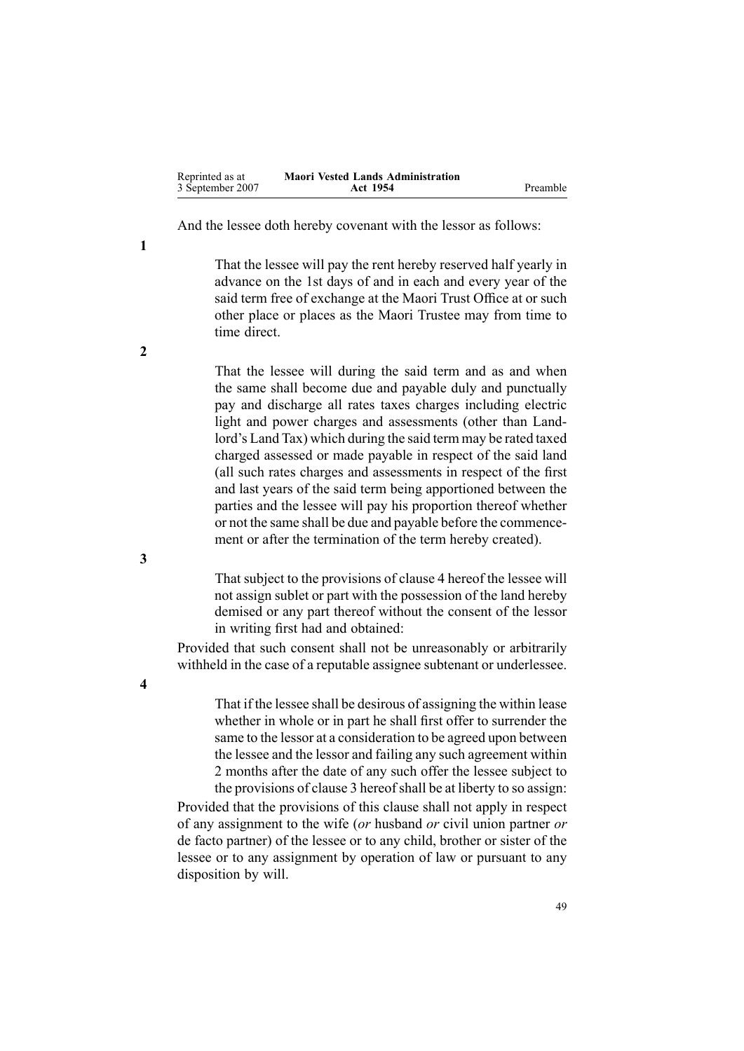<span id="page-48-0"></span>

| Reprinted as at  | <b>Maori Vested Lands Administration</b> |          |
|------------------|------------------------------------------|----------|
| 3 September 2007 | Act 1954                                 | Preamble |

And the lessee doth hereby covenant with the lessor as follows:

That the lessee will pay the rent hereby reserved half yearly in advance on the 1st days of and in each and every year of the said term free of exchange at the Maori Trust Office at or such other place or places as the Maori Trustee may from time to time direct.

That the lessee will during the said term and as and when the same shall become due and payable duly and punctually pay and discharge all rates taxes charges including electric light and power charges and assessments (other than Landlord's Land Tax) which during the said term may be rated taxed charged assessed or made payable in respec<sup>t</sup> of the said land (all such rates charges and assessments in respec<sup>t</sup> of the first and last years of the said term being apportioned between the parties and the lessee will pay his proportion thereof whether or not the same shall be due and payable before the commencement or after the termination of the term hereby created).

That subject to the provisions of clause 4 hereof the lessee will not assign sublet or par<sup>t</sup> with the possession of the land hereby demised or any par<sup>t</sup> thereof without the consent of the lessor in writing first had and obtained:

Provided that such consent shall not be unreasonably or arbitrarily withheld in the case of <sup>a</sup> reputable assignee subtenant or underlessee.

> That if the lessee shall be desirous of assigning the within lease whether in whole or in par<sup>t</sup> he shall first offer to surrender the same to the lessor at <sup>a</sup> consideration to be agreed upon between the lessee and the lessor and failing any such agreemen<sup>t</sup> within 2 months after the date of any such offer the lessee subject to the provisions of clause 3 hereofshall be at liberty to so assign:

Provided that the provisions of this clause shall not apply in respec<sup>t</sup> of any assignment to the wife (*or* husband *or* civil union partner *or* de facto partner) of the lessee or to any child, brother or sister of the lessee or to any assignment by operation of law or pursuan<sup>t</sup> to any disposition by will.

**2**

**1**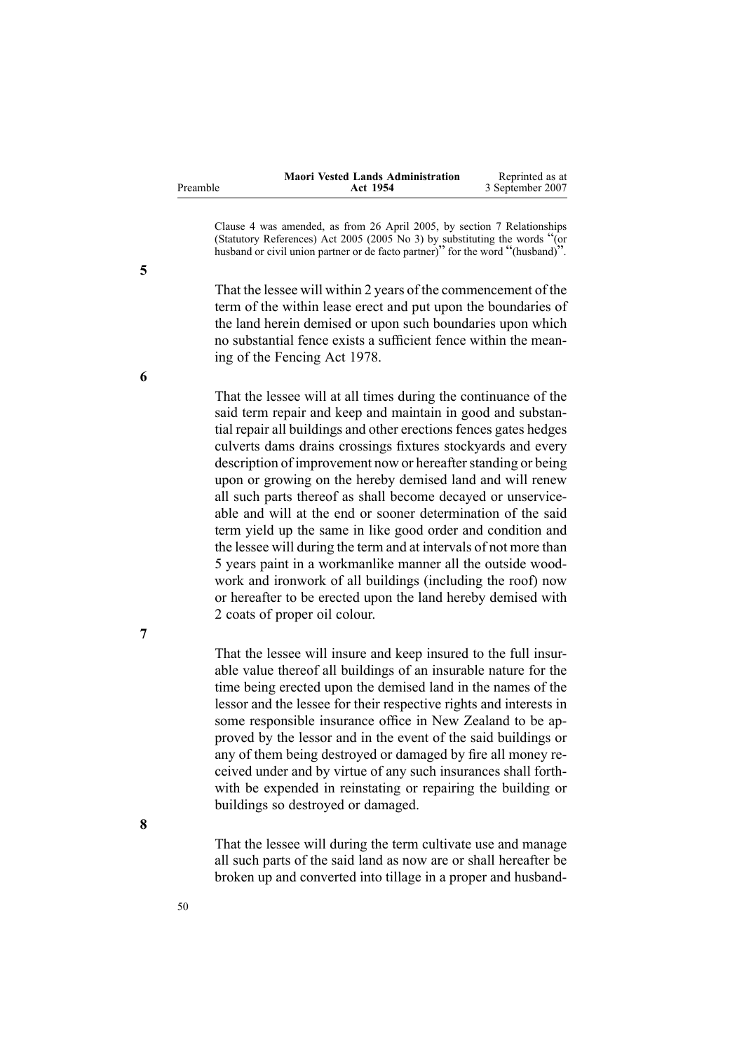|          | <b>Maori Vested Lands Administration</b> | Reprinted as at  |
|----------|------------------------------------------|------------------|
| Preamble | Act 1954                                 | 3 September 2007 |

Clause 4 was amended, as from 26 April 2005, by section [7](http://www.legislation.govt.nz/pdfLink.aspx?id=DLM333795) Relationships (Statutory References) Act <sup>2005</sup> (2005 No 3) by substituting the words "(or husband or civil union partner or de facto partner)" for the word "(husband)".

That the lessee will within 2 years of the commencement of the term of the within lease erect and pu<sup>t</sup> upon the boundaries of the land herein demised or upon such boundaries upon which no substantial fence exists <sup>a</sup> sufficient fence within the meaning of the [Fencing](http://www.legislation.govt.nz/pdfLink.aspx?id=DLM21806) Act 1978.

That the lessee will at all times during the continuance of the said term repair and keep and maintain in good and substantial repair all buildings and other erections fences gates hedges culverts dams drains crossings fixtures stockyards and every description of improvement now or hereafter standing or being upon or growing on the hereby demised land and will renew all such parts thereof as shall become decayed or unserviceable and will at the end or sooner determination of the said term yield up the same in like good order and condition and the lessee will during the term and at intervals of not more than 5 years paint in <sup>a</sup> workmanlike manner all the outside woodwork and ironwork of all buildings (including the roof) now or hereafter to be erected upon the land hereby demised with 2 coats of proper oil colour.

That the lessee will insure and keep insured to the full insurable value thereof all buildings of an insurable nature for the time being erected upon the demised land in the names of the lessor and the lessee for their respective rights and interests in some responsible insurance office in New Zealand to be approved by the lessor and in the event of the said buildings or any of them being destroyed or damaged by fire all money received under and by virtue of any such insurances shall forthwith be expended in reinstating or repairing the building or buildings so destroyed or damaged.

That the lessee will during the term cultivate use and manage all such parts of the said land as now are or shall hereafter be broken up and converted into tillage in <sup>a</sup> proper and husband-

**6**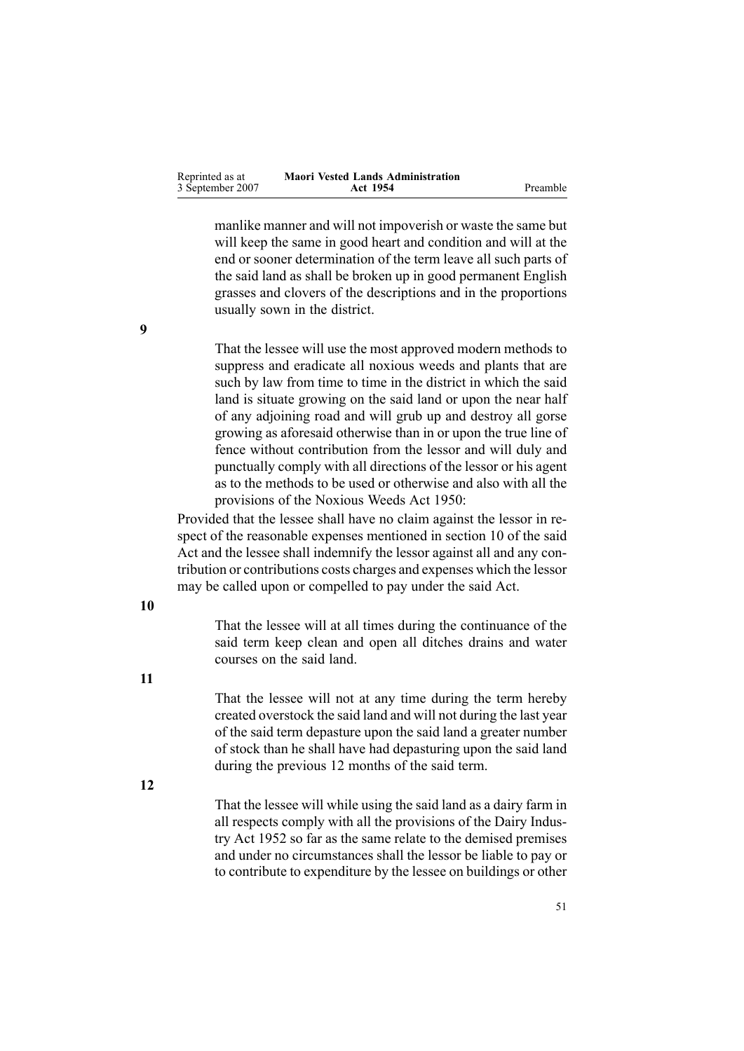| Reprinted as at  | <b>Maori Vested Lands Administration</b> |          |
|------------------|------------------------------------------|----------|
| 3 September 2007 | Act 1954                                 | Preamble |

manlike manner and will not impoverish or waste the same but will keep the same in good heart and condition and will at the end or sooner determination of the term leave all such parts of the said land as shall be broken up in good permanen<sup>t</sup> English grasses and clovers of the descriptions and in the proportions usually sown in the district.

That the lessee will use the most approved modern methods to suppress and eradicate all noxious weeds and plants that are such by law from time to time in the district in which the said land is situate growing on the said land or upon the near half of any adjoining road and will grub up and destroy all gorse growing as aforesaid otherwise than in or upon the true line of fence without contribution from the lessor and will duly and punctually comply with all directions of the lessor or his agen<sup>t</sup> as to the methods to be used or otherwise and also with all the provisions of the Noxious Weeds Act 1950:

Provided that the lessee shall have no claim against the lessor in respec<sup>t</sup> of the reasonable expenses mentioned in section [10](#page-12-0) of the said Act and the lessee shall indemnify the lessor against all and any contribution or contributions costs charges and expenses which the lessor may be called upon or compelled to pay under the said Act.

**10**

That the lessee will at all times during the continuance of the said term keep clean and open all ditches drains and water courses on the said land.

**11**

That the lessee will not at any time during the term hereby created overstock the said land and will not during the last year of the said term depasture upon the said land <sup>a</sup> greater number of stock than he shall have had depasturing upon the said land during the previous 12 months of the said term.

**12**

That the lessee will while using the said land as <sup>a</sup> dairy farm in all respects comply with all the provisions of the Dairy Industry Act 1952 so far as the same relate to the demised premises and under no circumstances shall the lessor be liable to pay or to contribute to expenditure by the lessee on buildings or other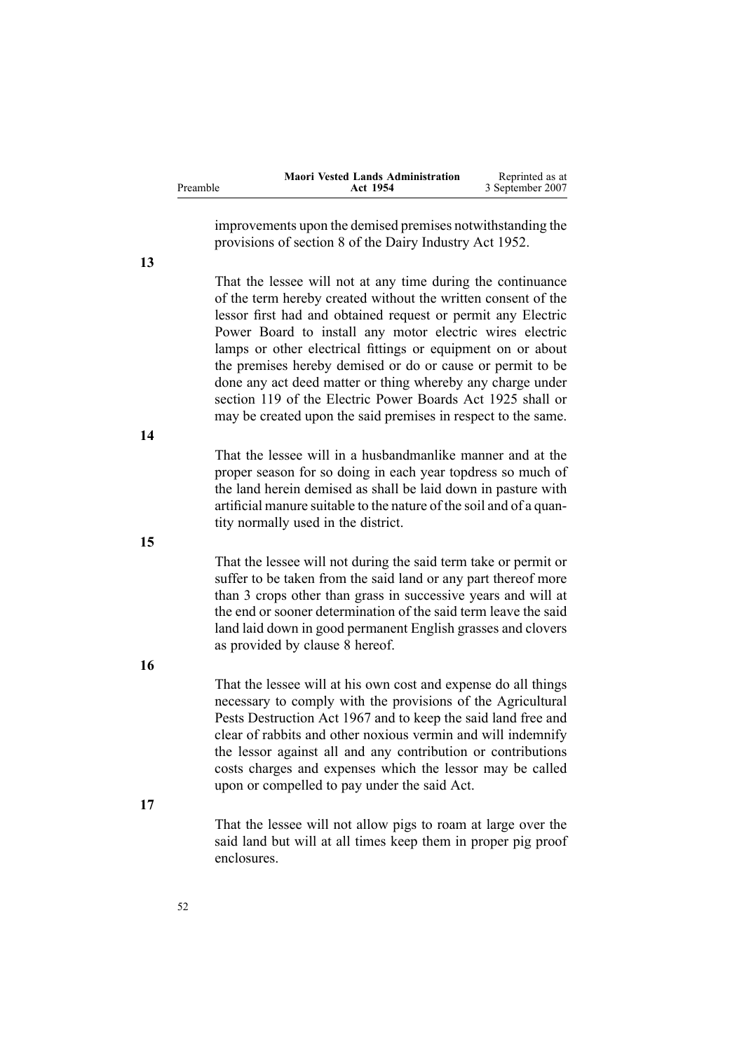|          | <b>Maori Vested Lands Administration</b> | Reprinted as at  |
|----------|------------------------------------------|------------------|
| Preamble | Act 1954                                 | 3 September 2007 |

improvements upon the demised premises notwithstanding the provisions of section 8 of the Dairy Industry Act 1952.

That the lessee will not at any time during the continuance of the term hereby created without the written consent of the lessor first had and obtained reques<sup>t</sup> or permit any Electric Power Board to install any motor electric wires electric lamps or other electrical fittings or equipment on or about the premises hereby demised or do or cause or permit to be done any act deed matter or thing whereby any charge under section 119 of the Electric Power Boards Act 1925 shall or may be created upon the said premises in respec<sup>t</sup> to the same.

That the lessee will in <sup>a</sup> husbandmanlike manner and at the proper season for so doing in each year topdress so much of the land herein demised as shall be laid down in pasture with artificial manure suitable to the nature of the soil and of <sup>a</sup> quantity normally used in the district.

That the lessee will not during the said term take or permit or suffer to be taken from the said land or any par<sup>t</sup> thereof more than 3 crops other than grass in successive years and will at the end or sooner determination of the said term leave the said land laid down in good permanen<sup>t</sup> English grasses and clovers as provided by clause [8](#page-48-0) hereof.

**16**

That the lessee will at his own cost and expense do all things necessary to comply with the provisions of the Agricultural Pests Destruction Act 1967 and to keep the said land free and clear of rabbits and other noxious vermin and will indemnify the lessor against all and any contribution or contributions costs charges and expenses which the lessor may be called upon or compelled to pay under the said Act.

**17**

That the lessee will not allow pigs to roam at large over the said land but will at all times keep them in proper pig proof enclosures.

**13**

**14**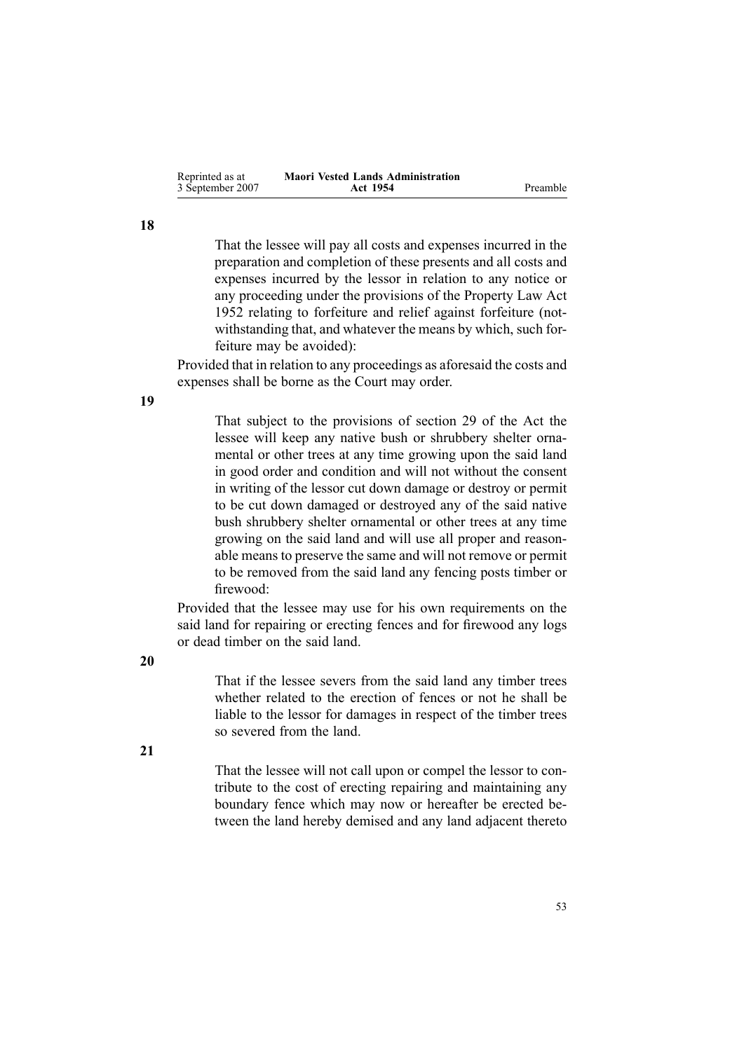| Reprinted as at  | <b>Maori Vested Lands Administration</b> |          |
|------------------|------------------------------------------|----------|
| 3 September 2007 | Act 1954                                 | Preamble |

That the lessee will pay all costs and expenses incurred in the preparation and completion of these presents and all costs and expenses incurred by the lessor in relation to any notice or any proceeding under the provisions of the [Property](http://www.legislation.govt.nz/pdfLink.aspx?id=DLM267064) Law Act [1952](http://www.legislation.govt.nz/pdfLink.aspx?id=DLM267064) relating to forfeiture and relief against forfeiture (notwithstanding that, and whatever the means by which, such forfeiture may be avoided):

Provided that in relation to any proceedings as aforesaid the costs and expenses shall be borne as the Court may order.

**19**

**18**

That subject to the provisions of section [29](#page-24-0) of the Act the lessee will keep any native bush or shrubbery shelter ornamental or other trees at any time growing upon the said land in good order and condition and will not without the consent in writing of the lessor cut down damage or destroy or permit to be cut down damaged or destroyed any of the said native bush shrubbery shelter ornamental or other trees at any time growing on the said land and will use all proper and reasonable means to preserve the same and will not remove or permit to be removed from the said land any fencing posts timber or firewood:

Provided that the lessee may use for his own requirements on the said land for repairing or erecting fences and for firewood any logs or dead timber on the said land.

**20**

That if the lessee severs from the said land any timber trees whether related to the erection of fences or not he shall be liable to the lessor for damages in respec<sup>t</sup> of the timber trees so severed from the land.

**21**

That the lessee will not call upon or compel the lessor to contribute to the cost of erecting repairing and maintaining any boundary fence which may now or hereafter be erected between the land hereby demised and any land adjacent thereto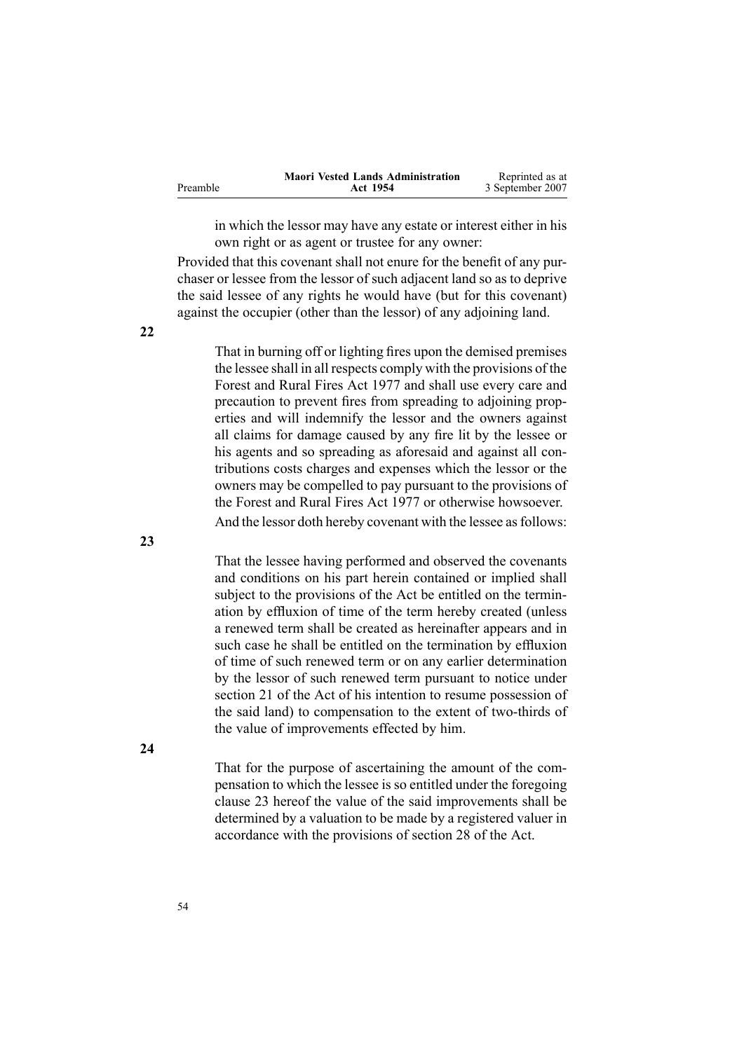<span id="page-53-0"></span>

|          | <b>Maori Vested Lands Administration</b> | Reprinted as at  |
|----------|------------------------------------------|------------------|
| Preamble | Act 1954                                 | 3 September 2007 |

in which the lessor may have any estate or interest either in his own right or as agen<sup>t</sup> or trustee for any owner:

Provided that this covenant shall not enure for the benefit of any purchaser or lessee from the lessor of such adjacent land so as to deprive the said lessee of any rights he would have (but for this covenant) against the occupier (other than the lessor) of any adjoining land.

That in burning off or lighting fires upon the demised premises the lessee shall in all respects comply with the provisions of the [Forest](http://www.legislation.govt.nz/pdfLink.aspx?id=DLM442946) and Rural Fires Act 1977 and shall use every care and precaution to preven<sup>t</sup> fires from spreading to adjoining properties and will indemnify the lessor and the owners against all claims for damage caused by any fire lit by the lessee or his agents and so spreading as aforesaid and against all contributions costs charges and expenses which the lessor or the owners may be compelled to pay pursuan<sup>t</sup> to the provisions of the [Forest](http://www.legislation.govt.nz/pdfLink.aspx?id=DLM442946) and Rural Fires Act 1977 or otherwise howsoever. And the lessor doth hereby covenant with the lessee as follows:

That the lessee having performed and observed the covenants and conditions on his par<sup>t</sup> herein contained or implied shall subject to the provisions of the Act be entitled on the termination by effluxion of time of the term hereby created (unless <sup>a</sup> renewed term shall be created as hereinafter appears and in such case he shall be entitled on the termination by effluxion of time of such renewed term or on any earlier determination by the lessor of such renewed term pursuan<sup>t</sup> to notice under section [21](#page-20-0) of the Act of his intention to resume possession of the said land) to compensation to the extent of two-thirds of the value of improvements effected by him.

**24**

That for the purpose of ascertaining the amount of the compensation to which the lessee is so entitled under the foregoing clause 23 hereof the value of the said improvements shall be determined by <sup>a</sup> valuation to be made by <sup>a</sup> registered valuer in accordance with the provisions of section [28](#page-24-0) of the Act.

**22**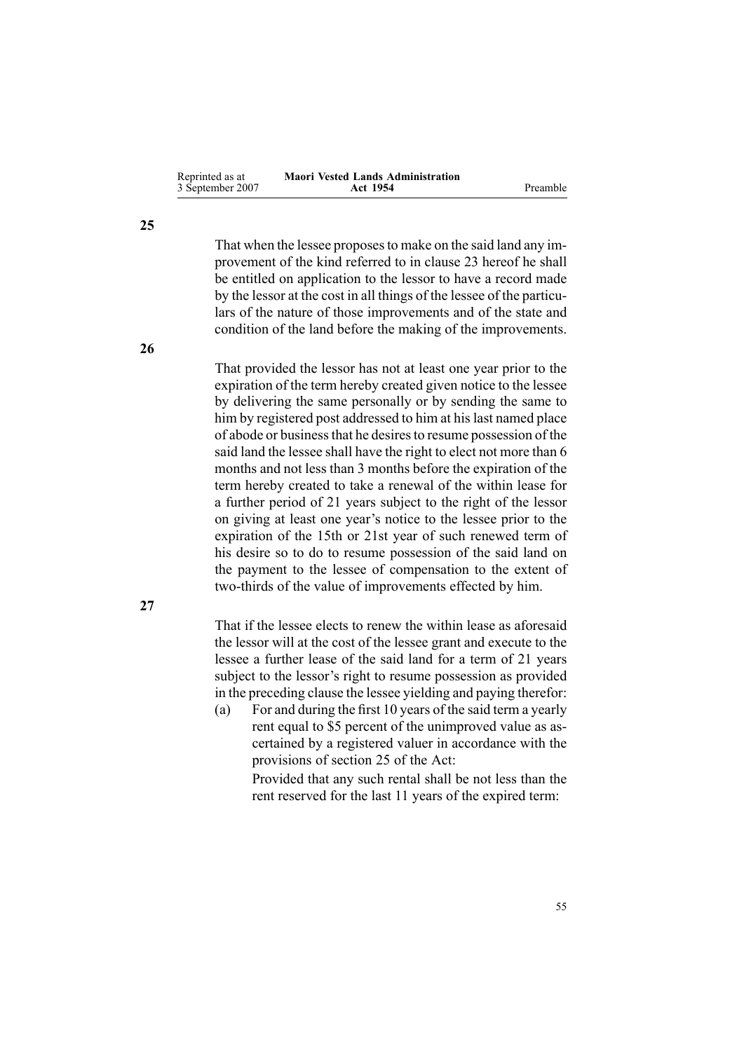| Reprinted as at  | <b>Maori Vested Lands Administration</b> |          |
|------------------|------------------------------------------|----------|
| 3 September 2007 | Act 1954                                 | Preamble |

That when the lessee proposesto make on the said land any improvemen<sup>t</sup> of the kind referred to in clause [23](#page-53-0) hereof he shall be entitled on application to the lessor to have <sup>a</sup> record made by the lessor at the cost in all things of the lessee of the particulars of the nature of those improvements and of the state and condition of the land before the making of the improvements.

That provided the lessor has not at least one year prior to the expiration of the term hereby created given notice to the lessee by delivering the same personally or by sending the same to him by registered post addressed to him at his last named place of abode or businessthat he desiresto resume possession of the said land the lessee shall have the right to elect not more than 6 months and not less than 3 months before the expiration of the term hereby created to take <sup>a</sup> renewal of the within lease for <sup>a</sup> further period of 21 years subject to the right of the lessor on giving at least one year's notice to the lessee prior to the expiration of the 15th or 21st year of such renewed term of his desire so to do to resume possession of the said land on the paymen<sup>t</sup> to the lessee of compensation to the extent of two-thirds of the value of improvements effected by him.

That if the lessee elects to renew the within lease as aforesaid the lessor will at the cost of the lessee gran<sup>t</sup> and execute to the lessee <sup>a</sup> further lease of the said land for <sup>a</sup> term of 21 years subject to the lessor's right to resume possession as provided in the preceding clause the lessee yielding and paying therefor:

(a) For and during the first 10 years of the said term <sup>a</sup> yearly rent equal to \$5 percen<sup>t</sup> of the unimproved value as ascertained by <sup>a</sup> registered valuer in accordance with the provisions of section [25](#page-22-0) of the Act:

> Provided that any such rental shall be not less than the rent reserved for the last 11 years of the expired term:

**25**

**26**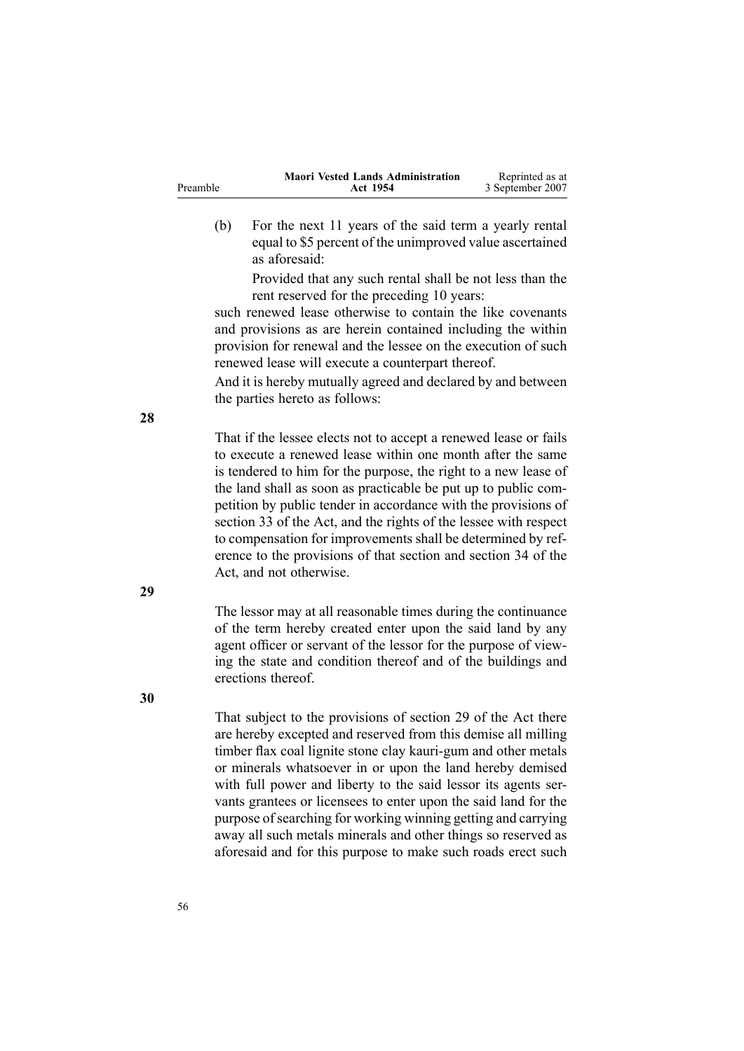|          | <b>Maori Vested Lands Administration</b> | Reprinted as at  |
|----------|------------------------------------------|------------------|
| Preamble | Act 1954                                 | 3 September 2007 |

(b) For the next 11 years of the said term <sup>a</sup> yearly rental equal to \$5 percen<sup>t</sup> of the unimproved value ascertained as aforesaid:

> Provided that any such rental shall be not less than the rent reserved for the preceding 10 years:

such renewed lease otherwise to contain the like covenants and provisions as are herein contained including the within provision for renewal and the lessee on the execution of such renewed lease will execute <sup>a</sup> counterpart thereof.

And it is hereby mutually agreed and declared by and between the parties hereto as follows:

That if the lessee elects not to accep<sup>t</sup> <sup>a</sup> renewed lease or fails to execute <sup>a</sup> renewed lease within one month after the same is tendered to him for the purpose, the right to <sup>a</sup> new lease of the land shall as soon as practicable be pu<sup>t</sup> up to public competition by public tender in accordance with the provisions of section 33 of the Act, and the rights of the lessee with respec<sup>t</sup> to compensation for improvements shall be determined by reference to the provisions of that section and section [34](#page-29-0) of the Act, and not otherwise.

The lessor may at all reasonable times during the continuance of the term hereby created enter upon the said land by any agen<sup>t</sup> officer or servant of the lessor for the purpose of viewing the state and condition thereof and of the buildings and erections thereof.

That subject to the provisions of section [29](#page-24-0) of the Act there are hereby excepted and reserved from this demise all milling timber flax coal lignite stone clay kauri-gum and other metals or minerals whatsoever in or upon the land hereby demised with full power and liberty to the said lessor its agents servants grantees or licensees to enter upon the said land for the purpose of searching for working winning getting and carrying away all such metals minerals and other things so reserved as aforesaid and for this purpose to make such roads erect such

**28**

**30**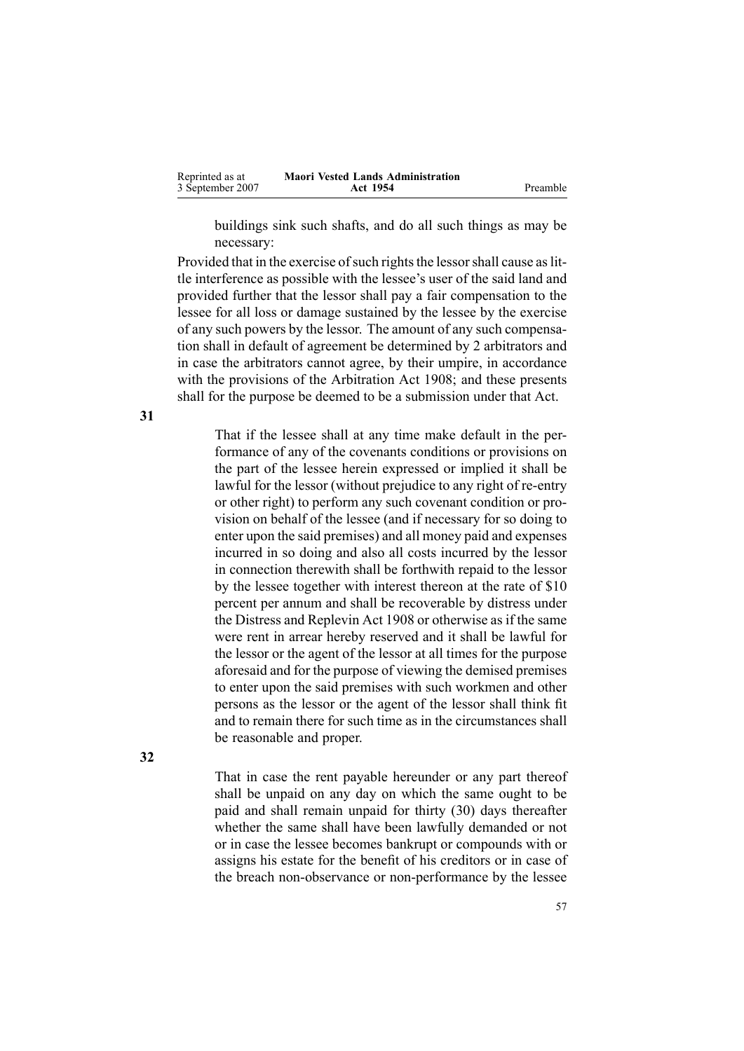| Reprinted as at  | <b>Maori Vested Lands Administration</b> |          |
|------------------|------------------------------------------|----------|
| 3 September 2007 | Act 1954                                 | Preamble |

buildings sink such shafts, and do all such things as may be necessary:

Provided that in the exercise of such rights the lessor shall cause as little interference as possible with the lessee's user of the said land and provided further that the lessor shall pay <sup>a</sup> fair compensation to the lessee for all loss or damage sustained by the lessee by the exercise of any such powers by the lessor. The amount of any such compensation shall in default of agreemen<sup>t</sup> be determined by 2 arbitrators and in case the arbitrators cannot agree, by their umpire, in accordance with the provisions of the Arbitration Act 1908; and these presents shall for the purpose be deemed to be <sup>a</sup> submission under that Act.

That if the lessee shall at any time make default in the performance of any of the covenants conditions or provisions on the par<sup>t</sup> of the lessee herein expressed or implied it shall be lawful for the lessor (without prejudice to any right of re-entry or other right) to perform any such covenant condition or provision on behalf of the lessee (and if necessary for so doing to enter upon the said premises) and all money paid and expenses incurred in so doing and also all costs incurred by the lessor in connection therewith shall be forthwith repaid to the lessor by the lessee together with interest thereon at the rate of \$10 percen<sup>t</sup> per annum and shall be recoverable by distress under the Distress and Replevin Act 1908 or otherwise as if the same were rent in arrear hereby reserved and it shall be lawful for the lessor or the agen<sup>t</sup> of the lessor at all times for the purpose aforesaid and for the purpose of viewing the demised premises to enter upon the said premises with such workmen and other persons as the lessor or the agen<sup>t</sup> of the lessor shall think fit and to remain there for such time as in the circumstances shall be reasonable and proper.

That in case the rent payable hereunder or any par<sup>t</sup> thereof shall be unpaid on any day on which the same ought to be paid and shall remain unpaid for thirty (30) days thereafter whether the same shall have been lawfully demanded or not or in case the lessee becomes bankrupt or compounds with or assigns his estate for the benefit of his creditors or in case of the breach non-observance or non-performance by the lessee

**31**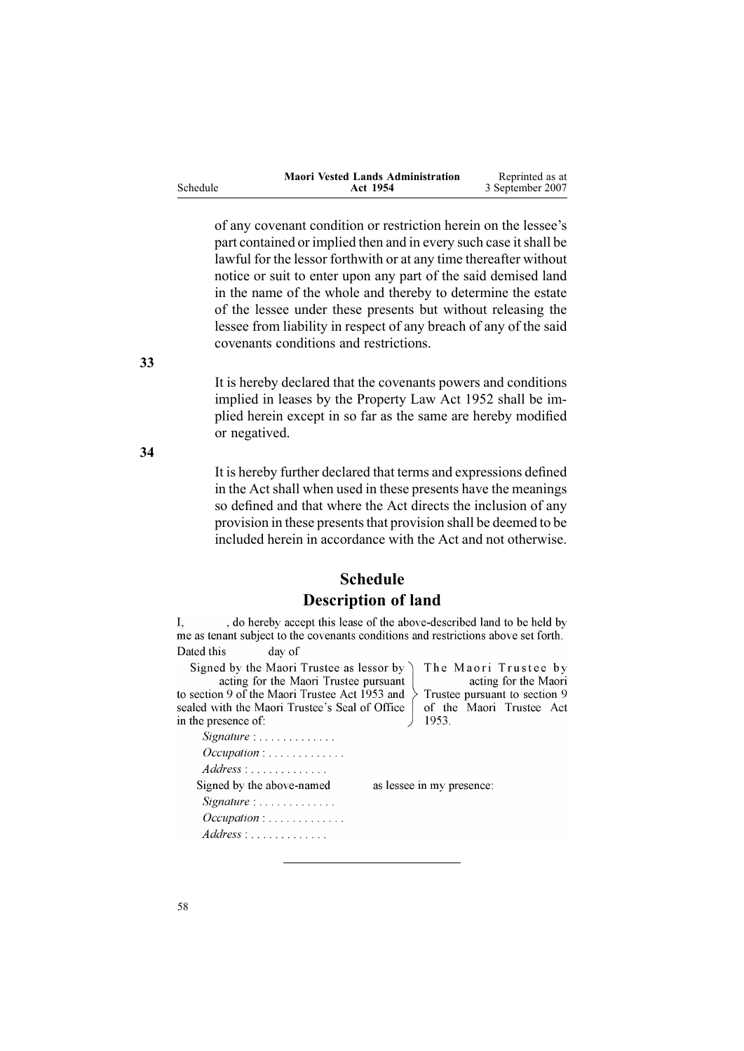<span id="page-57-0"></span>

|          | <b>Maori Vested Lands Administration</b> | Reprinted as at  |
|----------|------------------------------------------|------------------|
| Schedule | Act 1954                                 | 3 September 2007 |

of any covenant condition or restriction herein on the lessee's part contained or implied then and in every such case it shall be lawful for the lessor forthwith or at any time thereafter without notice or suit to enter upon any par<sup>t</sup> of the said demised land in the name of the whole and thereby to determine the estate of the lessee under these presents but without releasing the lessee from liability in respec<sup>t</sup> of any breach of any of the said covenants conditions and restrictions.

It is hereby declared that the covenants powers and conditions implied in leases by the [Property](http://www.legislation.govt.nz/pdfLink.aspx?id=DLM267064) Law Act 1952 shall be implied herein excep<sup>t</sup> in so far as the same are hereby modified or negatived.

It is hereby further declared that terms and expressions defined in the Act shall when used in these presents have the meanings so defined and that where the Act directs the inclusion of any provision in these presents that provision shall be deemed to be included herein in accordance with the Act and not otherwise.

## **Schedule Description of land**

, do hereby accept this lease of the above-described land to be held by I. me as tenant subject to the covenants conditions and restrictions above set forth. Dated this day of

Signed by the Maori Trustee as lessor by acting for the Maori Trustee pursuant to section 9 of the Maori Trustee Act 1953 and sealed with the Maori Trustee's Seal of Office in the presence of:

Signature : . . . . . . . . . . . . .  $Address: \ldots \ldots \ldots$ Signed by the above-named  $Signature: \ldots \ldots \ldots$  $Occulation: \ldots \ldots \ldots$  $Address : \ldots \ldots \ldots$ 

The Maori Trustee by acting for the Maori Trustee pursuant to section 9 of the Maori Trustee Act 1953

as lessee in my presence:

**33**